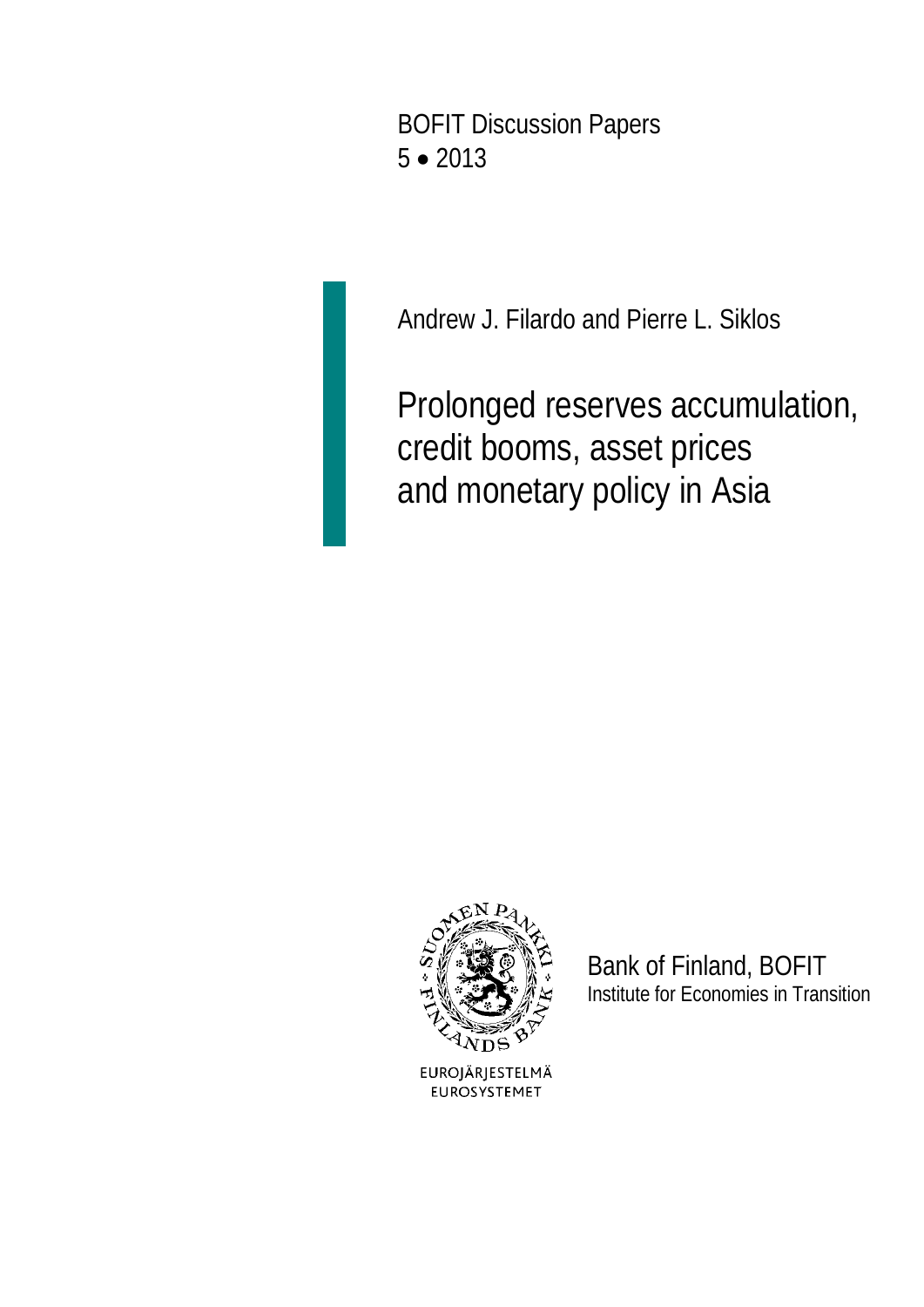BOFIT Discussion Papers 5 • 2013

Andrew J. Filardo and Pierre L. Siklos

Prolonged reserves accumulation, credit booms, asset prices and monetary policy in Asia



Bank of Finland, BOFIT Institute for Economies in Transition

EUROJÄRJESTELMÄ **EUROSYSTEMET**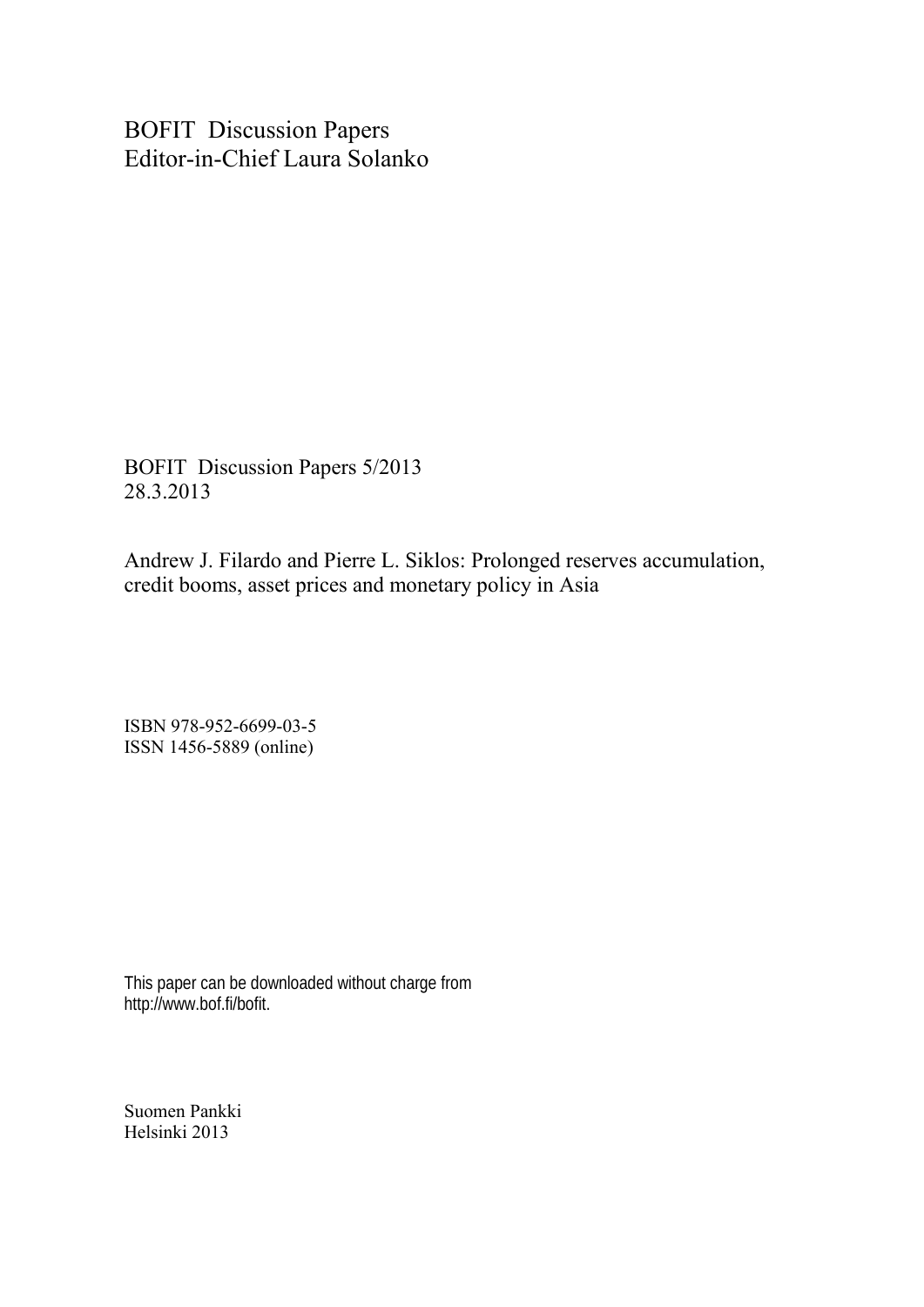BOFIT Discussion Papers Editor-in-Chief Laura Solanko

BOFIT Discussion Papers 5/2013 28.3.2013

Andrew J. Filardo and Pierre L. Siklos: Prolonged reserves accumulation, credit booms, asset prices and monetary policy in Asia

ISBN 978-952-6699-03-5 ISSN 1456-5889 (online)

This paper can be downloaded without charge from http://www.bof.fi/bofit.

Suomen Pankki Helsinki 2013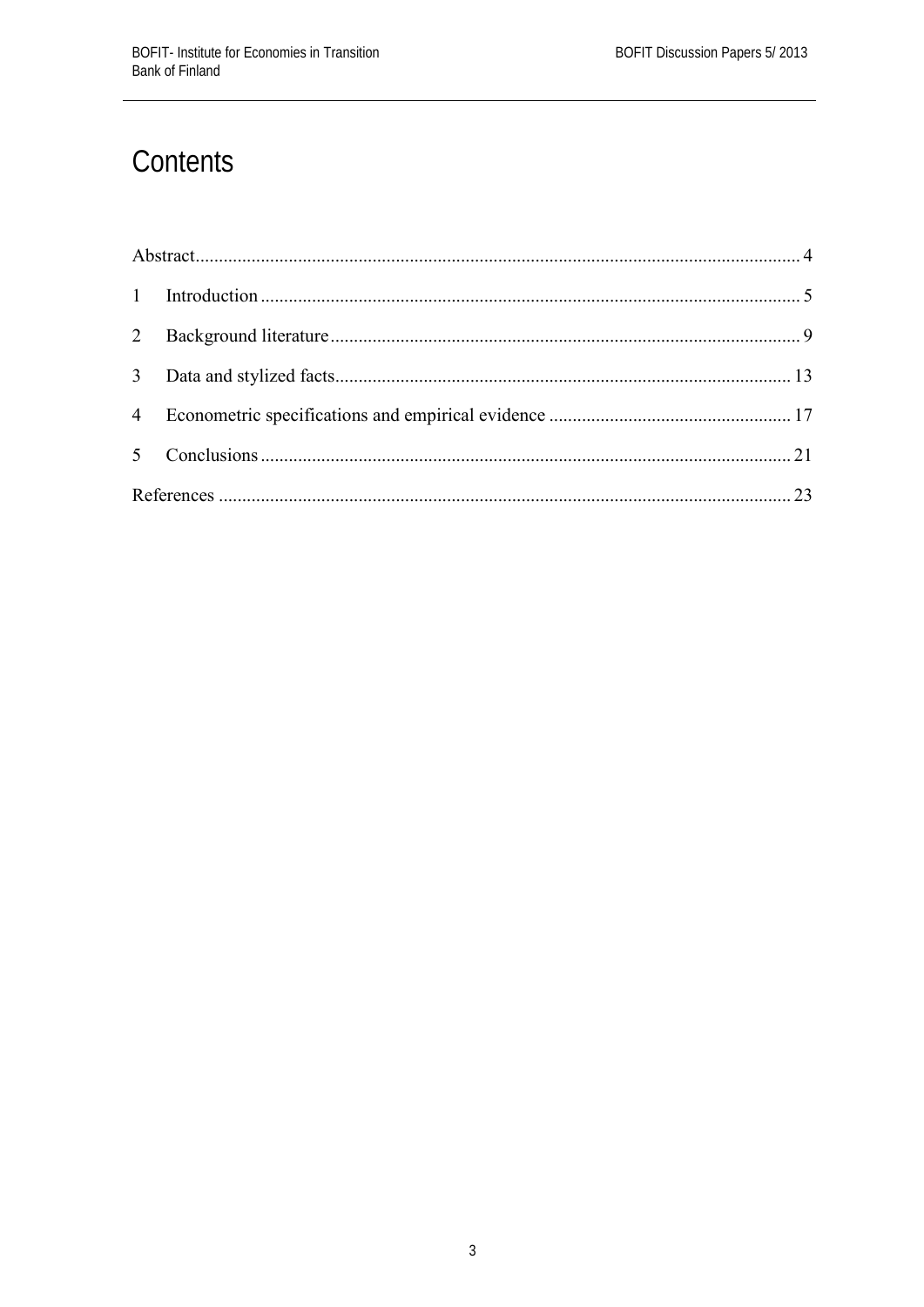# Contents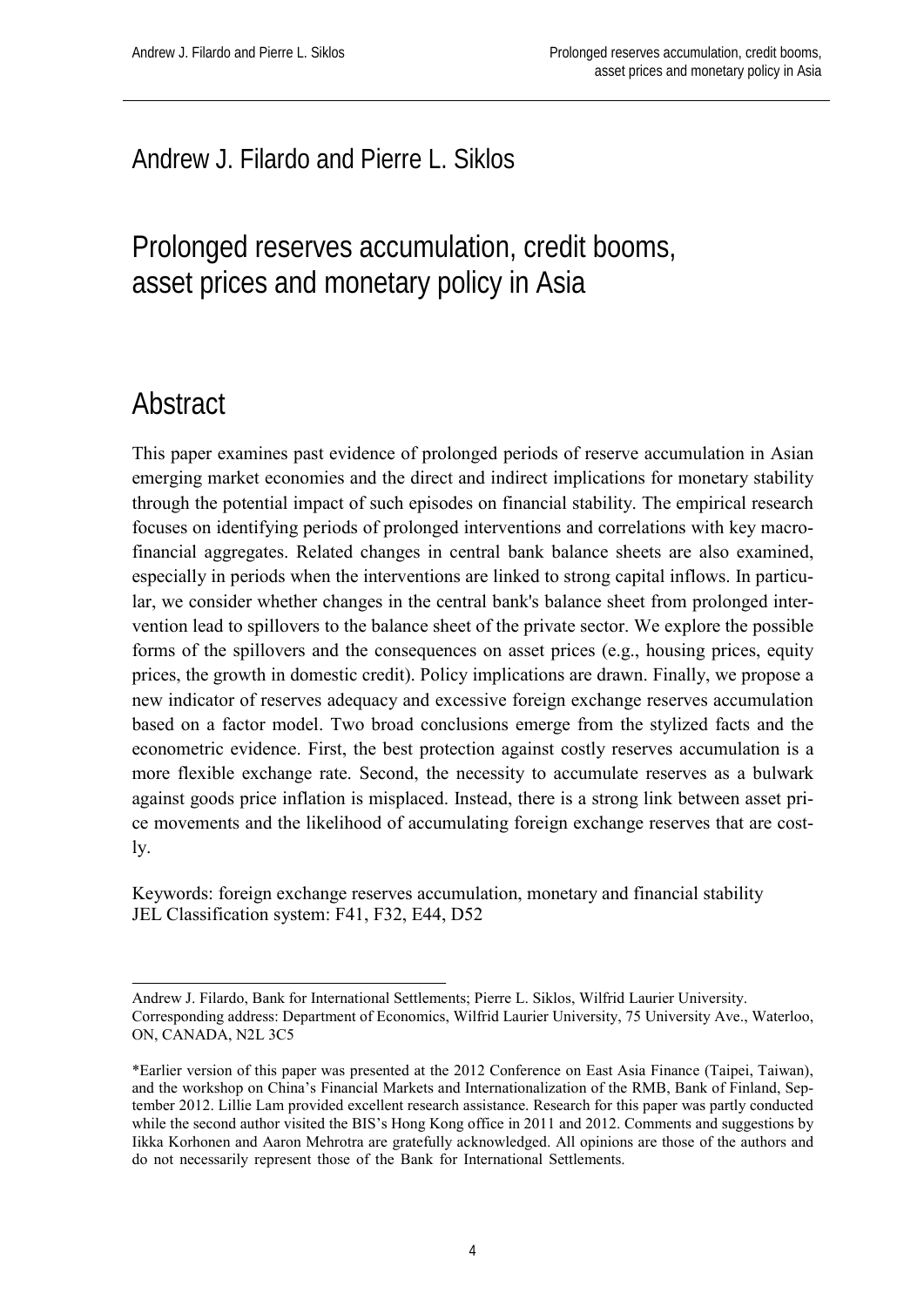## Andrew J. Filardo and Pierre L. Siklos

# Prolonged reserves accumulation, credit booms, asset prices and monetary policy in Asia

# <span id="page-3-0"></span>**Abstract**

This paper examines past evidence of prolonged periods of reserve accumulation in Asian emerging market economies and the direct and indirect implications for monetary stability through the potential impact of such episodes on financial stability. The empirical research focuses on identifying periods of prolonged interventions and correlations with key macrofinancial aggregates. Related changes in central bank balance sheets are also examined, especially in periods when the interventions are linked to strong capital inflows. In particular, we consider whether changes in the central bank's balance sheet from prolonged intervention lead to spillovers to the balance sheet of the private sector. We explore the possible forms of the spillovers and the consequences on asset prices (e.g., housing prices, equity prices, the growth in domestic credit). Policy implications are drawn. Finally, we propose a new indicator of reserves adequacy and excessive foreign exchange reserves accumulation based on a factor model. Two broad conclusions emerge from the stylized facts and the econometric evidence. First, the best protection against costly reserves accumulation is a more flexible exchange rate. Second, the necessity to accumulate reserves as a bulwark against goods price inflation is misplaced. Instead, there is a strong link between asset price movements and the likelihood of accumulating foreign exchange reserves that are costly.

Keywords: foreign exchange reserves accumulation, monetary and financial stability JEL Classification system: F41, F32, E44, D52

Andrew J. Filardo, Bank for International Settlements; Pierre L. Siklos, Wilfrid Laurier University. Corresponding address: Department of Economics, Wilfrid Laurier University, 75 University Ave., Waterloo, ON, CANADA, N2L 3C5

<sup>\*</sup>Earlier version of this paper was presented at the 2012 Conference on East Asia Finance (Taipei, Taiwan), and the workshop on China's Financial Markets and Internationalization of the RMB, Bank of Finland, September 2012. Lillie Lam provided excellent research assistance. Research for this paper was partly conducted while the second author visited the BIS's Hong Kong office in 2011 and 2012. Comments and suggestions by Iikka Korhonen and Aaron Mehrotra are gratefully acknowledged. All opinions are those of the authors and do not necessarily represent those of the Bank for International Settlements.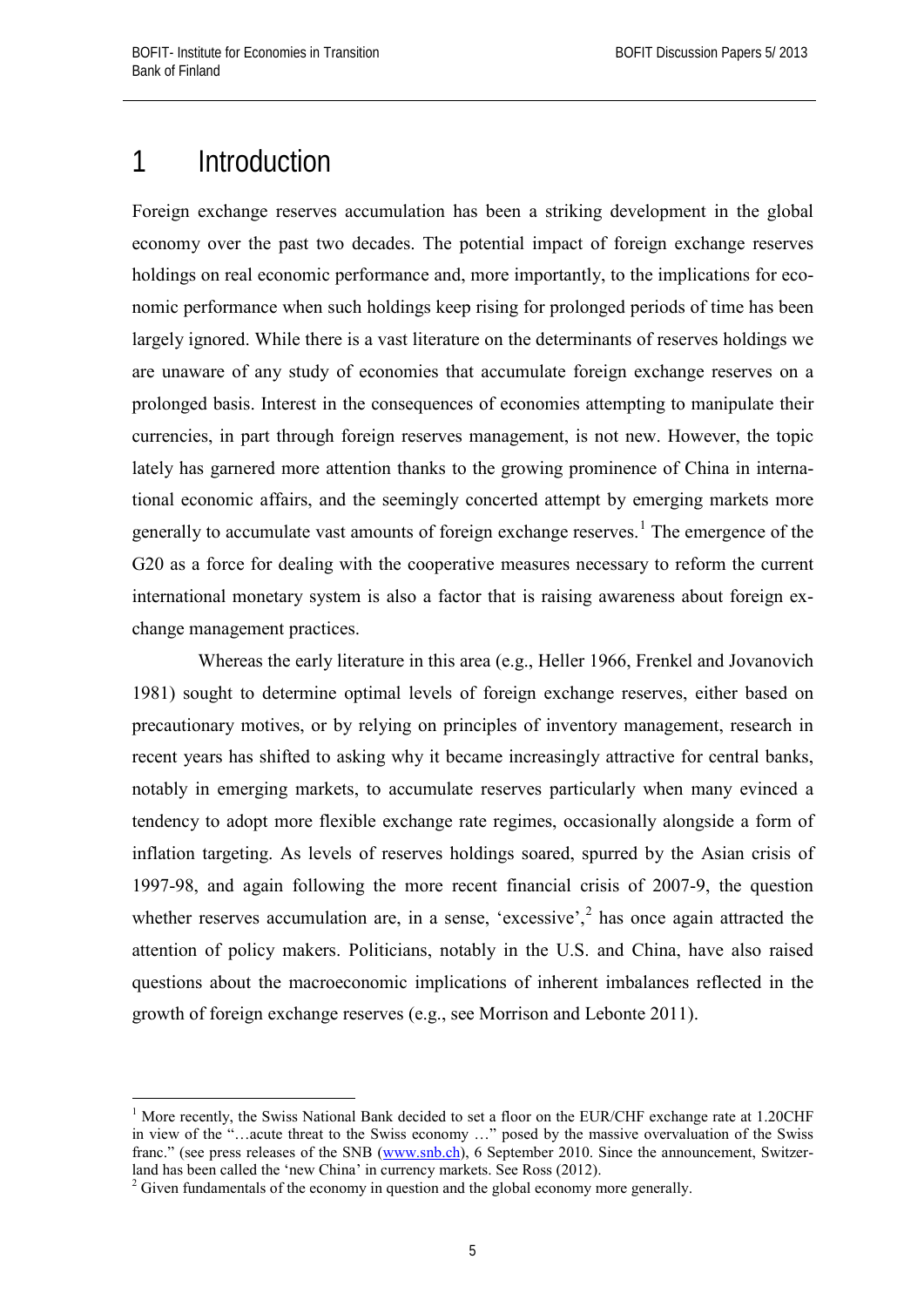## <span id="page-4-0"></span>1 Introduction

-

Foreign exchange reserves accumulation has been a striking development in the global economy over the past two decades. The potential impact of foreign exchange reserves holdings on real economic performance and, more importantly, to the implications for economic performance when such holdings keep rising for prolonged periods of time has been largely ignored. While there is a vast literature on the determinants of reserves holdings we are unaware of any study of economies that accumulate foreign exchange reserves on a prolonged basis. Interest in the consequences of economies attempting to manipulate their currencies, in part through foreign reserves management, is not new. However, the topic lately has garnered more attention thanks to the growing prominence of China in international economic affairs, and the seemingly concerted attempt by emerging markets more generally to accumulate vast amounts of foreign exchange reserves.<sup>[1](#page-4-1)</sup> The emergence of the G20 as a force for dealing with the cooperative measures necessary to reform the current international monetary system is also a factor that is raising awareness about foreign exchange management practices.

Whereas the early literature in this area (e.g., Heller 1966, Frenkel and Jovanovich 1981) sought to determine optimal levels of foreign exchange reserves, either based on precautionary motives, or by relying on principles of inventory management, research in recent years has shifted to asking why it became increasingly attractive for central banks, notably in emerging markets, to accumulate reserves particularly when many evinced a tendency to adopt more flexible exchange rate regimes, occasionally alongside a form of inflation targeting. As levels of reserves holdings soared, spurred by the Asian crisis of 1997-98, and again following the more recent financial crisis of 2007-9, the question whether reserves accumulation are, in a sense, 'excessive',  $2$  has once again attracted the attention of policy makers. Politicians, notably in the U.S. and China, have also raised questions about the macroeconomic implications of inherent imbalances reflected in the growth of foreign exchange reserves (e.g., see Morrison and Lebonte 2011).

<span id="page-4-1"></span> $1$  More recently, the Swiss National Bank decided to set a floor on the EUR/CHF exchange rate at 1.20CHF in view of the "…acute threat to the Swiss economy …" posed by the massive overvaluation of the Swiss franc." (see press releases of the SNB [\(www.snb.ch\)](http://www.snb.ch/), 6 September 2010. Since the announcement, Switzerland has been called the 'new China' in currency markets. See Ross (2012).

<span id="page-4-2"></span> $2$  Given fundamentals of the economy in question and the global economy more generally.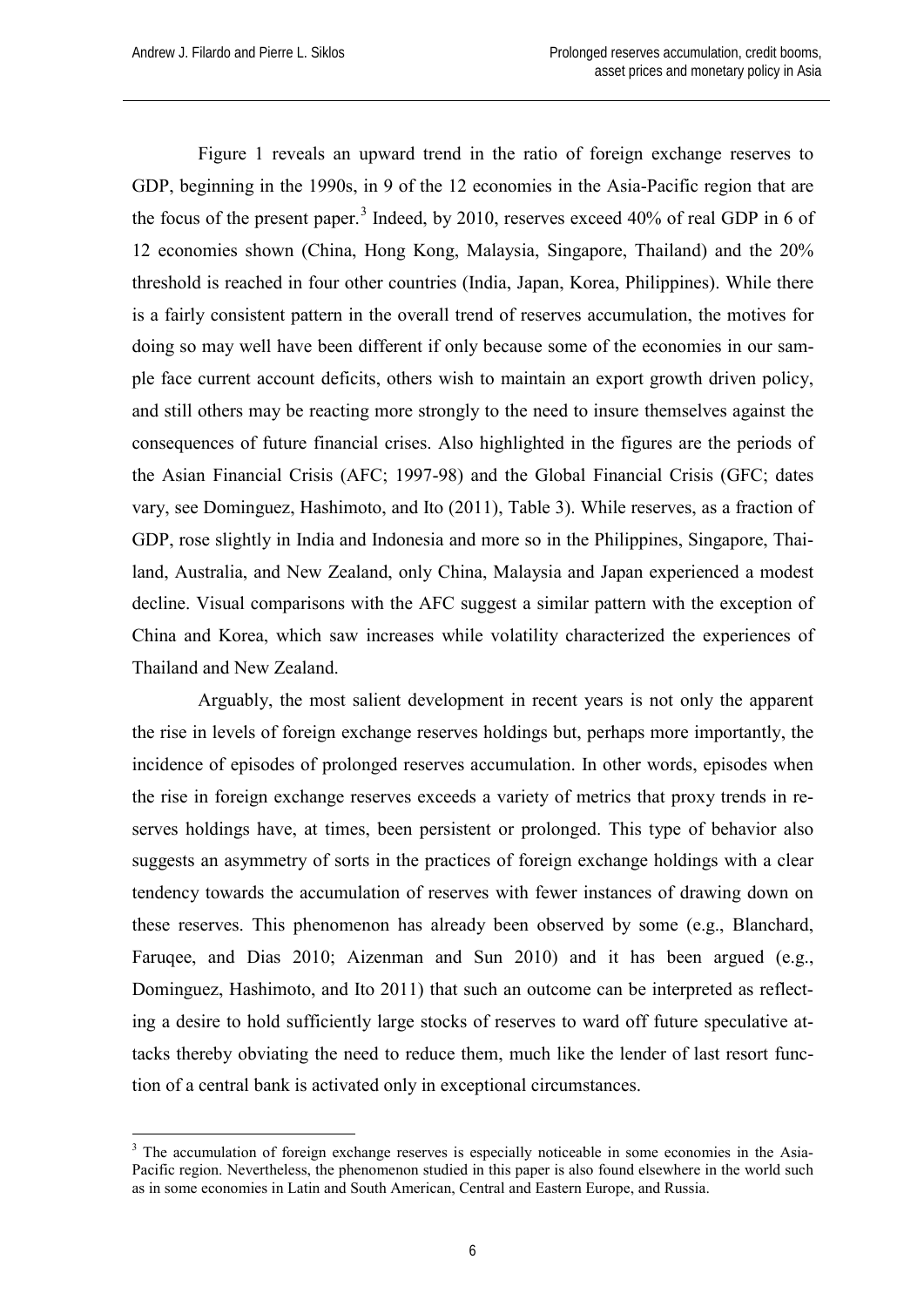Figure 1 reveals an upward trend in the ratio of foreign exchange reserves to GDP, beginning in the 1990s, in 9 of the 12 economies in the Asia-Pacific region that are the focus of the present paper.<sup>[3](#page-5-0)</sup> Indeed, by 2010, reserves exceed 40% of real GDP in 6 of 12 economies shown (China, Hong Kong, Malaysia, Singapore, Thailand) and the 20% threshold is reached in four other countries (India, Japan, Korea, Philippines). While there is a fairly consistent pattern in the overall trend of reserves accumulation, the motives for doing so may well have been different if only because some of the economies in our sample face current account deficits, others wish to maintain an export growth driven policy, and still others may be reacting more strongly to the need to insure themselves against the consequences of future financial crises. Also highlighted in the figures are the periods of the Asian Financial Crisis (AFC; 1997-98) and the Global Financial Crisis (GFC; dates vary, see Dominguez, Hashimoto, and Ito (2011), Table 3). While reserves, as a fraction of GDP, rose slightly in India and Indonesia and more so in the Philippines, Singapore, Thailand, Australia, and New Zealand, only China, Malaysia and Japan experienced a modest decline. Visual comparisons with the AFC suggest a similar pattern with the exception of China and Korea, which saw increases while volatility characterized the experiences of Thailand and New Zealand.

Arguably, the most salient development in recent years is not only the apparent the rise in levels of foreign exchange reserves holdings but, perhaps more importantly, the incidence of episodes of prolonged reserves accumulation. In other words, episodes when the rise in foreign exchange reserves exceeds a variety of metrics that proxy trends in reserves holdings have, at times, been persistent or prolonged. This type of behavior also suggests an asymmetry of sorts in the practices of foreign exchange holdings with a clear tendency towards the accumulation of reserves with fewer instances of drawing down on these reserves. This phenomenon has already been observed by some (e.g., Blanchard, Faruqee, and Dias 2010; Aizenman and Sun 2010) and it has been argued (e.g., Dominguez, Hashimoto, and Ito 2011) that such an outcome can be interpreted as reflecting a desire to hold sufficiently large stocks of reserves to ward off future speculative attacks thereby obviating the need to reduce them, much like the lender of last resort function of a central bank is activated only in exceptional circumstances.

<span id="page-5-0"></span><sup>&</sup>lt;sup>3</sup> The accumulation of foreign exchange reserves is especially noticeable in some economies in the Asia-Pacific region. Nevertheless, the phenomenon studied in this paper is also found elsewhere in the world such as in some economies in Latin and South American, Central and Eastern Europe, and Russia.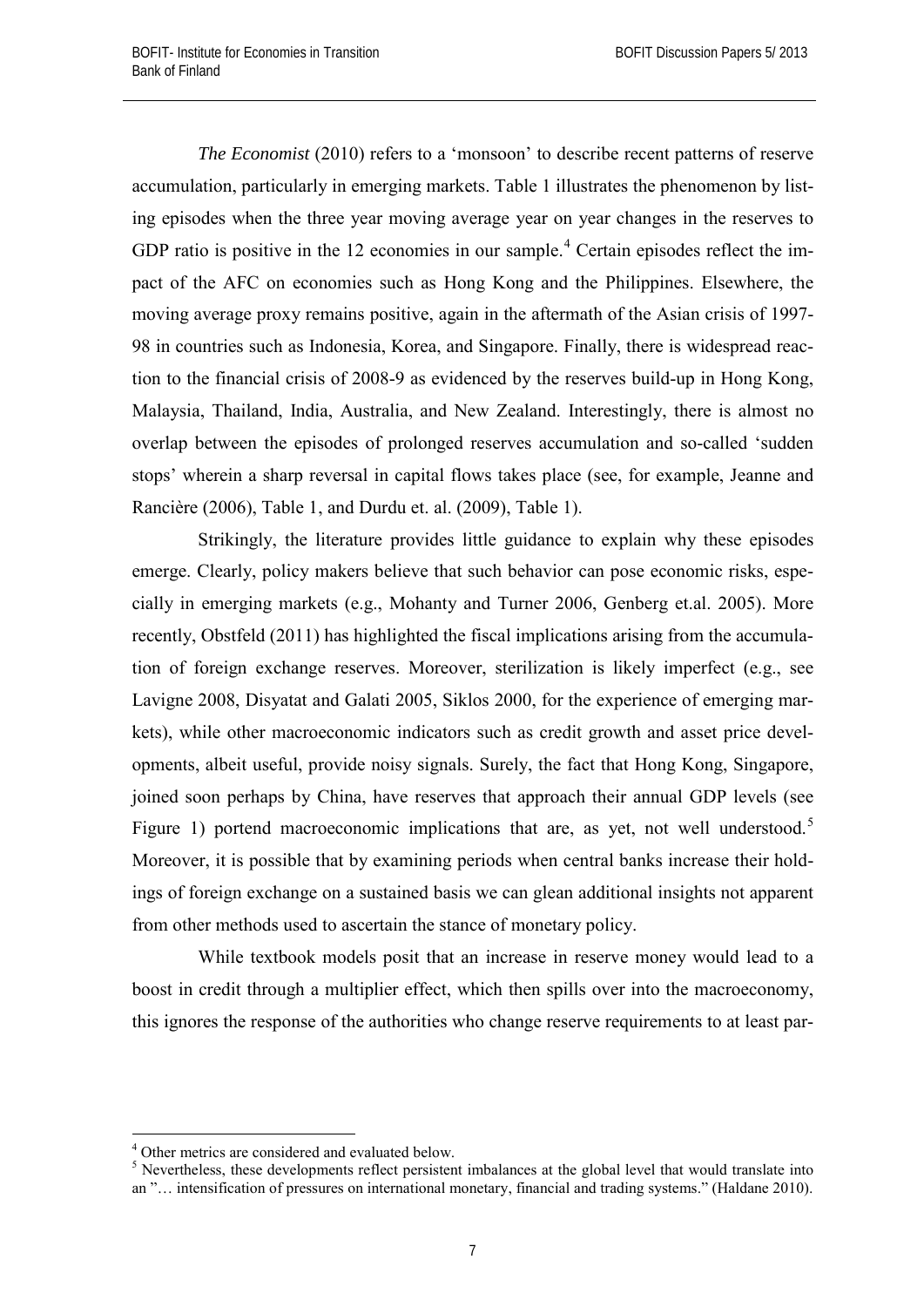*The Economist* (2010) refers to a 'monsoon' to describe recent patterns of reserve accumulation, particularly in emerging markets. Table 1 illustrates the phenomenon by listing episodes when the three year moving average year on year changes in the reserves to GDP ratio is positive in the 12 economies in our sample.<sup>[4](#page-6-0)</sup> Certain episodes reflect the impact of the AFC on economies such as Hong Kong and the Philippines. Elsewhere, the moving average proxy remains positive, again in the aftermath of the Asian crisis of 1997- 98 in countries such as Indonesia, Korea, and Singapore. Finally, there is widespread reaction to the financial crisis of 2008-9 as evidenced by the reserves build-up in Hong Kong, Malaysia, Thailand, India, Australia, and New Zealand. Interestingly, there is almost no overlap between the episodes of prolonged reserves accumulation and so-called 'sudden stops' wherein a sharp reversal in capital flows takes place (see, for example, Jeanne and Rancière (2006), Table 1, and Durdu et. al. (2009), Table 1).

Strikingly, the literature provides little guidance to explain why these episodes emerge. Clearly, policy makers believe that such behavior can pose economic risks, especially in emerging markets (e.g., Mohanty and Turner 2006, Genberg et.al. 2005). More recently, Obstfeld (2011) has highlighted the fiscal implications arising from the accumulation of foreign exchange reserves. Moreover, sterilization is likely imperfect (e.g., see Lavigne 2008, Disyatat and Galati 2005, Siklos 2000, for the experience of emerging markets), while other macroeconomic indicators such as credit growth and asset price developments, albeit useful, provide noisy signals. Surely, the fact that Hong Kong, Singapore, joined soon perhaps by China, have reserves that approach their annual GDP levels (see Figure 1) portend macroeconomic implications that are, as yet, not well understood.<sup>[5](#page-6-1)</sup> Moreover, it is possible that by examining periods when central banks increase their holdings of foreign exchange on a sustained basis we can glean additional insights not apparent from other methods used to ascertain the stance of monetary policy.

While textbook models posit that an increase in reserve money would lead to a boost in credit through a multiplier effect, which then spills over into the macroeconomy, this ignores the response of the authorities who change reserve requirements to at least par-

-

<span id="page-6-0"></span><sup>4</sup> Other metrics are considered and evaluated below.

<span id="page-6-1"></span><sup>&</sup>lt;sup>5</sup> Nevertheless, these developments reflect persistent imbalances at the global level that would translate into an "… intensification of pressures on international monetary, financial and trading systems." (Haldane 2010).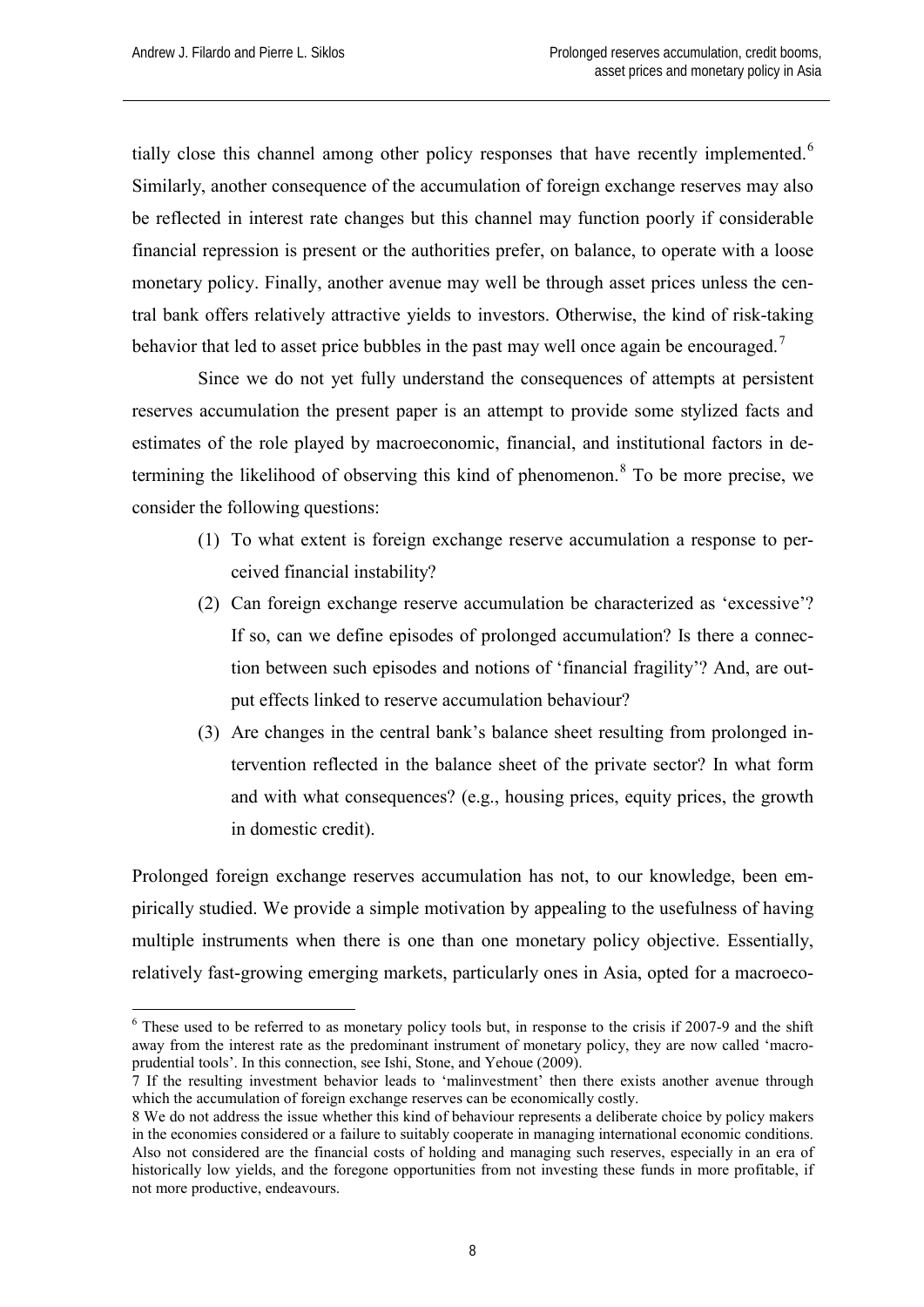tially close this channel among other policy responses that have recently implemented.<sup>[6](#page-7-0)</sup> Similarly, another consequence of the accumulation of foreign exchange reserves may also be reflected in interest rate changes but this channel may function poorly if considerable financial repression is present or the authorities prefer, on balance, to operate with a loose monetary policy. Finally, another avenue may well be through asset prices unless the central bank offers relatively attractive yields to investors. Otherwise, the kind of risk-taking behavior that led to asset price bubbles in the past may well once again be encouraged.<sup>[7](#page-7-1)</sup>

Since we do not yet fully understand the consequences of attempts at persistent reserves accumulation the present paper is an attempt to provide some stylized facts and estimates of the role played by macroeconomic, financial, and institutional factors in de-termining the likelihood of observing this kind of phenomenon.<sup>[8](#page-7-2)</sup> To be more precise, we consider the following questions:

- (1) To what extent is foreign exchange reserve accumulation a response to perceived financial instability?
- (2) Can foreign exchange reserve accumulation be characterized as 'excessive'? If so, can we define episodes of prolonged accumulation? Is there a connection between such episodes and notions of 'financial fragility'? And, are output effects linked to reserve accumulation behaviour?
- (3) Are changes in the central bank's balance sheet resulting from prolonged intervention reflected in the balance sheet of the private sector? In what form and with what consequences? (e.g., housing prices, equity prices, the growth in domestic credit).

Prolonged foreign exchange reserves accumulation has not, to our knowledge, been empirically studied. We provide a simple motivation by appealing to the usefulness of having multiple instruments when there is one than one monetary policy objective. Essentially, relatively fast-growing emerging markets, particularly ones in Asia, opted for a macroeco-

<span id="page-7-0"></span> $6$  These used to be referred to as monetary policy tools but, in response to the crisis if 2007-9 and the shift away from the interest rate as the predominant instrument of monetary policy, they are now called 'macroprudential tools'. In this connection, see Ishi, Stone, and Yehoue (2009).

<span id="page-7-1"></span><sup>7</sup> If the resulting investment behavior leads to 'malinvestment' then there exists another avenue through which the accumulation of foreign exchange reserves can be economically costly.

<span id="page-7-2"></span><sup>8</sup> We do not address the issue whether this kind of behaviour represents a deliberate choice by policy makers in the economies considered or a failure to suitably cooperate in managing international economic conditions. Also not considered are the financial costs of holding and managing such reserves, especially in an era of historically low yields, and the foregone opportunities from not investing these funds in more profitable, if not more productive, endeavours.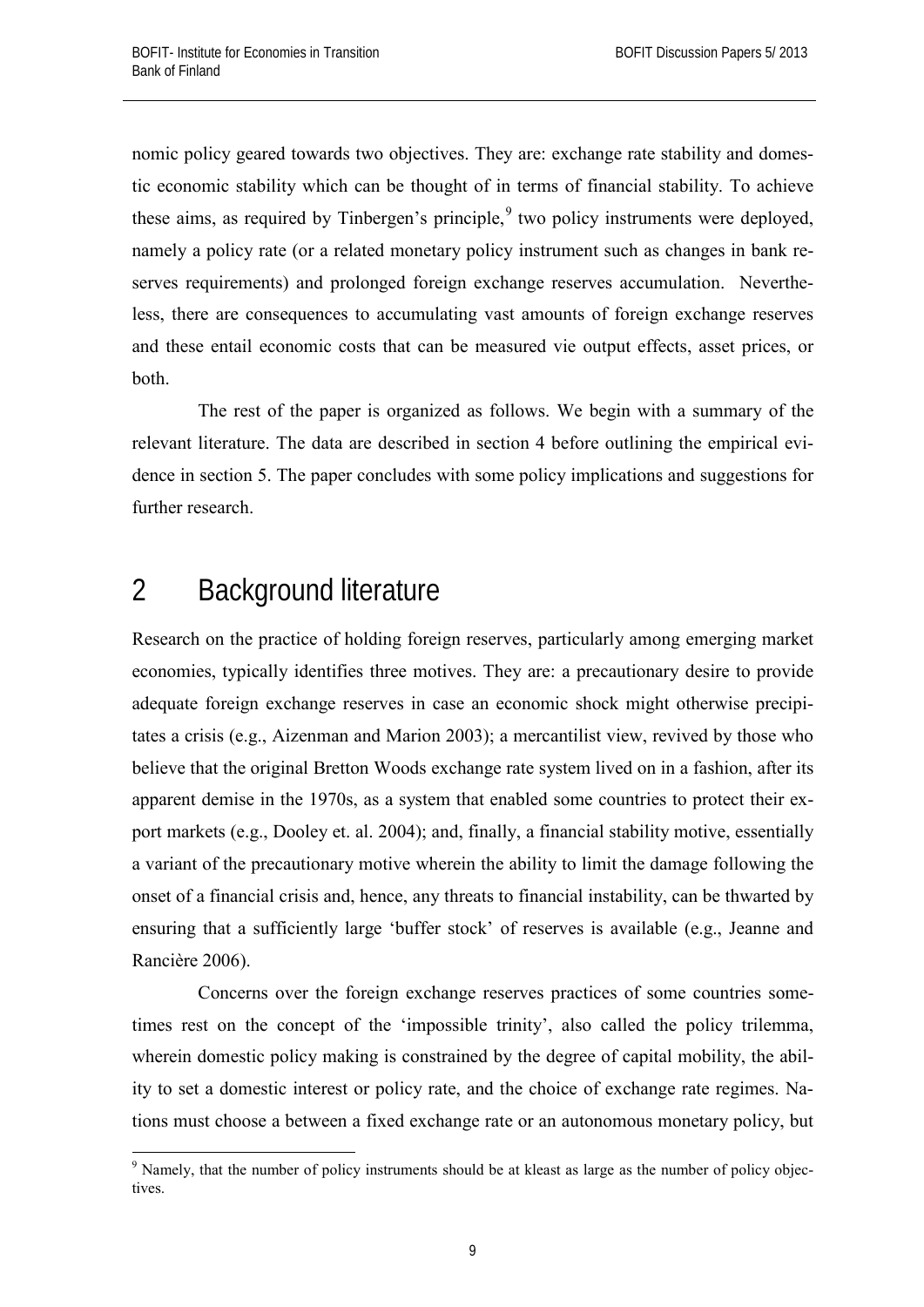nomic policy geared towards two objectives. They are: exchange rate stability and domestic economic stability which can be thought of in terms of financial stability. To achieve these aims, as required by Tinbergen's principle, $9$  two policy instruments were deployed, namely a policy rate (or a related monetary policy instrument such as changes in bank reserves requirements) and prolonged foreign exchange reserves accumulation. Nevertheless, there are consequences to accumulating vast amounts of foreign exchange reserves and these entail economic costs that can be measured vie output effects, asset prices, or both.

The rest of the paper is organized as follows. We begin with a summary of the relevant literature. The data are described in section 4 before outlining the empirical evidence in section 5. The paper concludes with some policy implications and suggestions for further research.

## <span id="page-8-0"></span>2 Background literature

-

Research on the practice of holding foreign reserves, particularly among emerging market economies, typically identifies three motives. They are: a precautionary desire to provide adequate foreign exchange reserves in case an economic shock might otherwise precipitates a crisis (e.g., Aizenman and Marion 2003); a mercantilist view, revived by those who believe that the original Bretton Woods exchange rate system lived on in a fashion, after its apparent demise in the 1970s, as a system that enabled some countries to protect their export markets (e.g., Dooley et. al. 2004); and, finally, a financial stability motive, essentially a variant of the precautionary motive wherein the ability to limit the damage following the onset of a financial crisis and, hence, any threats to financial instability, can be thwarted by ensuring that a sufficiently large 'buffer stock' of reserves is available (e.g., Jeanne and Rancière 2006).

Concerns over the foreign exchange reserves practices of some countries sometimes rest on the concept of the 'impossible trinity', also called the policy trilemma, wherein domestic policy making is constrained by the degree of capital mobility, the ability to set a domestic interest or policy rate, and the choice of exchange rate regimes. Nations must choose a between a fixed exchange rate or an autonomous monetary policy, but

<span id="page-8-1"></span><sup>&</sup>lt;sup>9</sup> Namely, that the number of policy instruments should be at kleast as large as the number of policy objectives.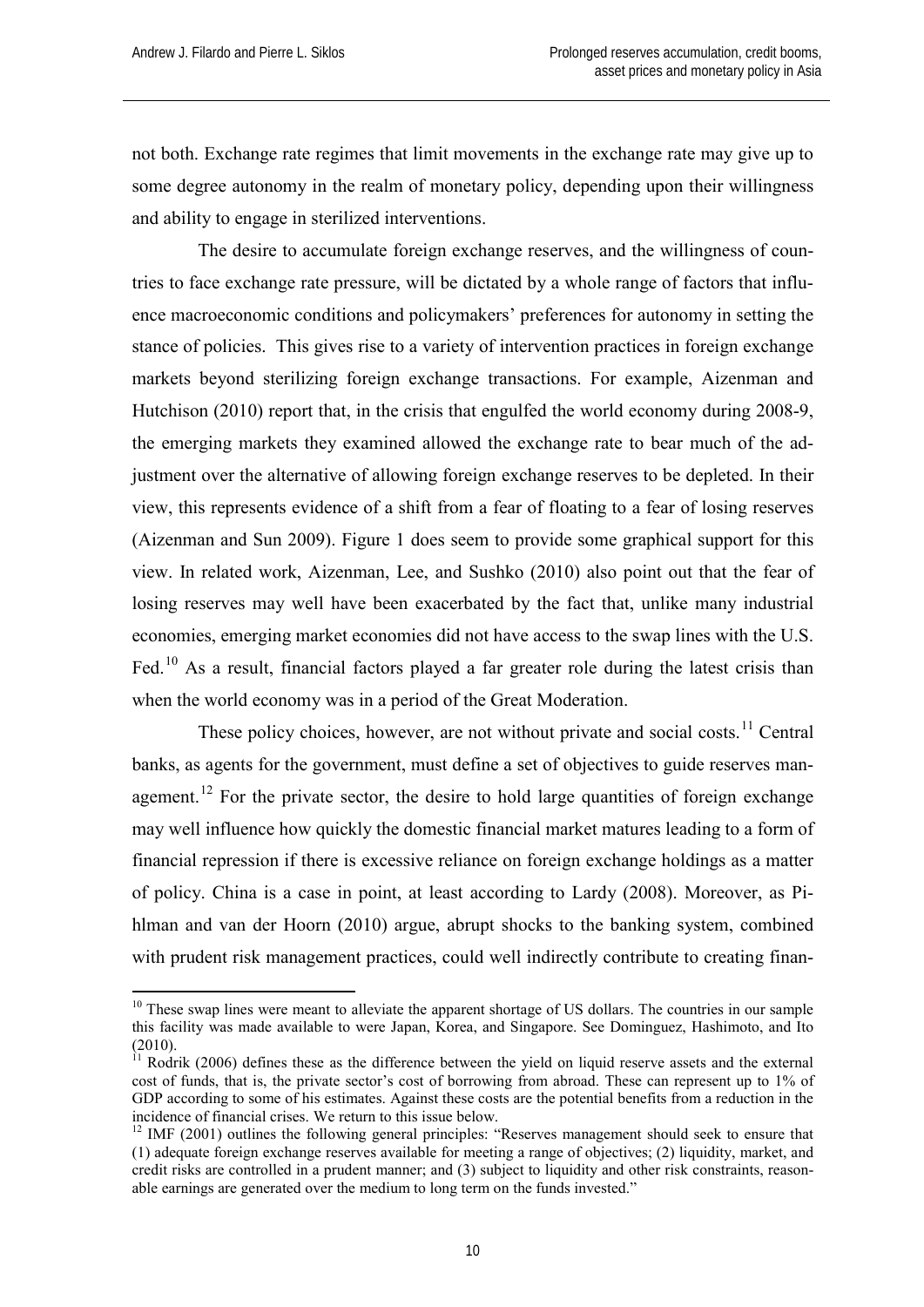not both. Exchange rate regimes that limit movements in the exchange rate may give up to some degree autonomy in the realm of monetary policy, depending upon their willingness and ability to engage in sterilized interventions.

The desire to accumulate foreign exchange reserves, and the willingness of countries to face exchange rate pressure, will be dictated by a whole range of factors that influence macroeconomic conditions and policymakers' preferences for autonomy in setting the stance of policies. This gives rise to a variety of intervention practices in foreign exchange markets beyond sterilizing foreign exchange transactions. For example, Aizenman and Hutchison (2010) report that, in the crisis that engulfed the world economy during 2008-9, the emerging markets they examined allowed the exchange rate to bear much of the adjustment over the alternative of allowing foreign exchange reserves to be depleted. In their view, this represents evidence of a shift from a fear of floating to a fear of losing reserves (Aizenman and Sun 2009). Figure 1 does seem to provide some graphical support for this view. In related work, Aizenman, Lee, and Sushko (2010) also point out that the fear of losing reserves may well have been exacerbated by the fact that, unlike many industrial economies, emerging market economies did not have access to the swap lines with the U.S. Fed.<sup>[10](#page-9-0)</sup> As a result, financial factors played a far greater role during the latest crisis than when the world economy was in a period of the Great Moderation.

These policy choices, however, are not without private and social costs.<sup>[11](#page-9-1)</sup> Central banks, as agents for the government, must define a set of objectives to guide reserves man-agement.<sup>[12](#page-9-2)</sup> For the private sector, the desire to hold large quantities of foreign exchange may well influence how quickly the domestic financial market matures leading to a form of financial repression if there is excessive reliance on foreign exchange holdings as a matter of policy. China is a case in point, at least according to Lardy (2008). Moreover, as Pihlman and van der Hoorn (2010) argue, abrupt shocks to the banking system, combined with prudent risk management practices, could well indirectly contribute to creating finan-

<span id="page-9-0"></span><sup>&</sup>lt;sup>10</sup> These swap lines were meant to alleviate the apparent shortage of US dollars. The countries in our sample this facility was made available to were Japan, Korea, and Singapore. See Dominguez, Hashimoto, and Ito (2010).

<span id="page-9-1"></span><sup>&</sup>lt;sup>11</sup> Rodrik (2006) defines these as the difference between the yield on liquid reserve assets and the external cost of funds, that is, the private sector's cost of borrowing from abroad. These can represent up to 1% of GDP according to some of his estimates. Against these costs are the potential benefits from a reduction in the incidence of financial crises. We return to this issue below.

<span id="page-9-2"></span> $12$  IMF (2001) outlines the following general principles: "Reserves management should seek to ensure that (1) adequate foreign exchange reserves available for meeting a range of objectives; (2) liquidity, market, and credit risks are controlled in a prudent manner; and (3) subject to liquidity and other risk constraints, reasonable earnings are generated over the medium to long term on the funds invested."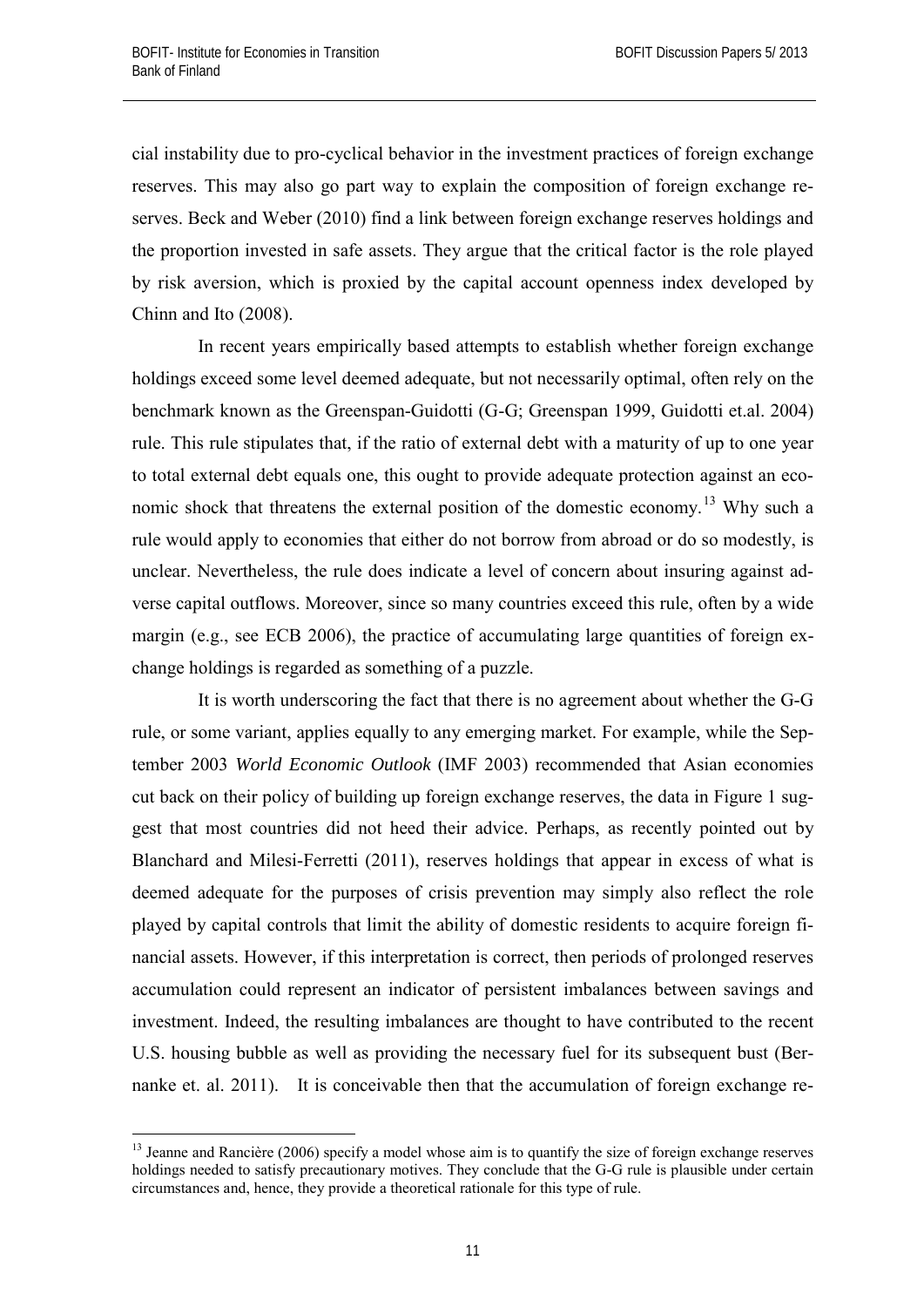cial instability due to pro-cyclical behavior in the investment practices of foreign exchange reserves. This may also go part way to explain the composition of foreign exchange reserves. Beck and Weber (2010) find a link between foreign exchange reserves holdings and the proportion invested in safe assets. They argue that the critical factor is the role played by risk aversion, which is proxied by the capital account openness index developed by Chinn and Ito (2008).

In recent years empirically based attempts to establish whether foreign exchange holdings exceed some level deemed adequate, but not necessarily optimal, often rely on the benchmark known as the Greenspan-Guidotti (G-G; Greenspan 1999, Guidotti et.al. 2004) rule. This rule stipulates that, if the ratio of external debt with a maturity of up to one year to total external debt equals one, this ought to provide adequate protection against an eco-nomic shock that threatens the external position of the domestic economy.<sup>[13](#page-10-0)</sup> Why such a rule would apply to economies that either do not borrow from abroad or do so modestly, is unclear. Nevertheless, the rule does indicate a level of concern about insuring against adverse capital outflows. Moreover, since so many countries exceed this rule, often by a wide margin (e.g., see ECB 2006), the practice of accumulating large quantities of foreign exchange holdings is regarded as something of a puzzle.

It is worth underscoring the fact that there is no agreement about whether the G-G rule, or some variant, applies equally to any emerging market. For example, while the September 2003 *World Economic Outlook* (IMF 2003) recommended that Asian economies cut back on their policy of building up foreign exchange reserves, the data in Figure 1 suggest that most countries did not heed their advice. Perhaps, as recently pointed out by Blanchard and Milesi-Ferretti (2011), reserves holdings that appear in excess of what is deemed adequate for the purposes of crisis prevention may simply also reflect the role played by capital controls that limit the ability of domestic residents to acquire foreign financial assets. However, if this interpretation is correct, then periods of prolonged reserves accumulation could represent an indicator of persistent imbalances between savings and investment. Indeed, the resulting imbalances are thought to have contributed to the recent U.S. housing bubble as well as providing the necessary fuel for its subsequent bust (Bernanke et. al. 2011). It is conceivable then that the accumulation of foreign exchange re-

<span id="page-10-0"></span><sup>&</sup>lt;sup>13</sup> Jeanne and Rancière (2006) specify a model whose aim is to quantify the size of foreign exchange reserves holdings needed to satisfy precautionary motives. They conclude that the G-G rule is plausible under certain circumstances and, hence, they provide a theoretical rationale for this type of rule.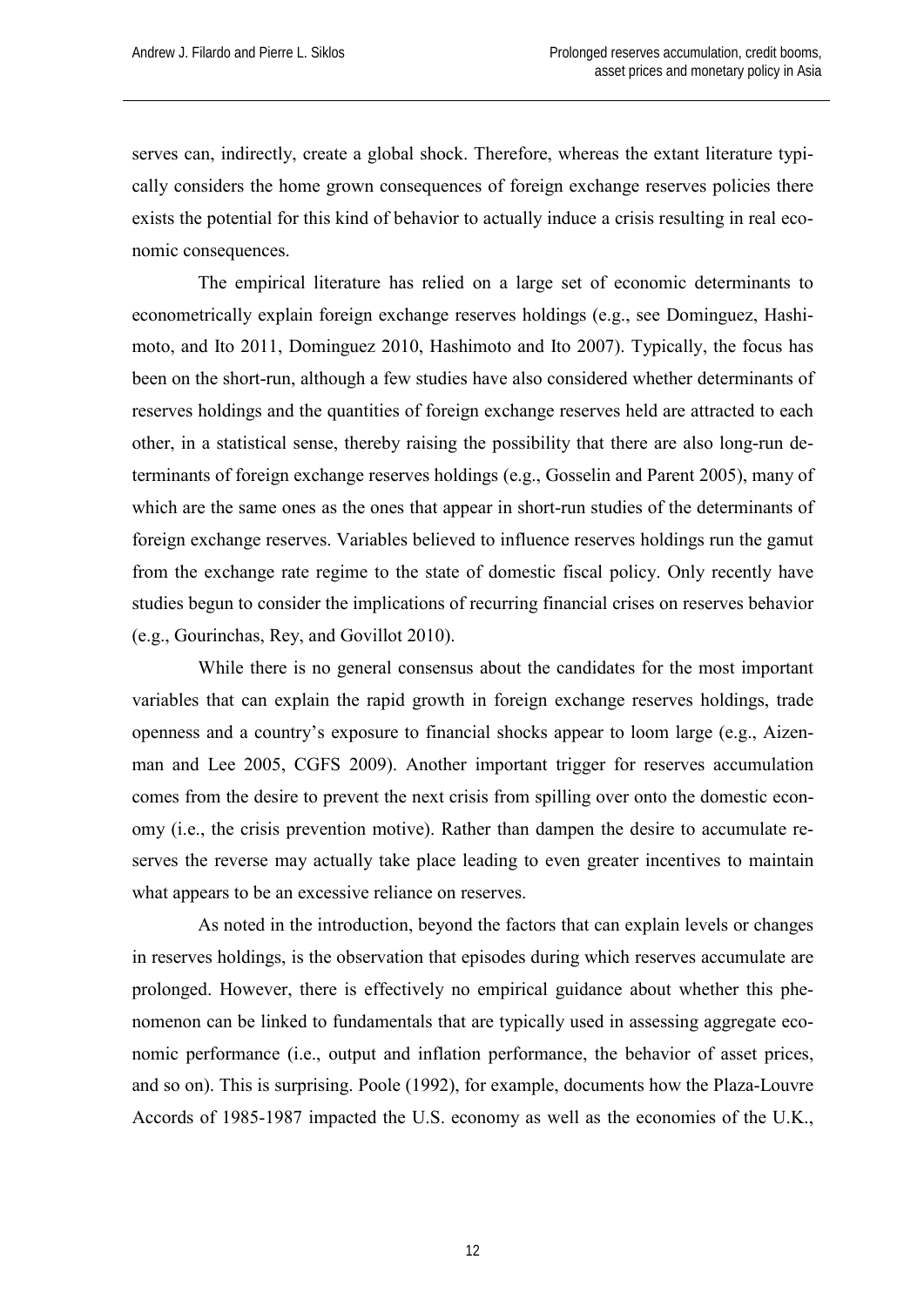serves can, indirectly, create a global shock. Therefore, whereas the extant literature typically considers the home grown consequences of foreign exchange reserves policies there exists the potential for this kind of behavior to actually induce a crisis resulting in real economic consequences.

The empirical literature has relied on a large set of economic determinants to econometrically explain foreign exchange reserves holdings (e.g., see Dominguez, Hashimoto, and Ito 2011, Dominguez 2010, Hashimoto and Ito 2007). Typically, the focus has been on the short-run, although a few studies have also considered whether determinants of reserves holdings and the quantities of foreign exchange reserves held are attracted to each other, in a statistical sense, thereby raising the possibility that there are also long-run determinants of foreign exchange reserves holdings (e.g., Gosselin and Parent 2005), many of which are the same ones as the ones that appear in short-run studies of the determinants of foreign exchange reserves. Variables believed to influence reserves holdings run the gamut from the exchange rate regime to the state of domestic fiscal policy. Only recently have studies begun to consider the implications of recurring financial crises on reserves behavior (e.g., Gourinchas, Rey, and Govillot 2010).

While there is no general consensus about the candidates for the most important variables that can explain the rapid growth in foreign exchange reserves holdings, trade openness and a country's exposure to financial shocks appear to loom large (e.g., Aizenman and Lee 2005, CGFS 2009). Another important trigger for reserves accumulation comes from the desire to prevent the next crisis from spilling over onto the domestic economy (i.e., the crisis prevention motive). Rather than dampen the desire to accumulate reserves the reverse may actually take place leading to even greater incentives to maintain what appears to be an excessive reliance on reserves.

As noted in the introduction, beyond the factors that can explain levels or changes in reserves holdings, is the observation that episodes during which reserves accumulate are prolonged. However, there is effectively no empirical guidance about whether this phenomenon can be linked to fundamentals that are typically used in assessing aggregate economic performance (i.e., output and inflation performance, the behavior of asset prices, and so on). This is surprising. Poole (1992), for example, documents how the Plaza-Louvre Accords of 1985-1987 impacted the U.S. economy as well as the economies of the U.K.,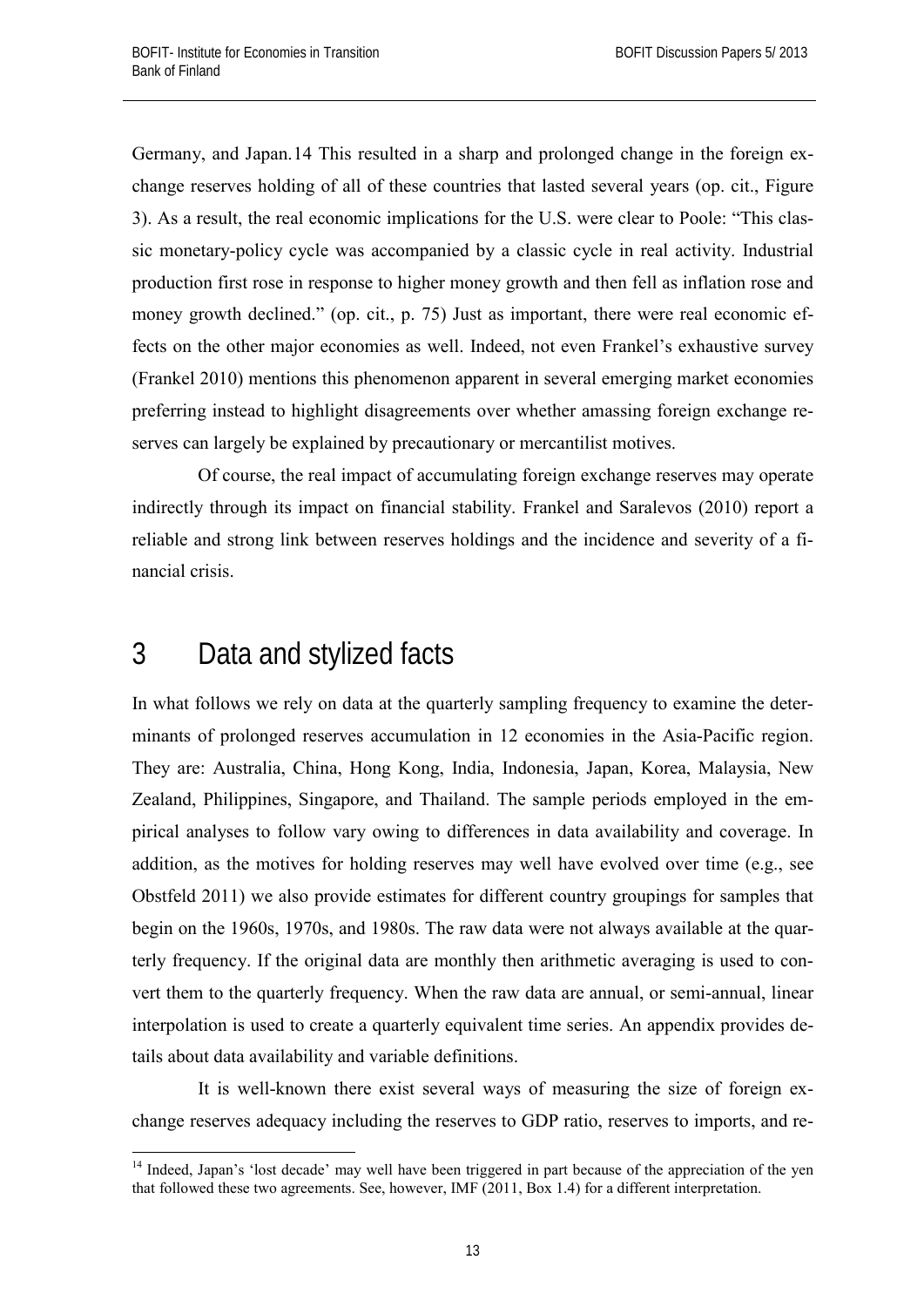Germany, and Japan.[14](#page-12-1) This resulted in a sharp and prolonged change in the foreign exchange reserves holding of all of these countries that lasted several years (op. cit., Figure 3). As a result, the real economic implications for the U.S. were clear to Poole: "This classic monetary-policy cycle was accompanied by a classic cycle in real activity. Industrial production first rose in response to higher money growth and then fell as inflation rose and money growth declined." (op. cit., p. 75) Just as important, there were real economic effects on the other major economies as well. Indeed, not even Frankel's exhaustive survey (Frankel 2010) mentions this phenomenon apparent in several emerging market economies preferring instead to highlight disagreements over whether amassing foreign exchange reserves can largely be explained by precautionary or mercantilist motives.

Of course, the real impact of accumulating foreign exchange reserves may operate indirectly through its impact on financial stability. Frankel and Saralevos (2010) report a reliable and strong link between reserves holdings and the incidence and severity of a financial crisis.

## <span id="page-12-0"></span>3 Data and stylized facts

-

In what follows we rely on data at the quarterly sampling frequency to examine the determinants of prolonged reserves accumulation in 12 economies in the Asia-Pacific region. They are: Australia, China, Hong Kong, India, Indonesia, Japan, Korea, Malaysia, New Zealand, Philippines, Singapore, and Thailand. The sample periods employed in the empirical analyses to follow vary owing to differences in data availability and coverage. In addition, as the motives for holding reserves may well have evolved over time (e.g., see Obstfeld 2011) we also provide estimates for different country groupings for samples that begin on the 1960s, 1970s, and 1980s. The raw data were not always available at the quarterly frequency. If the original data are monthly then arithmetic averaging is used to convert them to the quarterly frequency. When the raw data are annual, or semi-annual, linear interpolation is used to create a quarterly equivalent time series. An appendix provides details about data availability and variable definitions.

It is well-known there exist several ways of measuring the size of foreign exchange reserves adequacy including the reserves to GDP ratio, reserves to imports, and re-

<span id="page-12-1"></span><sup>&</sup>lt;sup>14</sup> Indeed, Japan's 'lost decade' may well have been triggered in part because of the appreciation of the yen that followed these two agreements. See, however, IMF (2011, Box 1.4) for a different interpretation.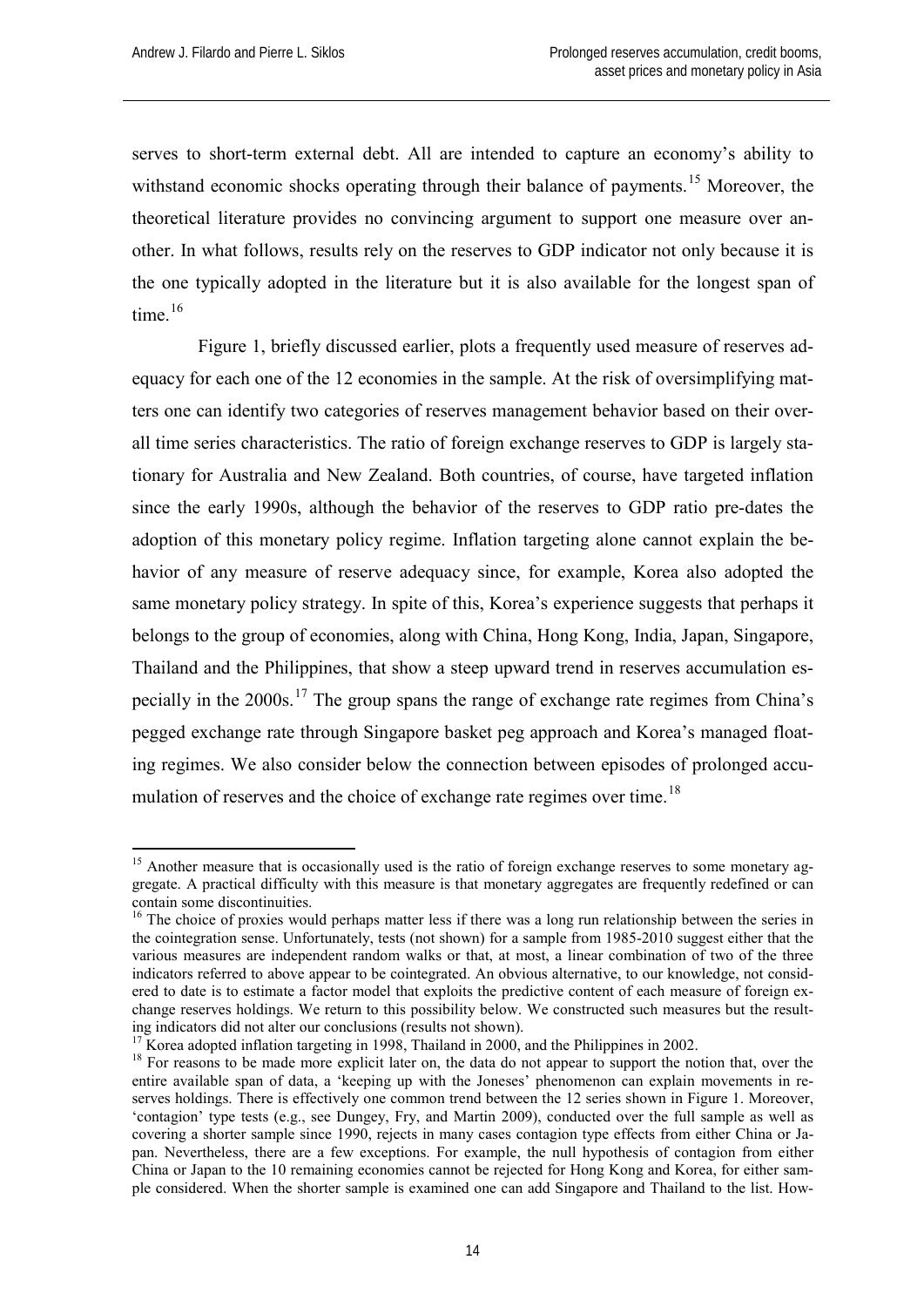serves to short-term external debt. All are intended to capture an economy's ability to withstand economic shocks operating through their balance of payments.<sup>[15](#page-13-0)</sup> Moreover, the theoretical literature provides no convincing argument to support one measure over another. In what follows, results rely on the reserves to GDP indicator not only because it is the one typically adopted in the literature but it is also available for the longest span of time.<sup>[16](#page-13-1)</sup>

Figure 1, briefly discussed earlier, plots a frequently used measure of reserves adequacy for each one of the 12 economies in the sample. At the risk of oversimplifying matters one can identify two categories of reserves management behavior based on their overall time series characteristics. The ratio of foreign exchange reserves to GDP is largely stationary for Australia and New Zealand. Both countries, of course, have targeted inflation since the early 1990s, although the behavior of the reserves to GDP ratio pre-dates the adoption of this monetary policy regime. Inflation targeting alone cannot explain the behavior of any measure of reserve adequacy since, for example, Korea also adopted the same monetary policy strategy. In spite of this, Korea's experience suggests that perhaps it belongs to the group of economies, along with China, Hong Kong, India, Japan, Singapore, Thailand and the Philippines, that show a steep upward trend in reserves accumulation especially in the  $2000s$ .<sup>[17](#page-13-2)</sup> The group spans the range of exchange rate regimes from China's pegged exchange rate through Singapore basket peg approach and Korea's managed floating regimes. We also consider below the connection between episodes of prolonged accumulation of reserves and the choice of exchange rate regimes over time.<sup>18</sup>

<span id="page-13-0"></span><sup>&</sup>lt;sup>15</sup> Another measure that is occasionally used is the ratio of foreign exchange reserves to some monetary aggregate. A practical difficulty with this measure is that monetary aggregates are frequently redefined or can contain some discontinuities.

<span id="page-13-1"></span><sup>&</sup>lt;sup>16</sup> The choice of proxies would perhaps matter less if there was a long run relationship between the series in the cointegration sense. Unfortunately, tests (not shown) for a sample from 1985-2010 suggest either that the various measures are independent random walks or that, at most, a linear combination of two of the three indicators referred to above appear to be cointegrated. An obvious alternative, to our knowledge, not considered to date is to estimate a factor model that exploits the predictive content of each measure of foreign exchange reserves holdings. We return to this possibility below. We constructed such measures but the resulting indicators did not alter our conclusions (results not shown).

 $17$  Korea adopted inflation targeting in 1998, Thailand in 2000, and the Philippines in 2002.

<span id="page-13-3"></span><span id="page-13-2"></span><sup>&</sup>lt;sup>18</sup> For reasons to be made more explicit later on, the data do not appear to support the notion that, over the entire available span of data, a 'keeping up with the Joneses' phenomenon can explain movements in reserves holdings. There is effectively one common trend between the 12 series shown in Figure 1. Moreover, 'contagion' type tests (e.g., see Dungey, Fry, and Martin 2009), conducted over the full sample as well as covering a shorter sample since 1990, rejects in many cases contagion type effects from either China or Japan. Nevertheless, there are a few exceptions. For example, the null hypothesis of contagion from either China or Japan to the 10 remaining economies cannot be rejected for Hong Kong and Korea, for either sample considered. When the shorter sample is examined one can add Singapore and Thailand to the list. How-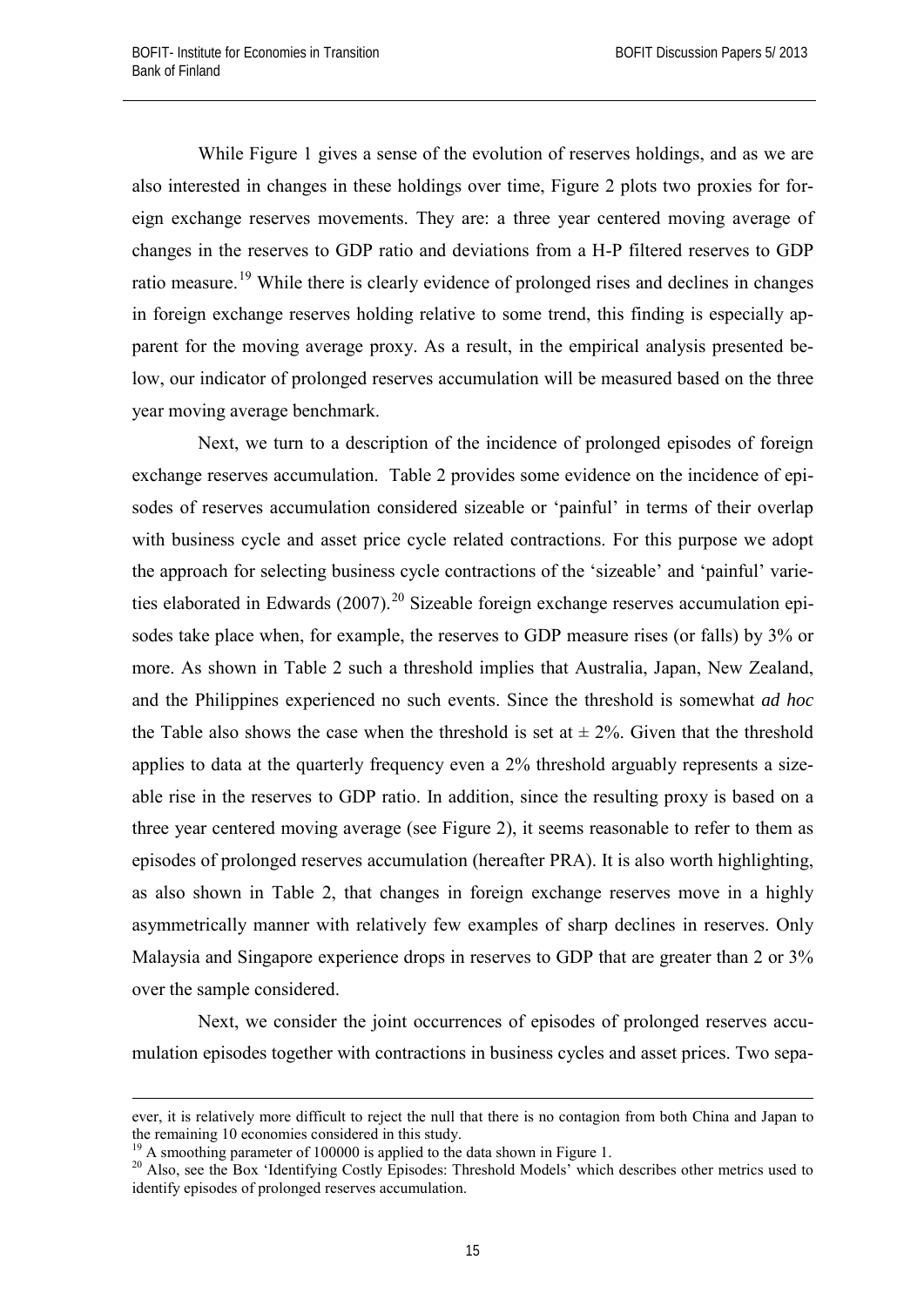While Figure 1 gives a sense of the evolution of reserves holdings, and as we are also interested in changes in these holdings over time, Figure 2 plots two proxies for foreign exchange reserves movements. They are: a three year centered moving average of changes in the reserves to GDP ratio and deviations from a H-P filtered reserves to GDP ratio measure.<sup>[19](#page-14-0)</sup> While there is clearly evidence of prolonged rises and declines in changes in foreign exchange reserves holding relative to some trend, this finding is especially apparent for the moving average proxy. As a result, in the empirical analysis presented below, our indicator of prolonged reserves accumulation will be measured based on the three year moving average benchmark.

Next, we turn to a description of the incidence of prolonged episodes of foreign exchange reserves accumulation. Table 2 provides some evidence on the incidence of episodes of reserves accumulation considered sizeable or 'painful' in terms of their overlap with business cycle and asset price cycle related contractions. For this purpose we adopt the approach for selecting business cycle contractions of the 'sizeable' and 'painful' varieties elaborated in Edwards  $(2007)$  $(2007)$  $(2007)$ <sup>20</sup> Sizeable foreign exchange reserves accumulation episodes take place when, for example, the reserves to GDP measure rises (or falls) by 3% or more. As shown in Table 2 such a threshold implies that Australia, Japan, New Zealand, and the Philippines experienced no such events. Since the threshold is somewhat *ad hoc*  the Table also shows the case when the threshold is set at  $\pm$  2%. Given that the threshold applies to data at the quarterly frequency even a 2% threshold arguably represents a sizeable rise in the reserves to GDP ratio. In addition, since the resulting proxy is based on a three year centered moving average (see Figure 2), it seems reasonable to refer to them as episodes of prolonged reserves accumulation (hereafter PRA). It is also worth highlighting, as also shown in Table 2, that changes in foreign exchange reserves move in a highly asymmetrically manner with relatively few examples of sharp declines in reserves. Only Malaysia and Singapore experience drops in reserves to GDP that are greater than 2 or 3% over the sample considered.

Next, we consider the joint occurrences of episodes of prolonged reserves accumulation episodes together with contractions in business cycles and asset prices. Two sepa-

ever, it is relatively more difficult to reject the null that there is no contagion from both China and Japan to the remaining 10 economies considered in this study.

<sup>&</sup>lt;sup>19</sup> A smoothing parameter of 100000 is applied to the data shown in Figure 1.

<span id="page-14-1"></span><span id="page-14-0"></span><sup>&</sup>lt;sup>20</sup> Also, see the Box 'Identifying Costly Episodes: Threshold Models' which describes other metrics used to identify episodes of prolonged reserves accumulation.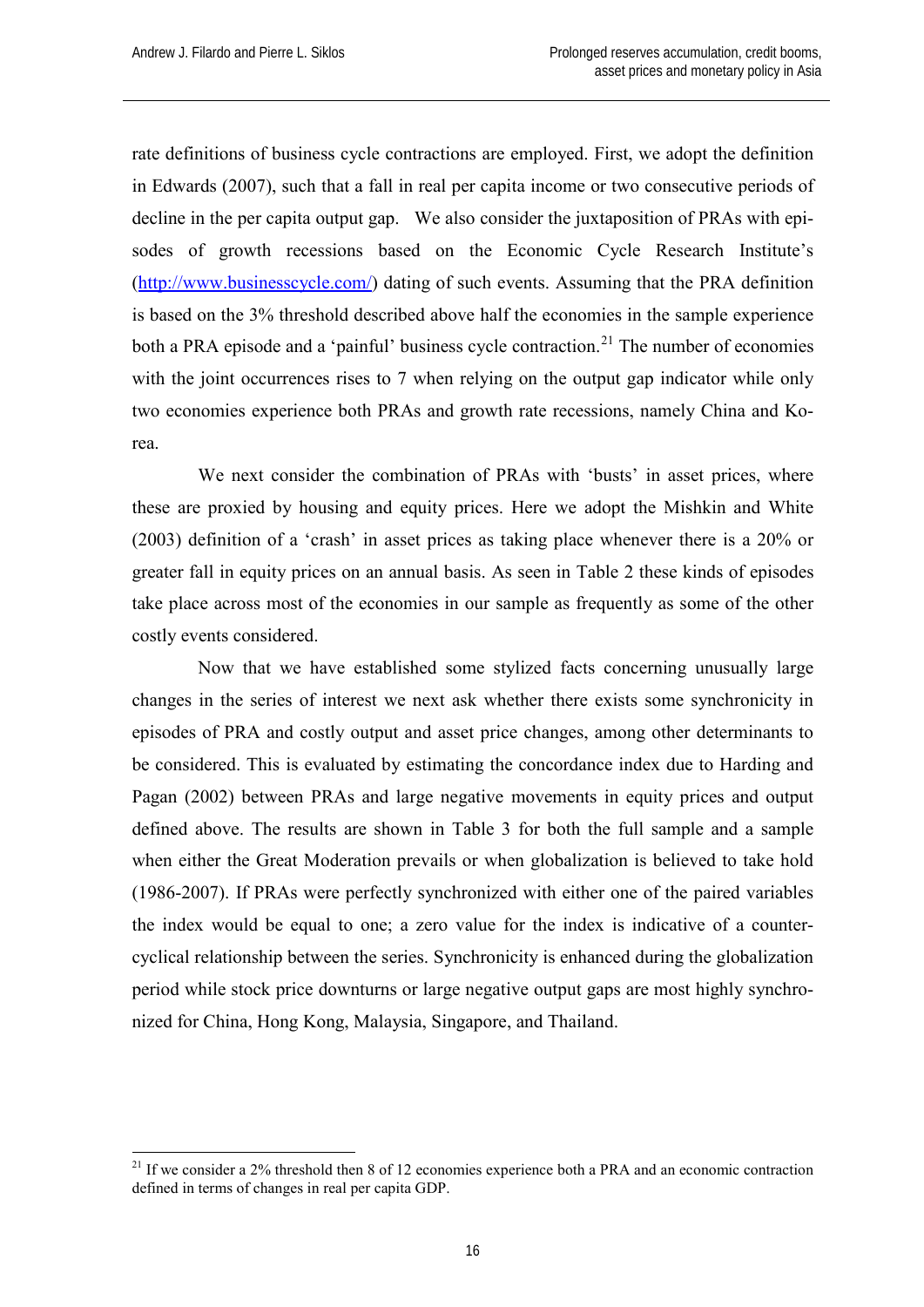rate definitions of business cycle contractions are employed. First, we adopt the definition in Edwards (2007), such that a fall in real per capita income or two consecutive periods of decline in the per capita output gap. We also consider the juxtaposition of PRAs with episodes of growth recessions based on the Economic Cycle Research Institute's [\(http://www.businesscycle.com/\)](http://www.businesscycle.com/) dating of such events. Assuming that the PRA definition is based on the 3% threshold described above half the economies in the sample experience both a PRA episode and a 'painful' business cycle contraction.<sup>[21](#page-15-0)</sup> The number of economies with the joint occurrences rises to 7 when relying on the output gap indicator while only two economies experience both PRAs and growth rate recessions, namely China and Korea.

We next consider the combination of PRAs with 'busts' in asset prices, where these are proxied by housing and equity prices. Here we adopt the Mishkin and White (2003) definition of a 'crash' in asset prices as taking place whenever there is a 20% or greater fall in equity prices on an annual basis. As seen in Table 2 these kinds of episodes take place across most of the economies in our sample as frequently as some of the other costly events considered.

Now that we have established some stylized facts concerning unusually large changes in the series of interest we next ask whether there exists some synchronicity in episodes of PRA and costly output and asset price changes, among other determinants to be considered. This is evaluated by estimating the concordance index due to Harding and Pagan (2002) between PRAs and large negative movements in equity prices and output defined above. The results are shown in Table 3 for both the full sample and a sample when either the Great Moderation prevails or when globalization is believed to take hold (1986-2007). If PRAs were perfectly synchronized with either one of the paired variables the index would be equal to one; a zero value for the index is indicative of a countercyclical relationship between the series. Synchronicity is enhanced during the globalization period while stock price downturns or large negative output gaps are most highly synchronized for China, Hong Kong, Malaysia, Singapore, and Thailand.

<span id="page-15-0"></span><sup>&</sup>lt;sup>21</sup> If we consider a 2% threshold then 8 of 12 economies experience both a PRA and an economic contraction defined in terms of changes in real per capita GDP.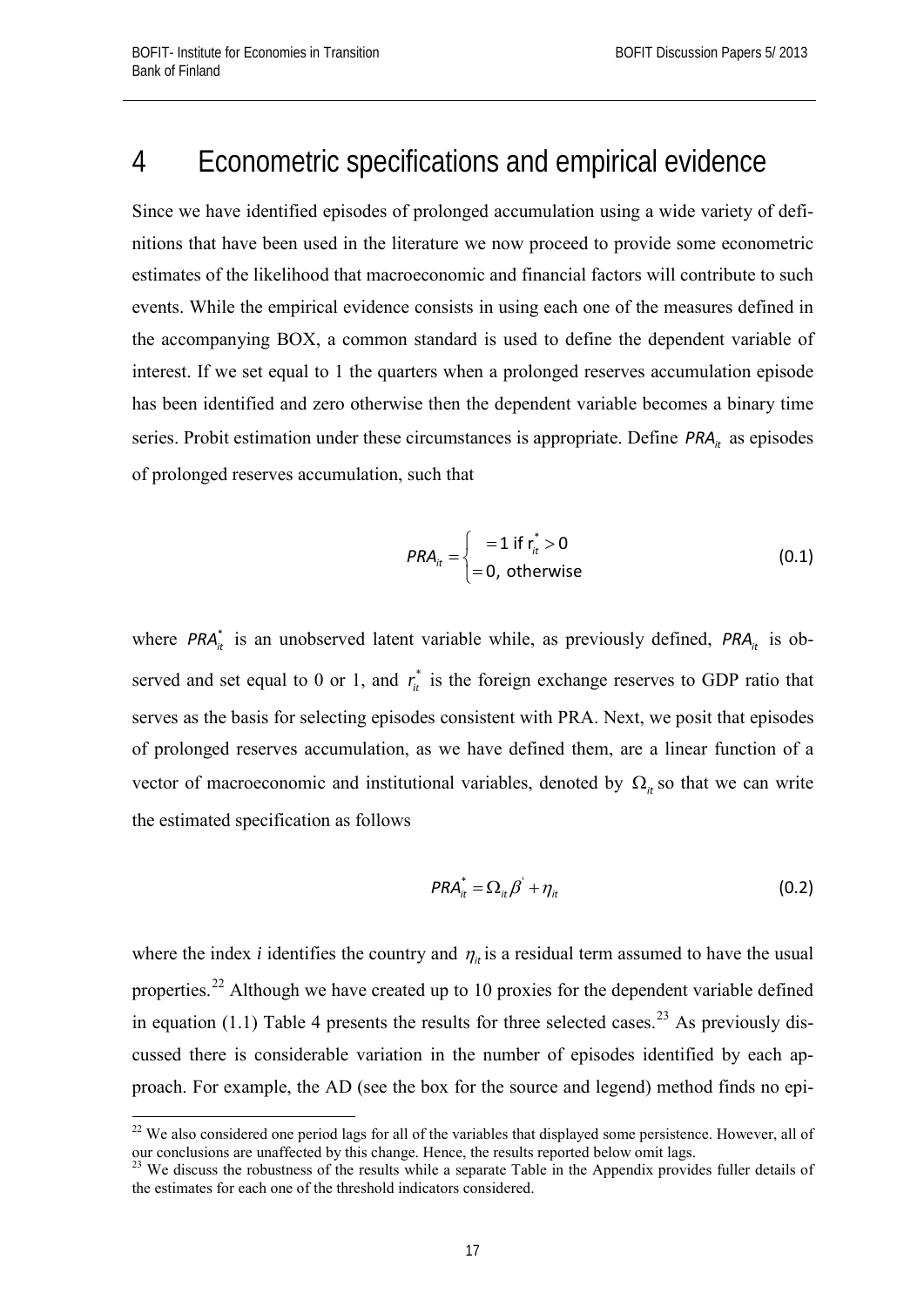## <span id="page-16-0"></span>4 Econometric specifications and empirical evidence

Since we have identified episodes of prolonged accumulation using a wide variety of definitions that have been used in the literature we now proceed to provide some econometric estimates of the likelihood that macroeconomic and financial factors will contribute to such events. While the empirical evidence consists in using each one of the measures defined in the accompanying BOX, a common standard is used to define the dependent variable of interest. If we set equal to 1 the quarters when a prolonged reserves accumulation episode has been identified and zero otherwise then the dependent variable becomes a binary time series. Probit estimation under these circumstances is appropriate. Define  $PRA<sub>it</sub>$  as episodes of prolonged reserves accumulation, such that

$$
PRA_{it} = \begin{cases} =1 \text{ if } r_{it}^* > 0 \\ = 0, \text{ otherwise} \end{cases}
$$
 (0.1)

where  $PRA_{it}^*$  is an unobserved latent variable while, as previously defined,  $PRA_{it}$  is observed and set equal to 0 or 1, and  $r_{\rm i}^*$  is the foreign exchange reserves to GDP ratio that serves as the basis for selecting episodes consistent with PRA. Next, we posit that episodes of prolonged reserves accumulation, as we have defined them, are a linear function of a vector of macroeconomic and institutional variables, denoted by  $\Omega_i$  so that we can write the estimated specification as follows

$$
PRA_{it}^* = \Omega_{it} \beta^{\dagger} + \eta_{it}
$$
 (0.2)

where the index *i* identifies the country and  $\eta_{it}$  is a residual term assumed to have the usual properties.<sup>[22](#page-16-1)</sup> Although we have created up to 10 proxies for the dependent variable defined in equation (1.1) Table 4 presents the results for three selected cases.<sup>[23](#page-16-2)</sup> As previously discussed there is considerable variation in the number of episodes identified by each approach. For example, the AD (see the box for the source and legend) method finds no epi-

<span id="page-16-1"></span> $22$  We also considered one period lags for all of the variables that displayed some persistence. However, all of our conclusions are unaffected by this change. Hence, the results reported below omit lags.

<span id="page-16-2"></span><sup>&</sup>lt;sup>23</sup> We discuss the robustness of the results while a separate Table in the Appendix provides fuller details of the estimates for each one of the threshold indicators considered.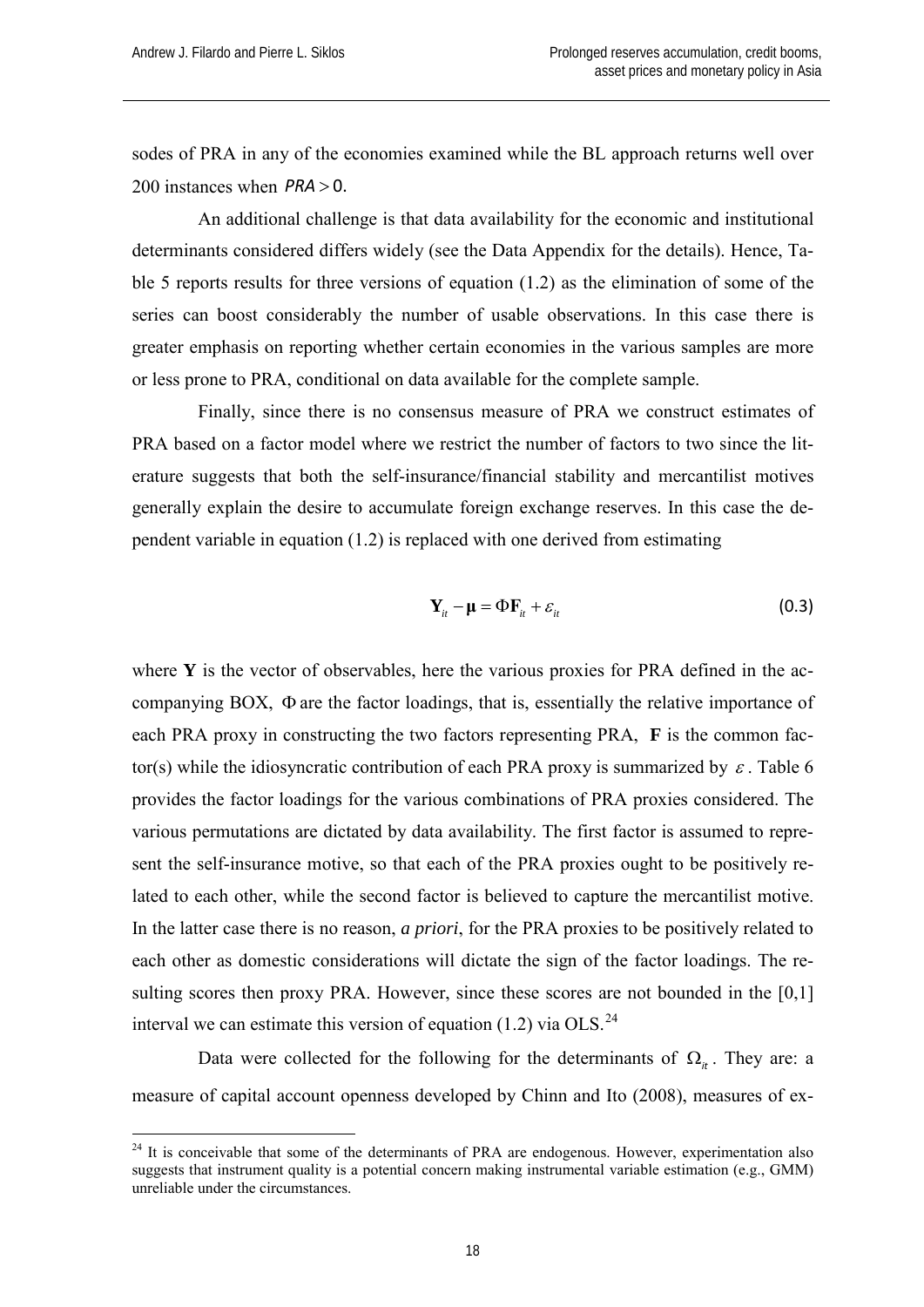sodes of PRA in any of the economies examined while the BL approach returns well over 200 instances when *PRA* > 0.

An additional challenge is that data availability for the economic and institutional determinants considered differs widely (see the Data Appendix for the details). Hence, Table 5 reports results for three versions of equation (1.2) as the elimination of some of the series can boost considerably the number of usable observations. In this case there is greater emphasis on reporting whether certain economies in the various samples are more or less prone to PRA, conditional on data available for the complete sample.

Finally, since there is no consensus measure of PRA we construct estimates of PRA based on a factor model where we restrict the number of factors to two since the literature suggests that both the self-insurance/financial stability and mercantilist motives generally explain the desire to accumulate foreign exchange reserves. In this case the dependent variable in equation (1.2) is replaced with one derived from estimating

$$
\mathbf{Y}_{it} - \mathbf{\mu} = \Phi \mathbf{F}_{it} + \varepsilon_{it} \tag{0.3}
$$

where  $Y$  is the vector of observables, here the various proxies for PRA defined in the accompanying BOX, Φ are the factor loadings, that is, essentially the relative importance of each PRA proxy in constructing the two factors representing PRA, **F** is the common factor(s) while the idiosyncratic contribution of each PRA proxy is summarized by  $\varepsilon$ . Table 6 provides the factor loadings for the various combinations of PRA proxies considered. The various permutations are dictated by data availability. The first factor is assumed to represent the self-insurance motive, so that each of the PRA proxies ought to be positively related to each other, while the second factor is believed to capture the mercantilist motive. In the latter case there is no reason, *a priori*, for the PRA proxies to be positively related to each other as domestic considerations will dictate the sign of the factor loadings. The resulting scores then proxy PRA. However, since these scores are not bounded in the [0,1] interval we can estimate this version of equation  $(1.2)$  via OLS.<sup>[24](#page-17-0)</sup>

Data were collected for the following for the determinants of  $\Omega_{i}$ . They are: a measure of capital account openness developed by Chinn and Ito (2008), measures of ex-

<span id="page-17-0"></span><sup>&</sup>lt;sup>24</sup> It is conceivable that some of the determinants of PRA are endogenous. However, experimentation also suggests that instrument quality is a potential concern making instrumental variable estimation (e.g., GMM) unreliable under the circumstances.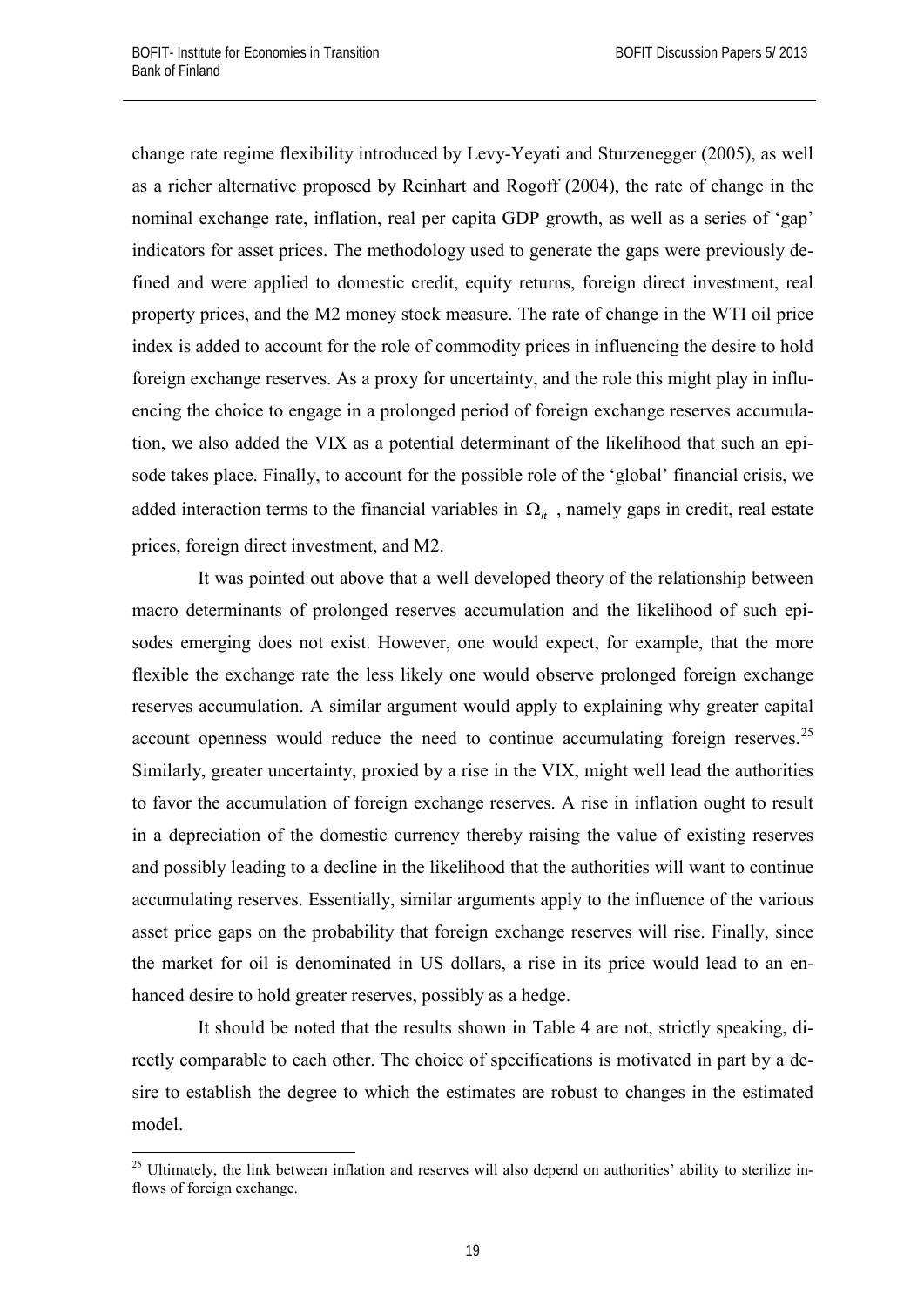change rate regime flexibility introduced by Levy-Yeyati and Sturzenegger (2005), as well as a richer alternative proposed by Reinhart and Rogoff (2004), the rate of change in the nominal exchange rate, inflation, real per capita GDP growth, as well as a series of 'gap' indicators for asset prices. The methodology used to generate the gaps were previously defined and were applied to domestic credit, equity returns, foreign direct investment, real property prices, and the M2 money stock measure. The rate of change in the WTI oil price index is added to account for the role of commodity prices in influencing the desire to hold foreign exchange reserves. As a proxy for uncertainty, and the role this might play in influencing the choice to engage in a prolonged period of foreign exchange reserves accumulation, we also added the VIX as a potential determinant of the likelihood that such an episode takes place. Finally, to account for the possible role of the 'global' financial crisis, we added interaction terms to the financial variables in  $\Omega_{it}$ , namely gaps in credit, real estate prices, foreign direct investment, and M2.

It was pointed out above that a well developed theory of the relationship between macro determinants of prolonged reserves accumulation and the likelihood of such episodes emerging does not exist. However, one would expect, for example, that the more flexible the exchange rate the less likely one would observe prolonged foreign exchange reserves accumulation. A similar argument would apply to explaining why greater capital account openness would reduce the need to continue accumulating foreign reserves.<sup>[25](#page-18-0)</sup> Similarly, greater uncertainty, proxied by a rise in the VIX, might well lead the authorities to favor the accumulation of foreign exchange reserves. A rise in inflation ought to result in a depreciation of the domestic currency thereby raising the value of existing reserves and possibly leading to a decline in the likelihood that the authorities will want to continue accumulating reserves. Essentially, similar arguments apply to the influence of the various asset price gaps on the probability that foreign exchange reserves will rise. Finally, since the market for oil is denominated in US dollars, a rise in its price would lead to an enhanced desire to hold greater reserves, possibly as a hedge.

It should be noted that the results shown in Table 4 are not, strictly speaking, directly comparable to each other. The choice of specifications is motivated in part by a desire to establish the degree to which the estimates are robust to changes in the estimated model.

<span id="page-18-0"></span><sup>&</sup>lt;sup>25</sup> Ultimately, the link between inflation and reserves will also depend on authorities' ability to sterilize inflows of foreign exchange.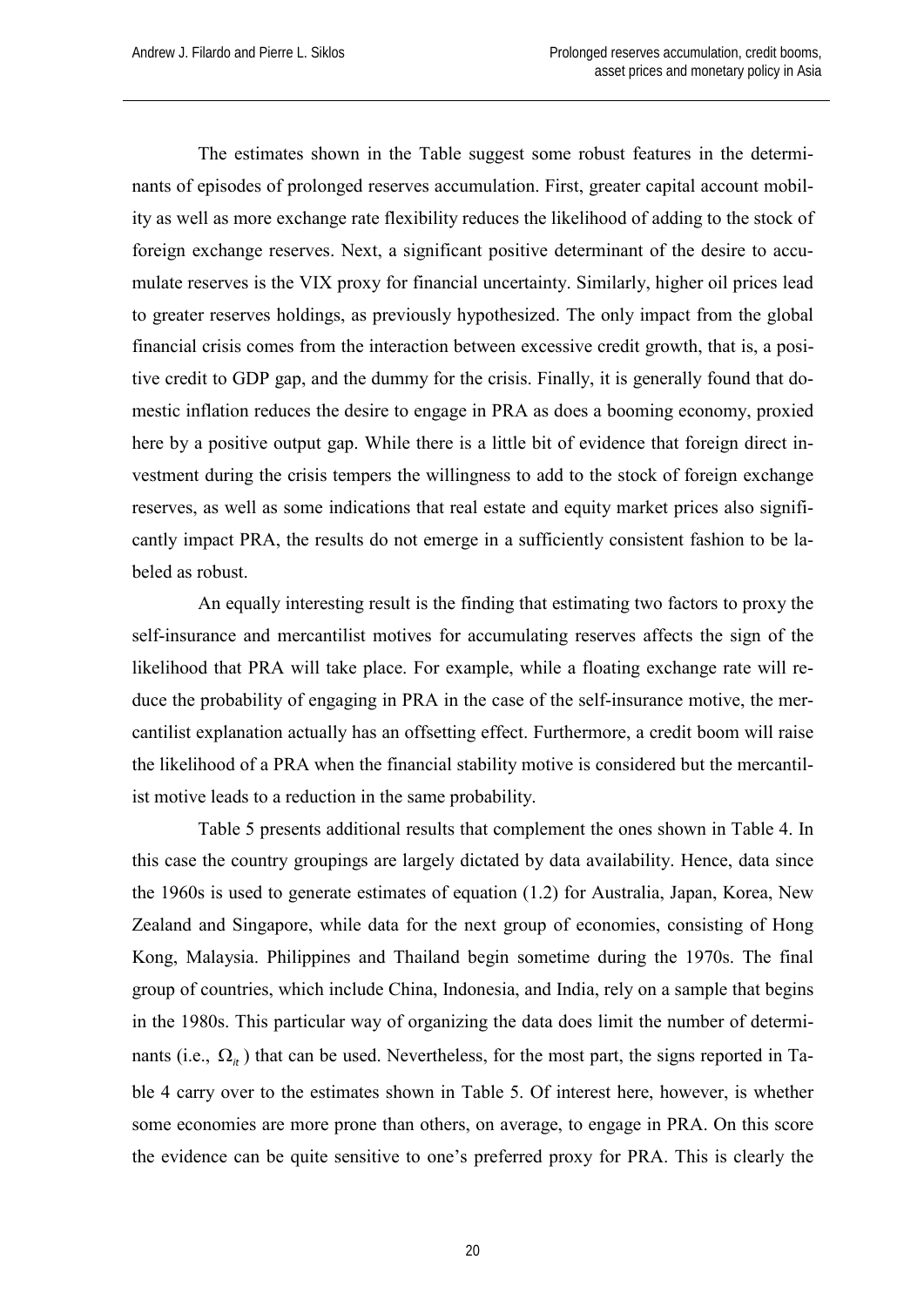The estimates shown in the Table suggest some robust features in the determinants of episodes of prolonged reserves accumulation. First, greater capital account mobility as well as more exchange rate flexibility reduces the likelihood of adding to the stock of foreign exchange reserves. Next, a significant positive determinant of the desire to accumulate reserves is the VIX proxy for financial uncertainty. Similarly, higher oil prices lead to greater reserves holdings, as previously hypothesized. The only impact from the global financial crisis comes from the interaction between excessive credit growth, that is, a positive credit to GDP gap, and the dummy for the crisis. Finally, it is generally found that domestic inflation reduces the desire to engage in PRA as does a booming economy, proxied here by a positive output gap. While there is a little bit of evidence that foreign direct investment during the crisis tempers the willingness to add to the stock of foreign exchange reserves, as well as some indications that real estate and equity market prices also significantly impact PRA, the results do not emerge in a sufficiently consistent fashion to be labeled as robust.

An equally interesting result is the finding that estimating two factors to proxy the self-insurance and mercantilist motives for accumulating reserves affects the sign of the likelihood that PRA will take place. For example, while a floating exchange rate will reduce the probability of engaging in PRA in the case of the self-insurance motive, the mercantilist explanation actually has an offsetting effect. Furthermore, a credit boom will raise the likelihood of a PRA when the financial stability motive is considered but the mercantilist motive leads to a reduction in the same probability.

Table 5 presents additional results that complement the ones shown in Table 4. In this case the country groupings are largely dictated by data availability. Hence, data since the 1960s is used to generate estimates of equation (1.2) for Australia, Japan, Korea, New Zealand and Singapore, while data for the next group of economies, consisting of Hong Kong, Malaysia. Philippines and Thailand begin sometime during the 1970s. The final group of countries, which include China, Indonesia, and India, rely on a sample that begins in the 1980s. This particular way of organizing the data does limit the number of determinants (i.e.,  $\Omega_{it}$ ) that can be used. Nevertheless, for the most part, the signs reported in Table 4 carry over to the estimates shown in Table 5. Of interest here, however, is whether some economies are more prone than others, on average, to engage in PRA. On this score the evidence can be quite sensitive to one's preferred proxy for PRA. This is clearly the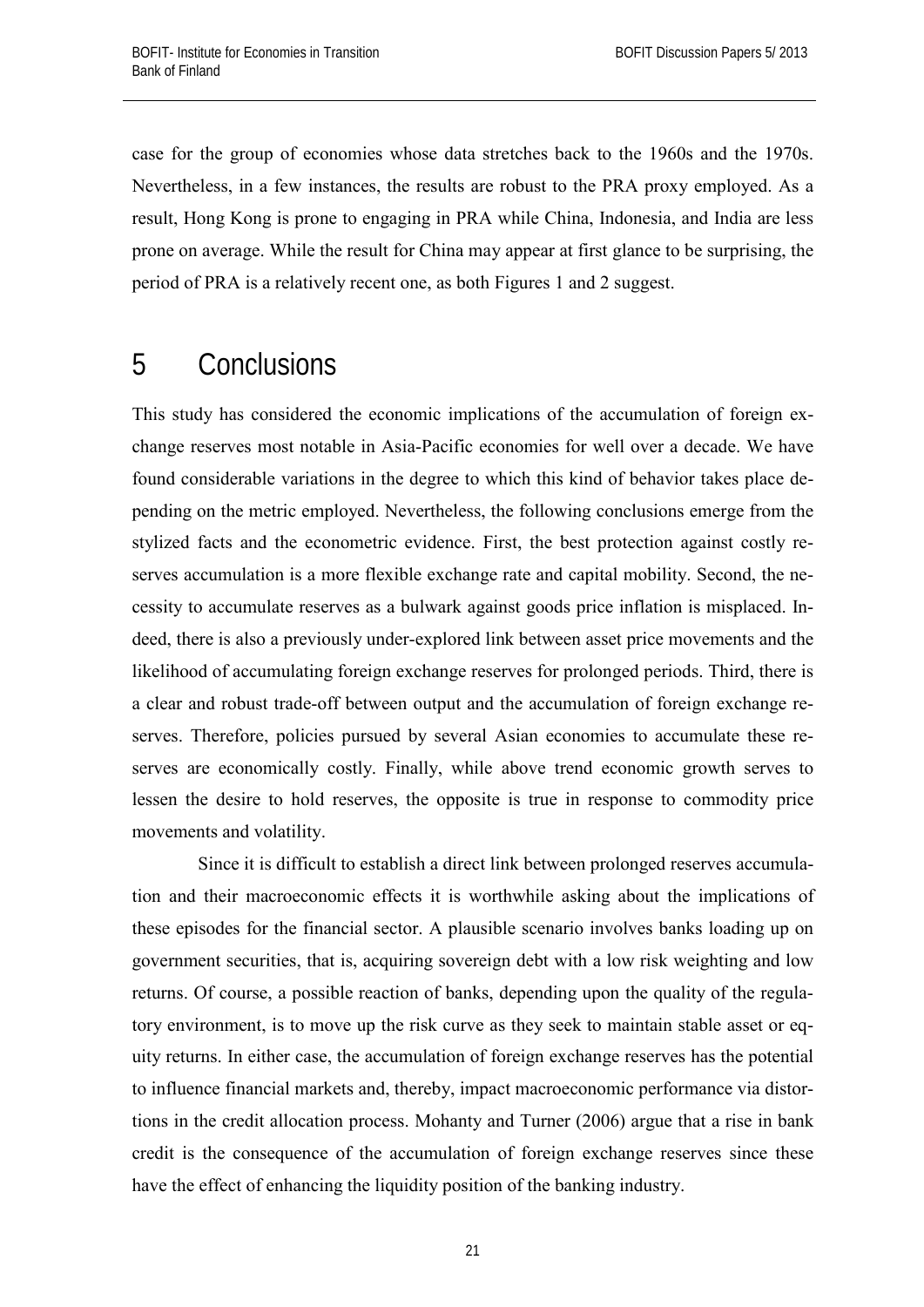case for the group of economies whose data stretches back to the 1960s and the 1970s. Nevertheless, in a few instances, the results are robust to the PRA proxy employed. As a result, Hong Kong is prone to engaging in PRA while China, Indonesia, and India are less prone on average. While the result for China may appear at first glance to be surprising, the period of PRA is a relatively recent one, as both Figures 1 and 2 suggest.

## <span id="page-20-0"></span>5 Conclusions

This study has considered the economic implications of the accumulation of foreign exchange reserves most notable in Asia-Pacific economies for well over a decade. We have found considerable variations in the degree to which this kind of behavior takes place depending on the metric employed. Nevertheless, the following conclusions emerge from the stylized facts and the econometric evidence. First, the best protection against costly reserves accumulation is a more flexible exchange rate and capital mobility. Second, the necessity to accumulate reserves as a bulwark against goods price inflation is misplaced. Indeed, there is also a previously under-explored link between asset price movements and the likelihood of accumulating foreign exchange reserves for prolonged periods. Third, there is a clear and robust trade-off between output and the accumulation of foreign exchange reserves. Therefore, policies pursued by several Asian economies to accumulate these reserves are economically costly. Finally, while above trend economic growth serves to lessen the desire to hold reserves, the opposite is true in response to commodity price movements and volatility.

Since it is difficult to establish a direct link between prolonged reserves accumulation and their macroeconomic effects it is worthwhile asking about the implications of these episodes for the financial sector. A plausible scenario involves banks loading up on government securities, that is, acquiring sovereign debt with a low risk weighting and low returns. Of course, a possible reaction of banks, depending upon the quality of the regulatory environment, is to move up the risk curve as they seek to maintain stable asset or equity returns. In either case, the accumulation of foreign exchange reserves has the potential to influence financial markets and, thereby, impact macroeconomic performance via distortions in the credit allocation process. Mohanty and Turner (2006) argue that a rise in bank credit is the consequence of the accumulation of foreign exchange reserves since these have the effect of enhancing the liquidity position of the banking industry.

21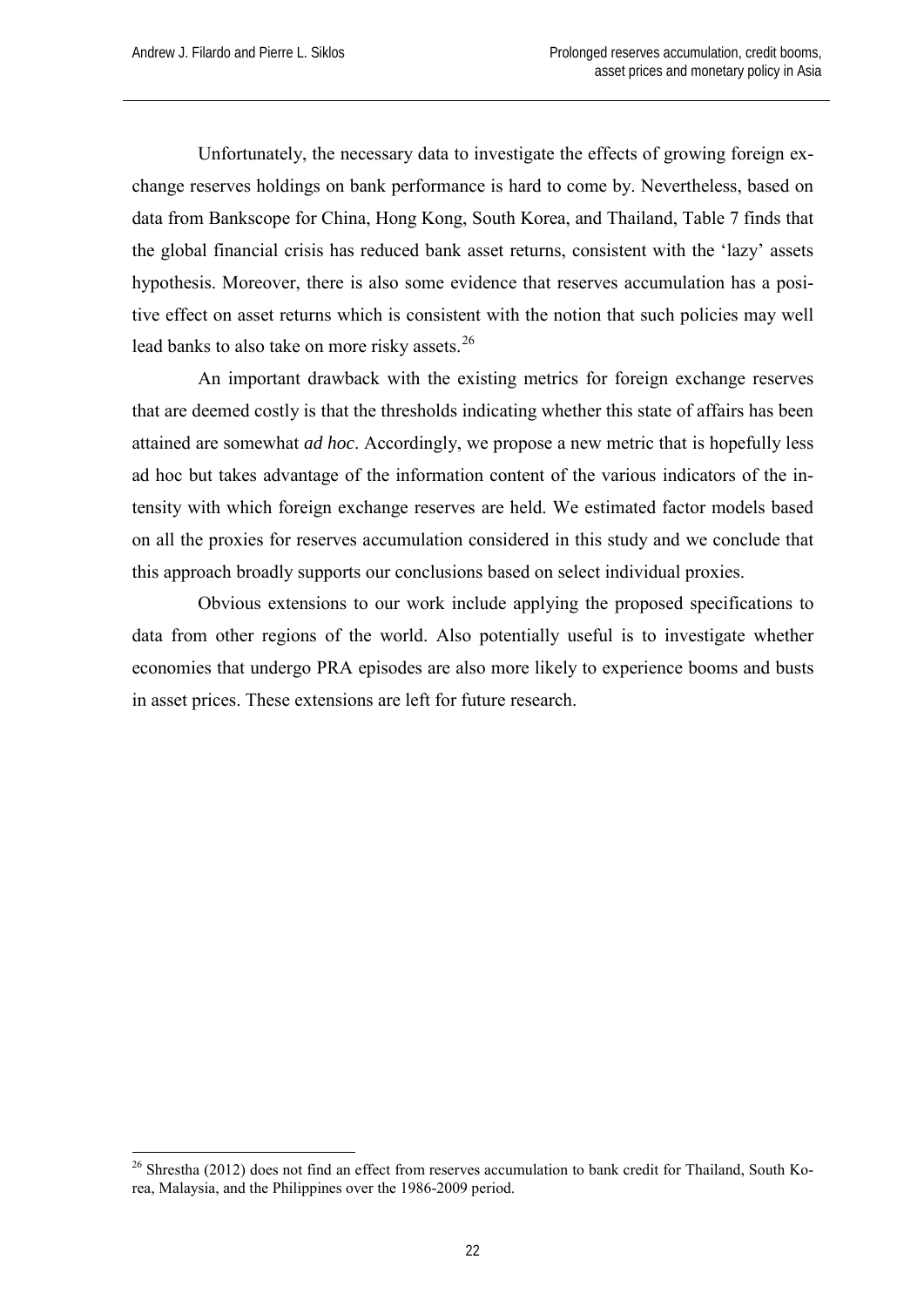Unfortunately, the necessary data to investigate the effects of growing foreign exchange reserves holdings on bank performance is hard to come by. Nevertheless, based on data from Bankscope for China, Hong Kong, South Korea, and Thailand, Table 7 finds that the global financial crisis has reduced bank asset returns, consistent with the 'lazy' assets hypothesis. Moreover, there is also some evidence that reserves accumulation has a positive effect on asset returns which is consistent with the notion that such policies may well lead banks to also take on more risky assets.<sup>[26](#page-21-0)</sup>

An important drawback with the existing metrics for foreign exchange reserves that are deemed costly is that the thresholds indicating whether this state of affairs has been attained are somewhat *ad hoc*. Accordingly, we propose a new metric that is hopefully less ad hoc but takes advantage of the information content of the various indicators of the intensity with which foreign exchange reserves are held. We estimated factor models based on all the proxies for reserves accumulation considered in this study and we conclude that this approach broadly supports our conclusions based on select individual proxies.

Obvious extensions to our work include applying the proposed specifications to data from other regions of the world. Also potentially useful is to investigate whether economies that undergo PRA episodes are also more likely to experience booms and busts in asset prices. These extensions are left for future research.

<span id="page-21-0"></span><sup>&</sup>lt;sup>26</sup> Shrestha (2012) does not find an effect from reserves accumulation to bank credit for Thailand, South Korea, Malaysia, and the Philippines over the 1986-2009 period.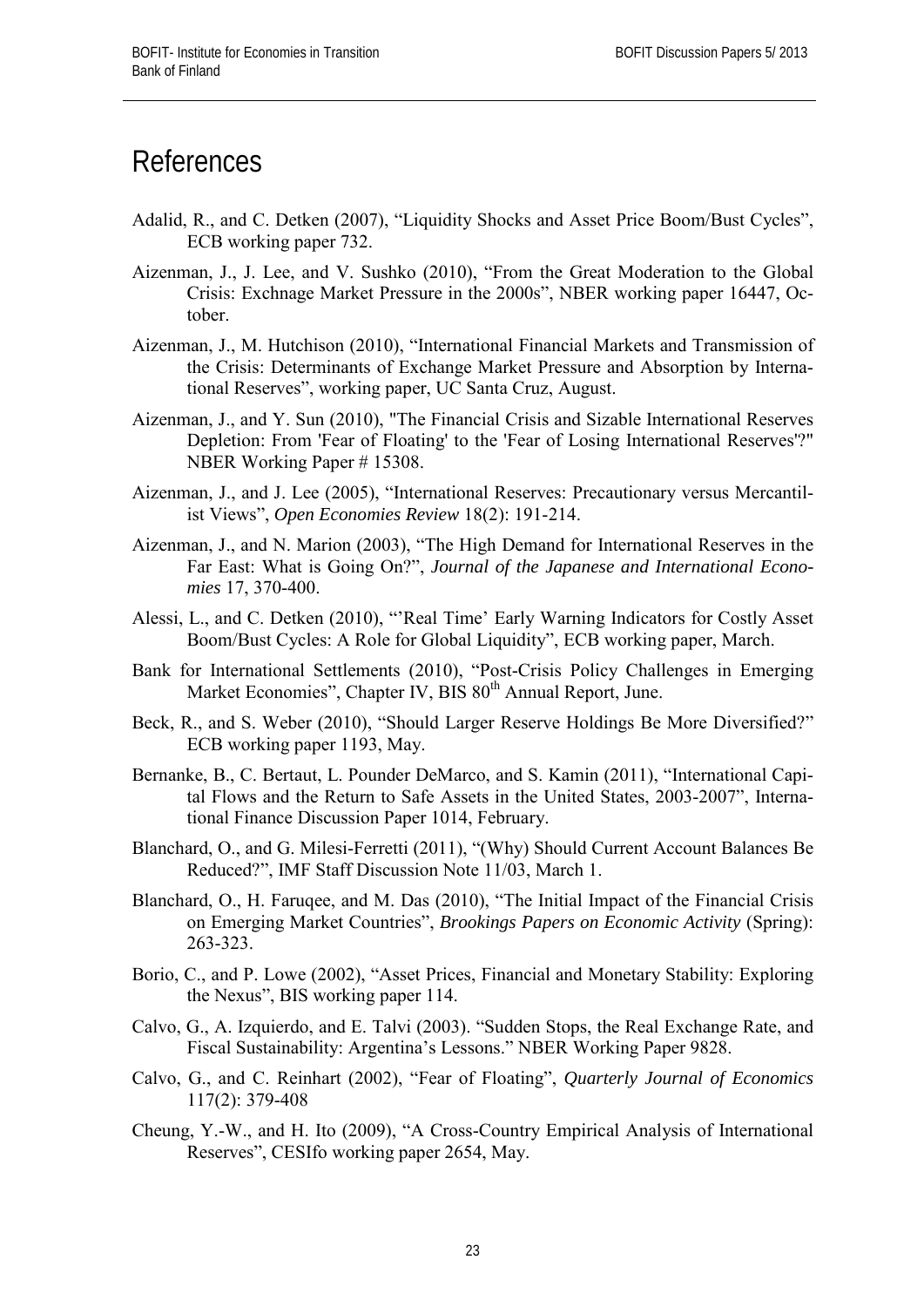## <span id="page-22-0"></span>References

- Adalid, R., and C. Detken (2007), "Liquidity Shocks and Asset Price Boom/Bust Cycles", ECB working paper 732.
- Aizenman, J., J. Lee, and V. Sushko (2010), "From the Great Moderation to the Global Crisis: Exchnage Market Pressure in the 2000s", NBER working paper 16447, October.
- Aizenman, J., M. Hutchison (2010), "International Financial Markets and Transmission of the Crisis: Determinants of Exchange Market Pressure and Absorption by International Reserves", working paper, UC Santa Cruz, August.
- Aizenman, J., and Y. Sun (2010), "The Financial Crisis and Sizable International Reserves Depletion: From 'Fear of Floating' to the 'Fear of Losing International Reserves'?" NBER Working Paper # 15308.
- Aizenman, J., and J. Lee (2005), "International Reserves: Precautionary versus Mercantilist Views", *Open Economies Review* 18(2): 191-214.
- Aizenman, J., and N. Marion (2003), "The High Demand for International Reserves in the Far East: What is Going On?", *Journal of the Japanese and International Economies* 17, 370-400.
- Alessi, L., and C. Detken (2010), "'Real Time' Early Warning Indicators for Costly Asset Boom/Bust Cycles: A Role for Global Liquidity", ECB working paper, March.
- Bank for International Settlements (2010), "Post-Crisis Policy Challenges in Emerging Market Economies", Chapter IV, BIS 80<sup>th</sup> Annual Report, June.
- Beck, R., and S. Weber (2010), "Should Larger Reserve Holdings Be More Diversified?" ECB working paper 1193, May.
- Bernanke, B., C. Bertaut, L. Pounder DeMarco, and S. Kamin (2011), "International Capital Flows and the Return to Safe Assets in the United States, 2003-2007", International Finance Discussion Paper 1014, February.
- Blanchard, O., and G. Milesi-Ferretti (2011), "(Why) Should Current Account Balances Be Reduced?", IMF Staff Discussion Note 11/03, March 1.
- Blanchard, O., H. Faruqee, and M. Das (2010), "The Initial Impact of the Financial Crisis on Emerging Market Countries", *Brookings Papers on Economic Activity* (Spring): 263-323.
- Borio, C., and P. Lowe (2002), "Asset Prices, Financial and Monetary Stability: Exploring the Nexus", BIS working paper 114.
- Calvo, G., A. Izquierdo, and E. Talvi (2003). "Sudden Stops, the Real Exchange Rate, and Fiscal Sustainability: Argentina's Lessons." NBER Working Paper 9828.
- Calvo, G., and C. Reinhart (2002), "Fear of Floating", *Quarterly Journal of Economics* 117(2): 379-408
- Cheung, Y.-W., and H. Ito (2009), "A Cross-Country Empirical Analysis of International Reserves", CESIfo working paper 2654, May.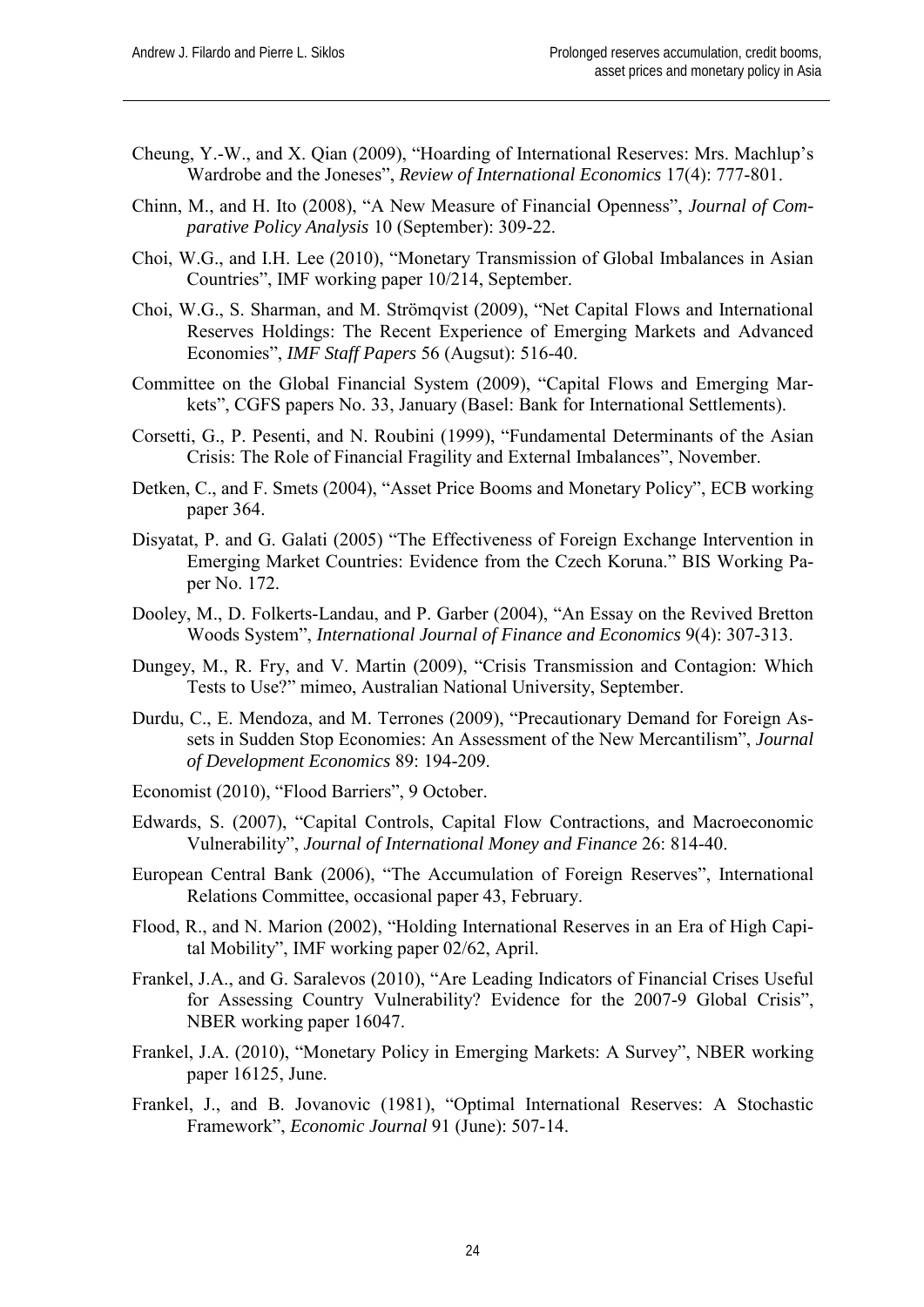- Cheung, Y.-W., and X. Qian (2009), "Hoarding of International Reserves: Mrs. Machlup's Wardrobe and the Joneses", *Review of International Economics* 17(4): 777-801.
- Chinn, M., and H. Ito (2008), "A New Measure of Financial Openness", *Journal of Comparative Policy Analysis* 10 (September): 309-22.
- Choi, W.G., and I.H. Lee (2010), "Monetary Transmission of Global Imbalances in Asian Countries", IMF working paper 10/214, September.
- Choi, W.G., S. Sharman, and M. Strömqvist (2009), "Net Capital Flows and International Reserves Holdings: The Recent Experience of Emerging Markets and Advanced Economies", *IMF Staff Papers* 56 (Augsut): 516-40.
- Committee on the Global Financial System (2009), "Capital Flows and Emerging Markets", CGFS papers No. 33, January (Basel: Bank for International Settlements).
- Corsetti, G., P. Pesenti, and N. Roubini (1999), "Fundamental Determinants of the Asian Crisis: The Role of Financial Fragility and External Imbalances", November.
- Detken, C., and F. Smets (2004), "Asset Price Booms and Monetary Policy", ECB working paper 364.
- Disyatat, P. and G. Galati (2005) "The Effectiveness of Foreign Exchange Intervention in Emerging Market Countries: Evidence from the Czech Koruna." BIS Working Paper No. 172.
- Dooley, M., D. Folkerts-Landau, and P. Garber (2004), "An Essay on the Revived Bretton Woods System", *International Journal of Finance and Economics* 9(4): 307-313.
- Dungey, M., R. Fry, and V. Martin (2009), "Crisis Transmission and Contagion: Which Tests to Use?" mimeo, Australian National University, September.
- Durdu, C., E. Mendoza, and M. Terrones (2009), "Precautionary Demand for Foreign Assets in Sudden Stop Economies: An Assessment of the New Mercantilism", *Journal of Development Economics* 89: 194-209.
- Economist (2010), "Flood Barriers", 9 October.
- Edwards, S. (2007), "Capital Controls, Capital Flow Contractions, and Macroeconomic Vulnerability", *Journal of International Money and Finance* 26: 814-40.
- European Central Bank (2006), "The Accumulation of Foreign Reserves", International Relations Committee, occasional paper 43, February.
- Flood, R., and N. Marion (2002), "Holding International Reserves in an Era of High Capital Mobility", IMF working paper 02/62, April.
- Frankel, J.A., and G. Saralevos (2010), "Are Leading Indicators of Financial Crises Useful for Assessing Country Vulnerability? Evidence for the 2007-9 Global Crisis", NBER working paper 16047.
- Frankel, J.A. (2010), "Monetary Policy in Emerging Markets: A Survey", NBER working paper 16125, June.
- Frankel, J., and B. Jovanovic (1981), "Optimal International Reserves: A Stochastic Framework", *Economic Journal* 91 (June): 507-14.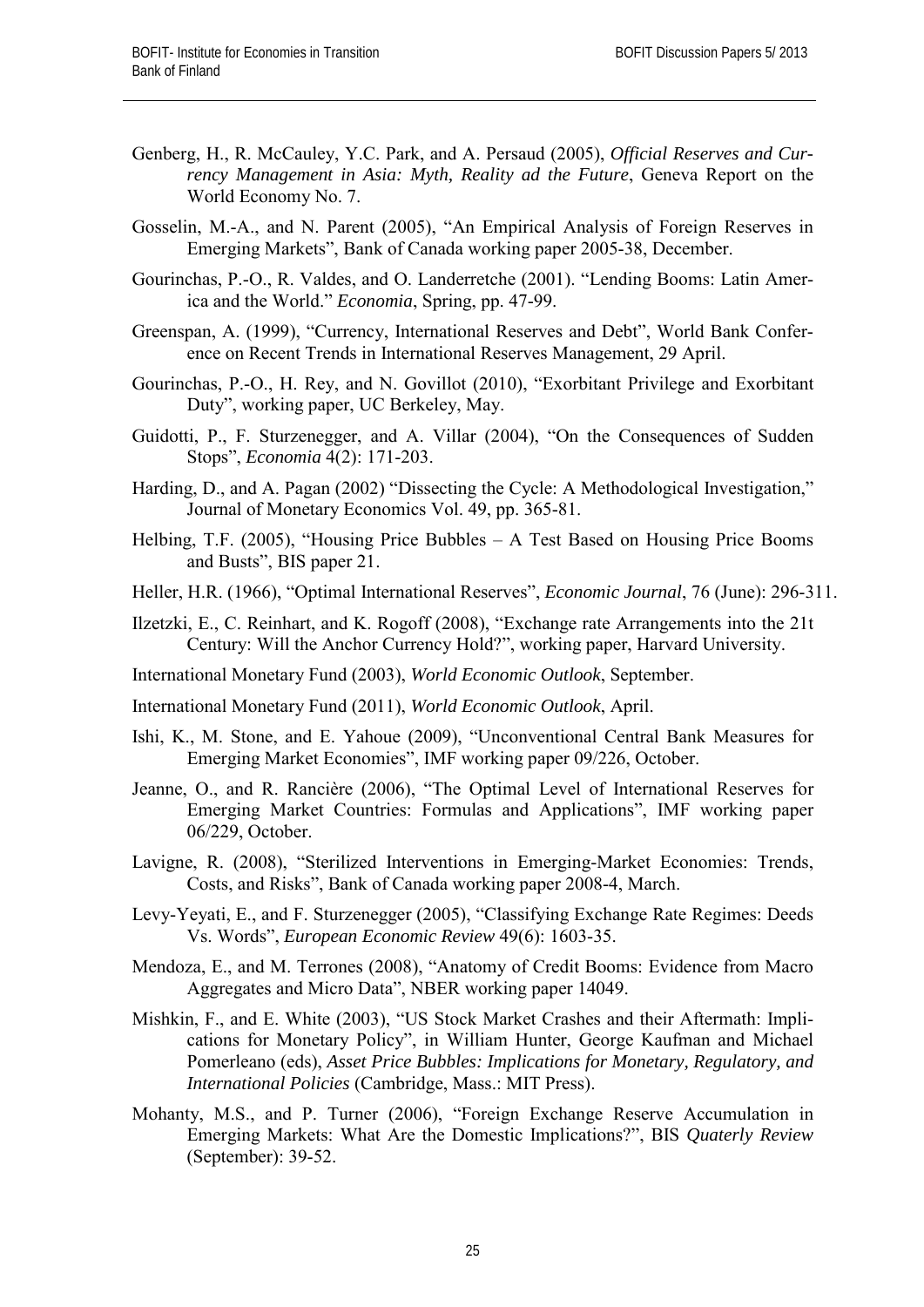- Genberg, H., R. McCauley, Y.C. Park, and A. Persaud (2005), *Official Reserves and Currency Management in Asia: Myth, Reality ad the Future*, Geneva Report on the World Economy No. 7.
- Gosselin, M.-A., and N. Parent (2005), "An Empirical Analysis of Foreign Reserves in Emerging Markets", Bank of Canada working paper 2005-38, December.
- Gourinchas, P.-O., R. Valdes, and O. Landerretche (2001). "Lending Booms: Latin America and the World." *Economia*, Spring, pp. 47-99.
- Greenspan, A. (1999), "Currency, International Reserves and Debt", World Bank Conference on Recent Trends in International Reserves Management, 29 April.
- Gourinchas, P.-O., H. Rey, and N. Govillot (2010), "Exorbitant Privilege and Exorbitant Duty", working paper, UC Berkeley, May.
- Guidotti, P., F. Sturzenegger, and A. Villar (2004), "On the Consequences of Sudden Stops", *Economia* 4(2): 171-203.
- Harding, D., and A. Pagan (2002) "Dissecting the Cycle: A Methodological Investigation," Journal of Monetary Economics Vol. 49, pp. 365-81.
- Helbing, T.F. (2005), "Housing Price Bubbles A Test Based on Housing Price Booms and Busts", BIS paper 21.
- Heller, H.R. (1966), "Optimal International Reserves", *Economic Journal*, 76 (June): 296-311.
- Ilzetzki, E., C. Reinhart, and K. Rogoff (2008), "Exchange rate Arrangements into the 21t Century: Will the Anchor Currency Hold?", working paper, Harvard University.
- International Monetary Fund (2003), *World Economic Outlook*, September.
- International Monetary Fund (2011), *World Economic Outlook*, April.
- Ishi, K., M. Stone, and E. Yahoue (2009), "Unconventional Central Bank Measures for Emerging Market Economies", IMF working paper 09/226, October.
- Jeanne, O., and R. Rancière (2006), "The Optimal Level of International Reserves for Emerging Market Countries: Formulas and Applications", IMF working paper 06/229, October.
- Lavigne, R. (2008), "Sterilized Interventions in Emerging-Market Economies: Trends, Costs, and Risks", Bank of Canada working paper 2008-4, March.
- Levy-Yeyati, E., and F. Sturzenegger (2005), "Classifying Exchange Rate Regimes: Deeds Vs. Words", *European Economic Review* 49(6): 1603-35.
- Mendoza, E., and M. Terrones (2008), "Anatomy of Credit Booms: Evidence from Macro Aggregates and Micro Data", NBER working paper 14049.
- Mishkin, F., and E. White (2003), "US Stock Market Crashes and their Aftermath: Implications for Monetary Policy", in William Hunter, George Kaufman and Michael Pomerleano (eds), *Asset Price Bubbles: Implications for Monetary, Regulatory, and International Policies* (Cambridge, Mass.: MIT Press).
- Mohanty, M.S., and P. Turner (2006), "Foreign Exchange Reserve Accumulation in Emerging Markets: What Are the Domestic Implications?", BIS *Quaterly Review*  (September): 39-52.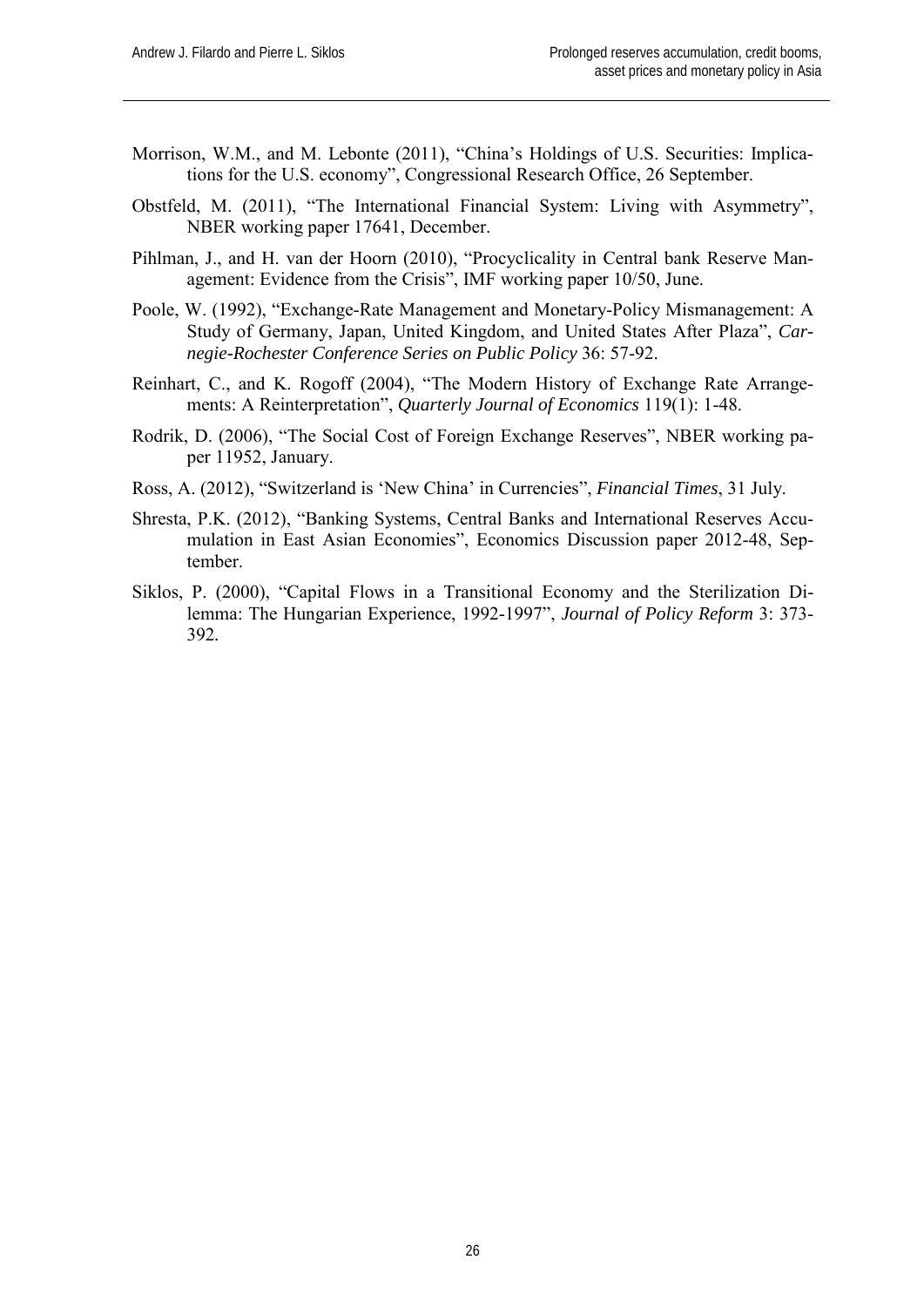- Morrison, W.M., and M. Lebonte (2011), "China's Holdings of U.S. Securities: Implications for the U.S. economy", Congressional Research Office, 26 September.
- Obstfeld, M. (2011), "The International Financial System: Living with Asymmetry", NBER working paper 17641, December.
- Pihlman, J., and H. van der Hoorn (2010), "Procyclicality in Central bank Reserve Management: Evidence from the Crisis", IMF working paper 10/50, June.
- Poole, W. (1992), "Exchange-Rate Management and Monetary-Policy Mismanagement: A Study of Germany, Japan, United Kingdom, and United States After Plaza", *Carnegie-Rochester Conference Series on Public Policy* 36: 57-92.
- Reinhart, C., and K. Rogoff (2004), "The Modern History of Exchange Rate Arrangements: A Reinterpretation", *Quarterly Journal of Economics* 119(1): 1-48.
- Rodrik, D. (2006), "The Social Cost of Foreign Exchange Reserves", NBER working paper 11952, January.
- Ross, A. (2012), "Switzerland is 'New China' in Currencies", *Financial Times*, 31 July.
- Shresta, P.K. (2012), "Banking Systems, Central Banks and International Reserves Accumulation in East Asian Economies", Economics Discussion paper 2012-48, September.
- Siklos, P. (2000), "Capital Flows in a Transitional Economy and the Sterilization Dilemma: The Hungarian Experience, 1992-1997", *Journal of Policy Reform* 3: 373- 392*.*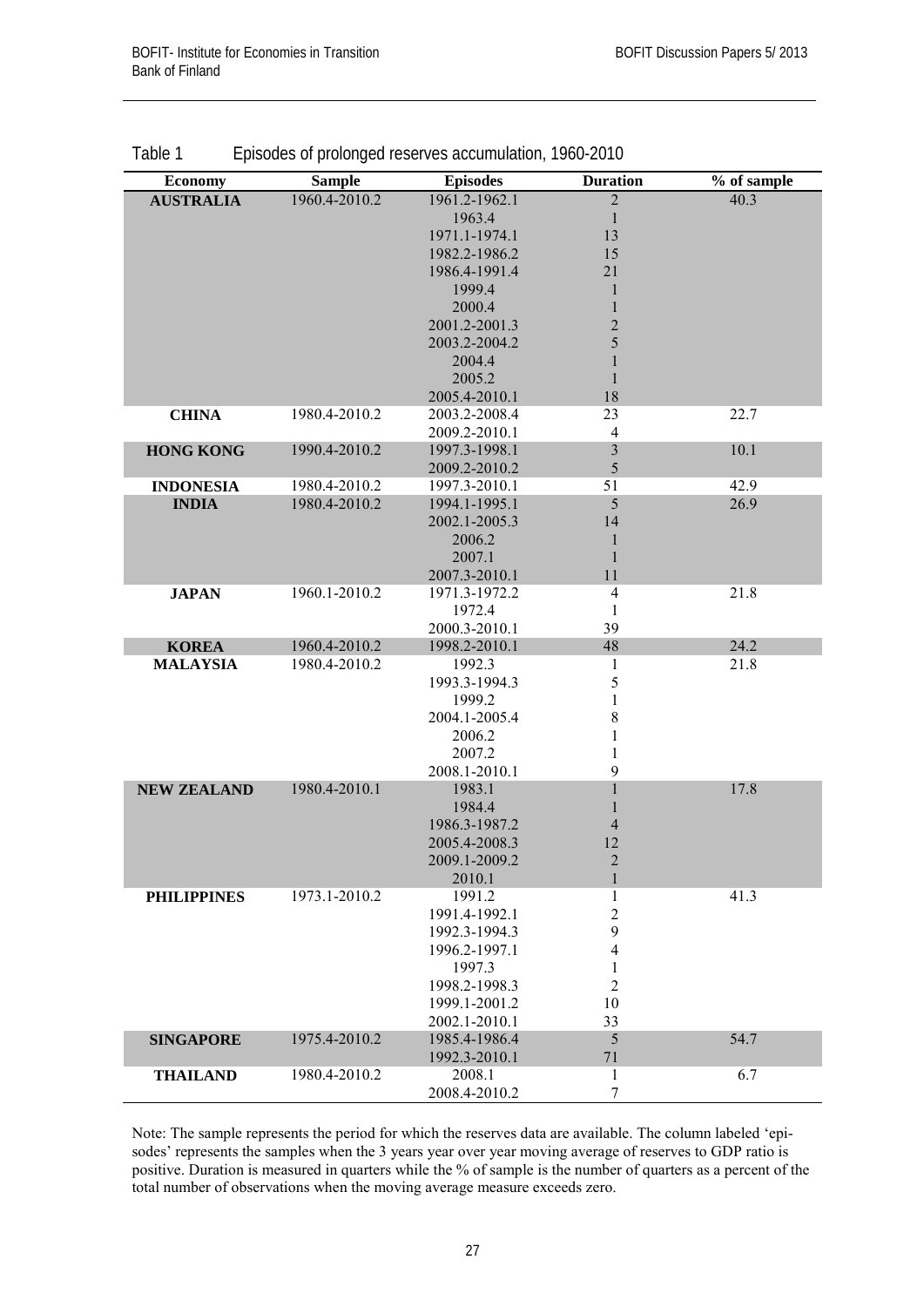| <b>Economy</b>     | <b>Sample</b> | <b>Episodes</b> | <b>Duration</b> | % of sample |
|--------------------|---------------|-----------------|-----------------|-------------|
| <b>AUSTRALIA</b>   | 1960.4-2010.2 | 1961.2-1962.1   | $\overline{2}$  | 40.3        |
|                    |               | 1963.4          | $\mathbf{1}$    |             |
|                    |               | 1971.1-1974.1   | 13              |             |
|                    |               | 1982.2-1986.2   | 15              |             |
|                    |               | 1986.4-1991.4   | 21              |             |
|                    |               | 1999.4          | 1               |             |
|                    |               | 2000.4          | $\mathbf{1}$    |             |
|                    |               | 2001.2-2001.3   | $\overline{2}$  |             |
|                    |               | 2003.2-2004.2   | 5               |             |
|                    |               | 2004.4          | $\mathbf{1}$    |             |
|                    |               | 2005.2          | $\mathbf{1}$    |             |
|                    |               | 2005.4-2010.1   | 18              |             |
| <b>CHINA</b>       | 1980.4-2010.2 | 2003.2-2008.4   | 23              | 22.7        |
|                    |               | 2009.2-2010.1   | $\overline{4}$  |             |
| <b>HONG KONG</b>   | 1990.4-2010.2 | 1997.3-1998.1   | $\mathfrak{Z}$  | 10.1        |
|                    |               | 2009.2-2010.2   | 5               |             |
| <b>INDONESIA</b>   | 1980.4-2010.2 | 1997.3-2010.1   | 51              | 42.9        |
| <b>INDIA</b>       | 1980.4-2010.2 | 1994.1-1995.1   | 5               | 26.9        |
|                    |               | 2002.1-2005.3   | 14              |             |
|                    |               | 2006.2          | 1               |             |
|                    |               | 2007.1          | 1               |             |
|                    |               | 2007.3-2010.1   | 11              |             |
| <b>JAPAN</b>       | 1960.1-2010.2 | 1971.3-1972.2   | $\overline{4}$  | 21.8        |
|                    |               | 1972.4          | $\mathbf{1}$    |             |
|                    |               | 2000.3-2010.1   | 39              |             |
| <b>KOREA</b>       | 1960.4-2010.2 | 1998.2-2010.1   | 48              | 24.2        |
| <b>MALAYSIA</b>    | 1980.4-2010.2 | 1992.3          | 1               | 21.8        |
|                    |               | 1993.3-1994.3   | 5               |             |
|                    |               | 1999.2          | $\mathbf{1}$    |             |
|                    |               | 2004.1-2005.4   | 8               |             |
|                    |               | 2006.2          | 1               |             |
|                    |               | 2007.2          | 1               |             |
|                    |               | 2008.1-2010.1   | 9               |             |
| <b>NEW ZEALAND</b> | 1980.4-2010.1 | 1983.1          | $\mathbf{1}$    | 17.8        |
|                    |               | 1984.4          | $\mathbf{1}$    |             |
|                    |               | 1986.3-1987.2   | $\overline{4}$  |             |
|                    |               | 2005.4-2008.3   | 12              |             |
|                    |               | 2009.1-2009.2   | $\overline{2}$  |             |
|                    |               | 2010.1          | $\mathbf{1}$    |             |
| <b>PHILIPPINES</b> | 1973.1-2010.2 | 1991.2          | $\mathbf{1}$    | 41.3        |
|                    |               | 1991.4-1992.1   | $\overline{2}$  |             |
|                    |               | 1992.3-1994.3   | 9               |             |
|                    |               | 1996.2-1997.1   | $\overline{4}$  |             |
|                    |               | 1997.3          | 1               |             |
|                    |               | 1998.2-1998.3   | $\overline{2}$  |             |
|                    |               | 1999.1-2001.2   | 10              |             |
|                    |               | 2002.1-2010.1   | 33              |             |
| <b>SINGAPORE</b>   | 1975.4-2010.2 | 1985.4-1986.4   | $\sqrt{5}$      | 54.7        |
|                    |               | 1992.3-2010.1   | 71              |             |
| <b>THAILAND</b>    | 1980.4-2010.2 | 2008.1          | 1               | 6.7         |
|                    |               | 2008.4-2010.2   | $\tau$          |             |

| Table 1 |  | Episodes of prolonged reserves accumulation, 1960-2010 |  |
|---------|--|--------------------------------------------------------|--|
|---------|--|--------------------------------------------------------|--|

Note: The sample represents the period for which the reserves data are available. The column labeled 'episodes' represents the samples when the 3 years year over year moving average of reserves to GDP ratio is positive. Duration is measured in quarters while the % of sample is the number of quarters as a percent of the total number of observations when the moving average measure exceeds zero.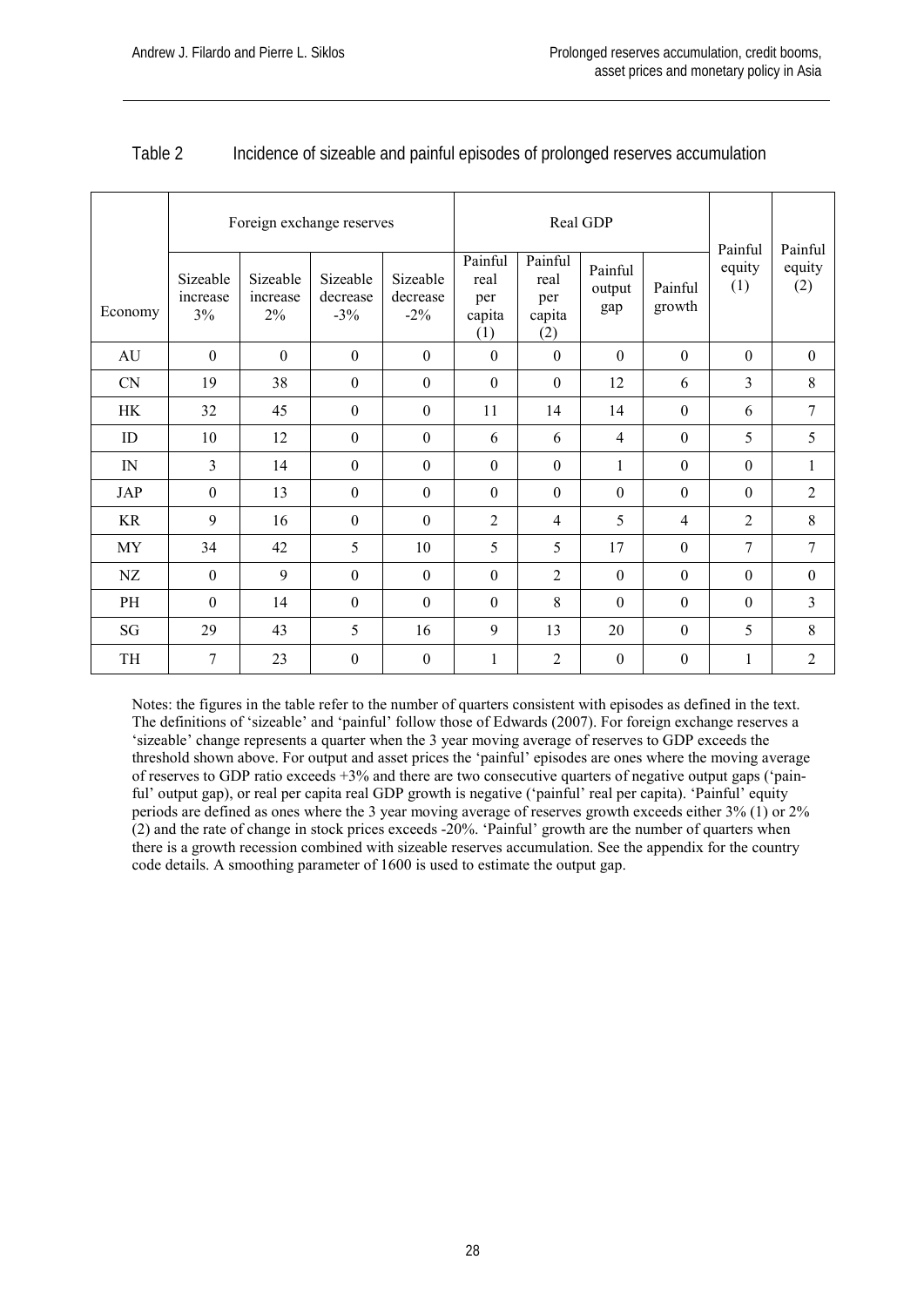|            |                            | Real GDP<br>Foreign exchange reserves |                               |                                |                                         | Painful                                 | Painful                  |                   |                  |                  |
|------------|----------------------------|---------------------------------------|-------------------------------|--------------------------------|-----------------------------------------|-----------------------------------------|--------------------------|-------------------|------------------|------------------|
| Economy    | Sizeable<br>increase<br>3% | Sizeable<br>increase<br>$2\%$         | Sizeable<br>decrease<br>$-3%$ | Sizeable<br>decrease<br>$-2\%$ | Painful<br>real<br>per<br>capita<br>(1) | Painful<br>real<br>per<br>capita<br>(2) | Painful<br>output<br>gap | Painful<br>growth | equity<br>(1)    | equity<br>(2)    |
| AU         | $\mathbf{0}$               | $\theta$                              | $\boldsymbol{0}$              | $\theta$                       | $\theta$                                | $\mathbf{0}$                            | $\Omega$                 | $\theta$          | $\theta$         | $\boldsymbol{0}$ |
| <b>CN</b>  | 19                         | 38                                    | $\boldsymbol{0}$              | $\boldsymbol{0}$               | $\boldsymbol{0}$                        | $\mathbf{0}$                            | 12                       | 6                 | $\overline{3}$   | 8                |
| HK         | 32                         | 45                                    | $\theta$                      | $\theta$                       | 11                                      | 14                                      | 14                       | $\theta$          | 6                | 7                |
| ID         | 10                         | 12                                    | $\boldsymbol{0}$              | $\mathbf{0}$                   | 6                                       | 6                                       | 4                        | $\mathbf{0}$      | 5                | 5                |
| IN         | 3                          | 14                                    | $\boldsymbol{0}$              | $\mathbf{0}$                   | $\boldsymbol{0}$                        | $\mathbf{0}$                            | 1                        | $\mathbf{0}$      | $\boldsymbol{0}$ | 1                |
| <b>JAP</b> | $\mathbf{0}$               | 13                                    | $\mathbf{0}$                  | $\mathbf{0}$                   | $\mathbf{0}$                            | $\mathbf{0}$                            | $\overline{0}$           | $\mathbf{0}$      | $\overline{0}$   | $\overline{2}$   |
| <b>KR</b>  | 9                          | 16                                    | $\boldsymbol{0}$              | $\boldsymbol{0}$               | $\overline{2}$                          | $\overline{4}$                          | 5                        | $\overline{4}$    | $\overline{2}$   | 8                |
| MY         | 34                         | 42                                    | 5                             | 10                             | 5                                       | 5                                       | 17                       | $\boldsymbol{0}$  | $\overline{7}$   | 7                |
| NZ         | $\boldsymbol{0}$           | 9                                     | $\boldsymbol{0}$              | $\mathbf{0}$                   | $\boldsymbol{0}$                        | $\overline{2}$                          | $\mathbf{0}$             | $\mathbf{0}$      | $\theta$         | $\boldsymbol{0}$ |
| PH         | $\mathbf{0}$               | 14                                    | $\boldsymbol{0}$              | $\mathbf{0}$                   | $\boldsymbol{0}$                        | 8                                       | $\mathbf{0}$             | $\theta$          | $\theta$         | 3                |
| SG         | 29                         | 43                                    | 5                             | 16                             | 9                                       | 13                                      | 20                       | $\theta$          | 5                | 8                |
| TH         | $\overline{7}$             | 23                                    | $\mathbf{0}$                  | $\boldsymbol{0}$               | 1                                       | $\overline{2}$                          | $\theta$                 | $\boldsymbol{0}$  | 1                | $\overline{2}$   |

### Table 2 Incidence of sizeable and painful episodes of prolonged reserves accumulation

Notes: the figures in the table refer to the number of quarters consistent with episodes as defined in the text. The definitions of 'sizeable' and 'painful' follow those of Edwards (2007). For foreign exchange reserves a 'sizeable' change represents a quarter when the 3 year moving average of reserves to GDP exceeds the threshold shown above. For output and asset prices the 'painful' episodes are ones where the moving average of reserves to GDP ratio exceeds +3% and there are two consecutive quarters of negative output gaps ('painful' output gap), or real per capita real GDP growth is negative ('painful' real per capita). 'Painful' equity periods are defined as ones where the 3 year moving average of reserves growth exceeds either 3% (1) or 2% (2) and the rate of change in stock prices exceeds -20%. 'Painful' growth are the number of quarters when there is a growth recession combined with sizeable reserves accumulation. See the appendix for the country code details. A smoothing parameter of 1600 is used to estimate the output gap.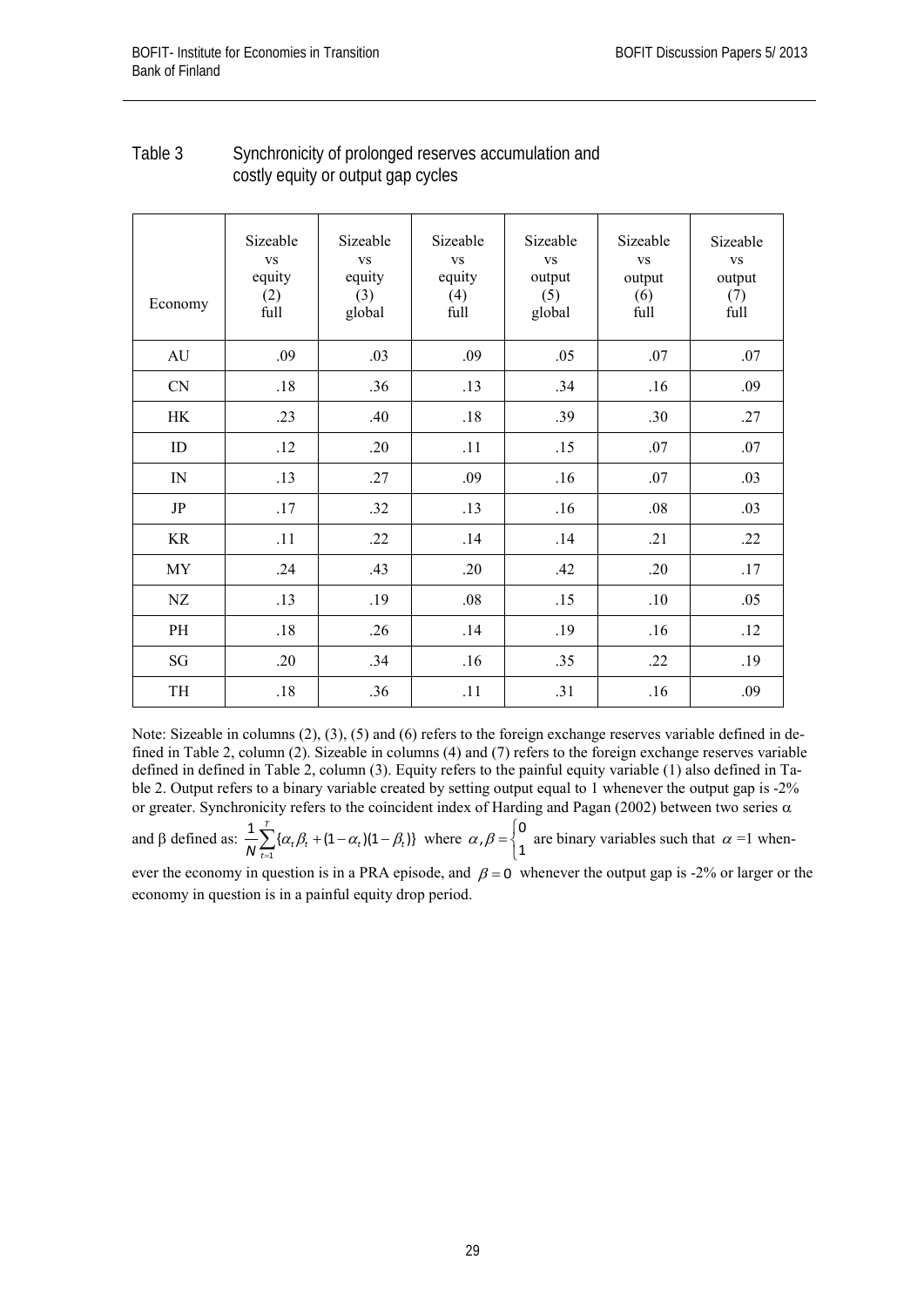| Economy                  | Sizeable<br><b>VS</b><br>equity<br>(2)<br>full | Sizeable<br><b>VS</b><br>equity<br>(3)<br>global | Sizeable<br><b>VS</b><br>equity<br>(4)<br>full | Sizeable<br><b>VS</b><br>output<br>(5)<br>global | Sizeable<br><b>VS</b><br>output<br>(6)<br>full | Sizeable<br><b>VS</b><br>output<br>(7)<br>full |
|--------------------------|------------------------------------------------|--------------------------------------------------|------------------------------------------------|--------------------------------------------------|------------------------------------------------|------------------------------------------------|
| AU                       | .09                                            | .03                                              | .09                                            | .05                                              | .07                                            | .07                                            |
| CN                       | .18                                            | .36                                              | .13                                            | .34                                              | .16                                            | .09                                            |
| HК                       | .23                                            | .40                                              | .18                                            | .39                                              | .30                                            | .27                                            |
| ID                       | .12                                            | .20                                              | .11                                            | .15                                              | .07                                            | .07                                            |
| $\ensuremath{\text{IN}}$ | .13                                            | .27                                              | .09                                            | .16                                              | .07                                            | .03                                            |
| $\rm JP$                 | .17                                            | .32                                              | .13                                            | .16                                              | .08                                            | .03                                            |
| KR                       | .11                                            | .22                                              | .14                                            | .14                                              | .21                                            | .22                                            |
| <b>MY</b>                | .24                                            | .43                                              | .20                                            | .42                                              | .20                                            | .17                                            |
| NZ                       | .13                                            | .19                                              | .08                                            | .15                                              | .10                                            | .05                                            |
| PH                       | .18                                            | .26                                              | .14                                            | .19                                              | .16                                            | .12                                            |
| SG                       | .20                                            | .34                                              | .16                                            | .35                                              | .22                                            | .19                                            |
| TH                       | .18                                            | .36                                              | .11                                            | .31                                              | .16                                            | .09                                            |

### Table 3 Synchronicity of prolonged reserves accumulation and costly equity or output gap cycles

Note: Sizeable in columns (2), (3), (5) and (6) refers to the foreign exchange reserves variable defined in defined in Table 2, column (2). Sizeable in columns (4) and (7) refers to the foreign exchange reserves variable defined in defined in Table 2, column (3). Equity refers to the painful equity variable (1) also defined in Table 2. Output refers to a binary variable created by setting output equal to 1 whenever the output gap is -2% or greater. Synchronicity refers to the coincident index of Harding and Pagan (2002) between two series  $\alpha$ 

and β defined as: 1  $\frac{1}{n} \sum_{i=1}^{n} {\alpha_i \beta_i + (1 - \alpha_i)(1 - \beta_i)}$  $\frac{1}{N}\sum_{t=1}^N {\{\alpha_t \beta_t + (1-\alpha_t)(1-\beta_t)}$  $\sum_{t=1}^{T} {\{\alpha_t \beta_t + (1 - \alpha_t)(1 - \beta_t)\}}$  where  $\alpha, \beta = \begin{cases} 0 \\ 1 \end{cases}$ are binary variables such that  $\alpha = 1$  when-

ever the economy in question is in a PRA episode, and  $\beta = 0$  whenever the output gap is -2% or larger or the economy in question is in a painful equity drop period.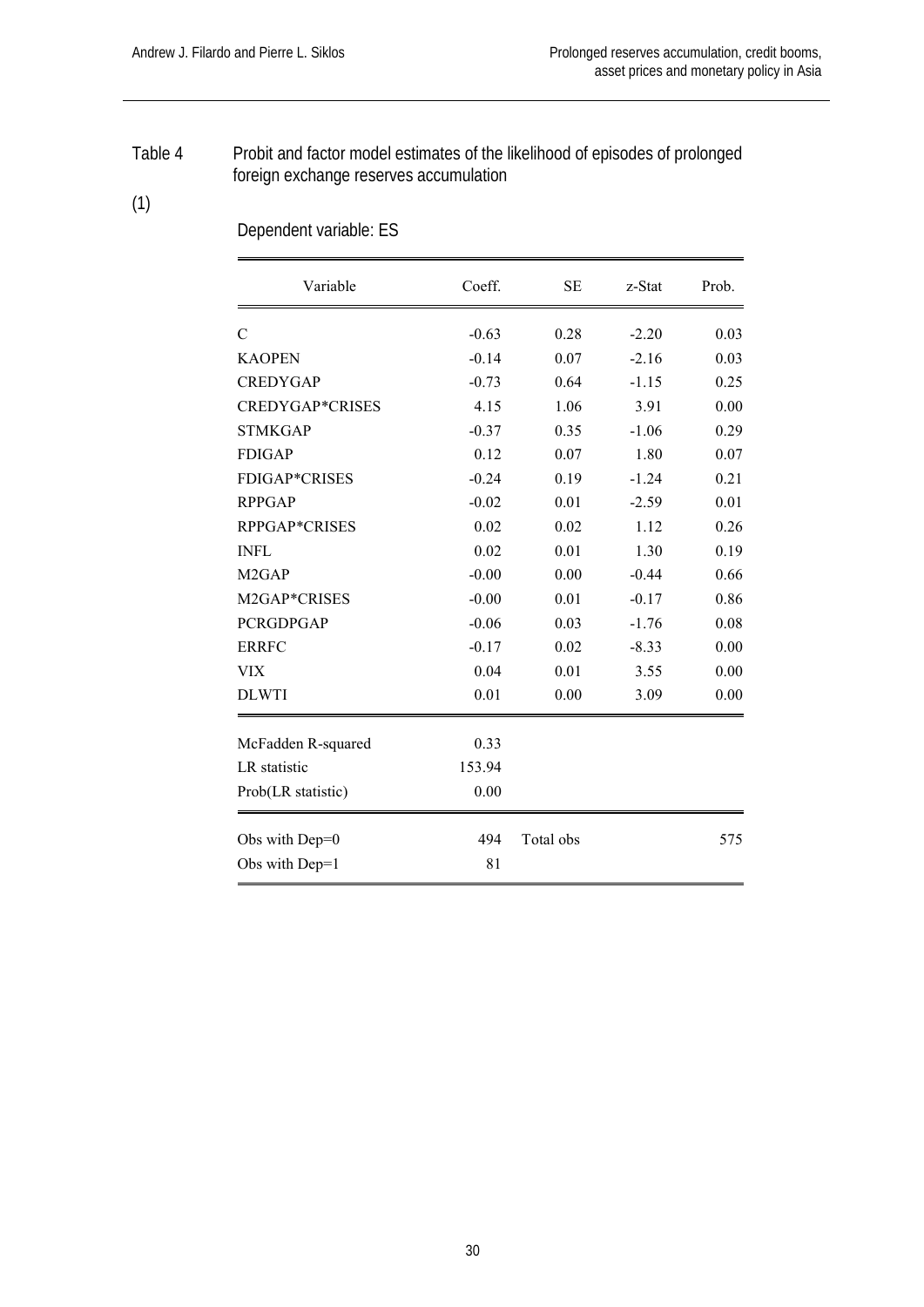### Table 4 Probit and factor model estimates of the likelihood of episodes of prolonged foreign exchange reserves accumulation

(1)

| Variable             | Coeff.  | <b>SE</b> | z-Stat  | Prob. |
|----------------------|---------|-----------|---------|-------|
| $\overline{C}$       | $-0.63$ | 0.28      | $-2.20$ | 0.03  |
| <b>KAOPEN</b>        | $-0.14$ | 0.07      | $-2.16$ | 0.03  |
| <b>CREDYGAP</b>      | $-0.73$ | 0.64      | $-1.15$ | 0.25  |
| CREDYGAP*CRISES      | 4.15    | 1.06      | 3.91    | 0.00  |
| <b>STMKGAP</b>       | $-0.37$ | 0.35      | $-1.06$ | 0.29  |
| <b>FDIGAP</b>        | 0.12    | 0.07      | 1.80    | 0.07  |
| <b>FDIGAP*CRISES</b> | $-0.24$ | 0.19      | $-1.24$ | 0.21  |
| <b>RPPGAP</b>        | $-0.02$ | 0.01      | $-2.59$ | 0.01  |
| RPPGAP*CRISES        | 0.02    | 0.02      | 1.12    | 0.26  |
| <b>INFL</b>          | 0.02    | 0.01      | 1.30    | 0.19  |
| M2GAP                | $-0.00$ | 0.00      | $-0.44$ | 0.66  |
| M2GAP*CRISES         | $-0.00$ | 0.01      | $-0.17$ | 0.86  |
| <b>PCRGDPGAP</b>     | $-0.06$ | 0.03      | $-1.76$ | 0.08  |
| <b>ERRFC</b>         | $-0.17$ | 0.02      | $-8.33$ | 0.00  |
| VIX                  | 0.04    | 0.01      | 3.55    | 0.00  |
| <b>DLWTI</b>         | 0.01    | 0.00      | 3.09    | 0.00  |
| McFadden R-squared   | 0.33    |           |         |       |
| LR statistic         | 153.94  |           |         |       |
| Prob(LR statistic)   | 0.00    |           |         |       |
| Obs with Dep=0       | 494     | Total obs |         | 575   |
| Obs with Dep=1       | 81      |           |         |       |
|                      |         |           |         |       |

Dependent variable: ES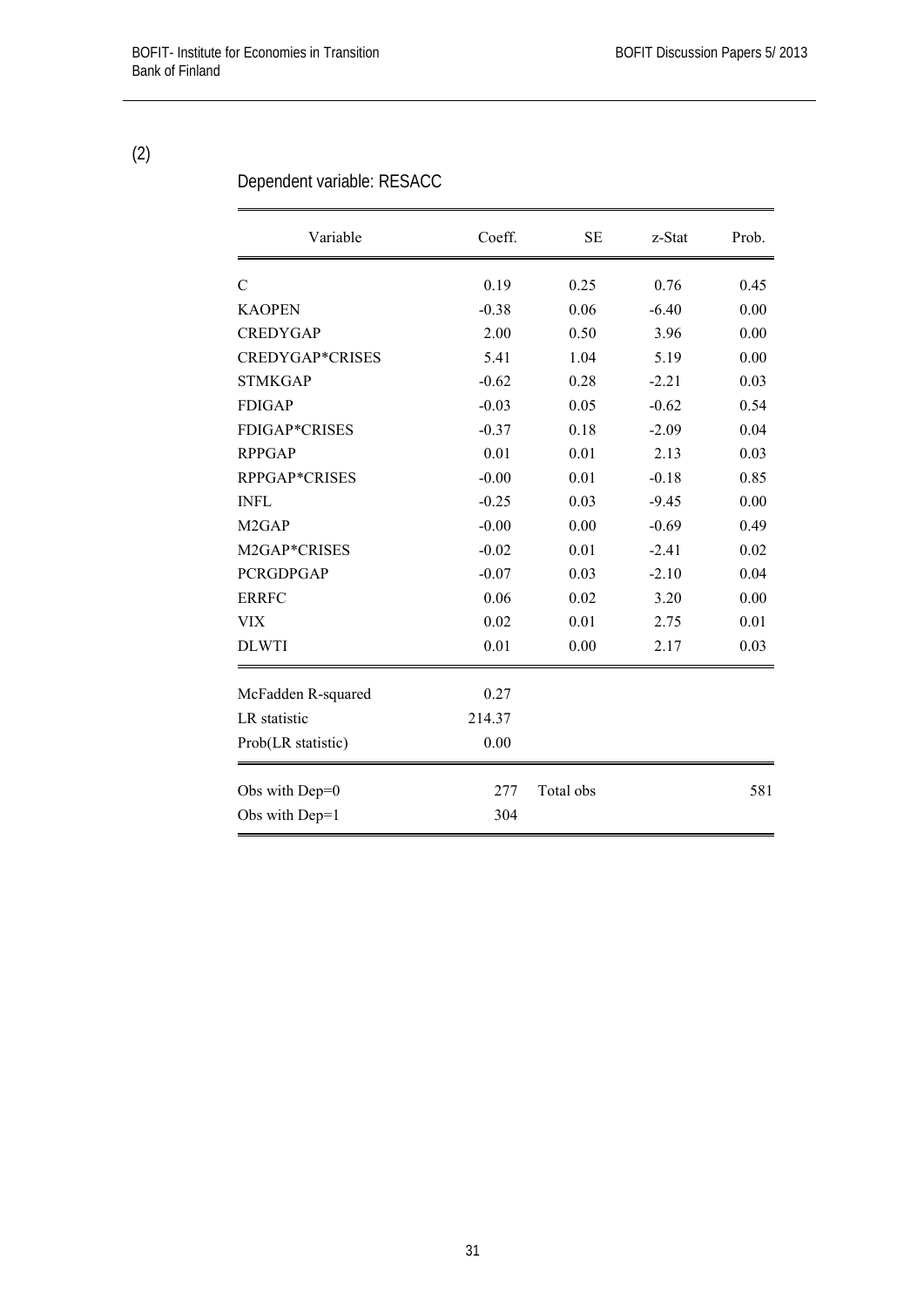(2)

## Dependent variable: RESACC

| Variable               | Coeff.  | <b>SE</b> | z-Stat  | Prob. |
|------------------------|---------|-----------|---------|-------|
| $\mathcal{C}$          | 0.19    | 0.25      | 0.76    | 0.45  |
| <b>KAOPEN</b>          | $-0.38$ | 0.06      | $-6.40$ | 0.00  |
| <b>CREDYGAP</b>        | 2.00    | 0.50      | 3.96    | 0.00  |
| <b>CREDYGAP*CRISES</b> | 5.41    | 1.04      | 5.19    | 0.00  |
| <b>STMKGAP</b>         | $-0.62$ | 0.28      | $-2.21$ | 0.03  |
| <b>FDIGAP</b>          | $-0.03$ | 0.05      | $-0.62$ | 0.54  |
| <b>FDIGAP*CRISES</b>   | $-0.37$ | 0.18      | $-2.09$ | 0.04  |
| <b>RPPGAP</b>          | 0.01    | 0.01      | 2.13    | 0.03  |
| RPPGAP*CRISES          | $-0.00$ | 0.01      | $-0.18$ | 0.85  |
| <b>INFL</b>            | $-0.25$ | 0.03      | $-9.45$ | 0.00  |
| M <sub>2G</sub> AP     | $-0.00$ | 0.00      | $-0.69$ | 0.49  |
| M2GAP*CRISES           | $-0.02$ | 0.01      | $-2.41$ | 0.02  |
| <b>PCRGDPGAP</b>       | $-0.07$ | 0.03      | $-2.10$ | 0.04  |
| <b>ERRFC</b>           | 0.06    | 0.02      | 3.20    | 0.00  |
| <b>VIX</b>             | 0.02    | 0.01      | 2.75    | 0.01  |
| <b>DLWTI</b>           | 0.01    | 0.00      | 2.17    | 0.03  |
| McFadden R-squared     | 0.27    |           |         |       |
| LR statistic           | 214.37  |           |         |       |
| Prob(LR statistic)     | 0.00    |           |         |       |
| Obs with Dep=0         | 277     | Total obs |         | 581   |
| Obs with Dep=1         | 304     |           |         |       |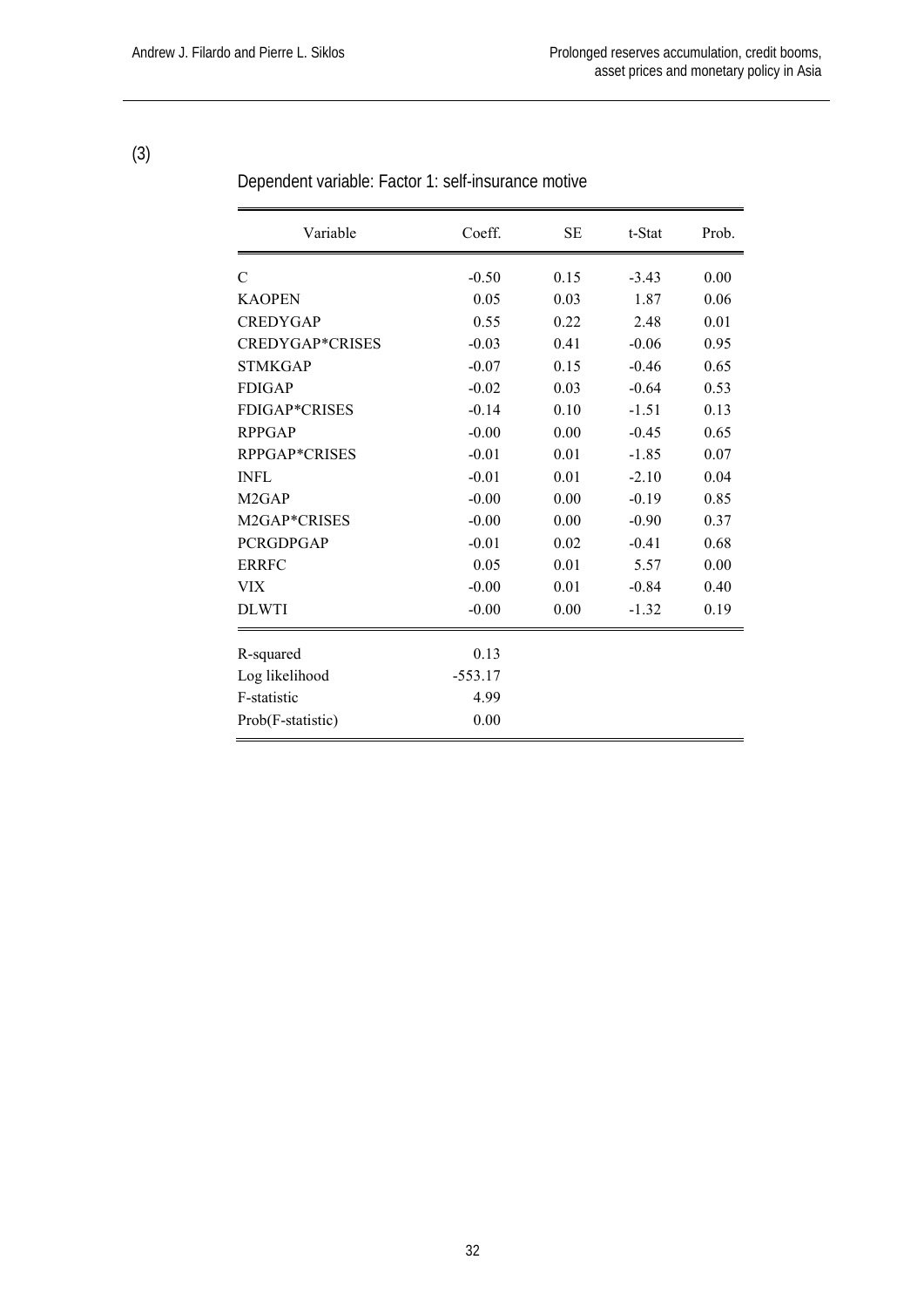(3)

## Dependent variable: Factor 1: self-insurance motive

| Variable               | Coeff.    | <b>SE</b> | t-Stat  | Prob. |
|------------------------|-----------|-----------|---------|-------|
| C                      | $-0.50$   | 0.15      | $-3.43$ | 0.00  |
| <b>KAOPEN</b>          | 0.05      | 0.03      | 1.87    | 0.06  |
| <b>CREDYGAP</b>        | 0.55      | 0.22      | 2.48    | 0.01  |
| <b>CREDYGAP*CRISES</b> | $-0.03$   | 0.41      | $-0.06$ | 0.95  |
| <b>STMKGAP</b>         | $-0.07$   | 0.15      | $-0.46$ | 0.65  |
| <b>FDIGAP</b>          | $-0.02$   | 0.03      | $-0.64$ | 0.53  |
| <b>FDIGAP*CRISES</b>   | $-0.14$   | 0.10      | $-1.51$ | 0.13  |
| <b>RPPGAP</b>          | $-0.00$   | 0.00      | $-0.45$ | 0.65  |
| RPPGAP*CRISES          | $-0.01$   | 0.01      | $-1.85$ | 0.07  |
| <b>INFL</b>            | $-0.01$   | 0.01      | $-2.10$ | 0.04  |
| M2GAP                  | $-0.00$   | 0.00      | $-0.19$ | 0.85  |
| M2GAP*CRISES           | $-0.00$   | 0.00      | $-0.90$ | 0.37  |
| <b>PCRGDPGAP</b>       | $-0.01$   | 0.02      | $-0.41$ | 0.68  |
| <b>ERRFC</b>           | 0.05      | 0.01      | 5.57    | 0.00  |
| <b>VIX</b>             | $-0.00$   | 0.01      | $-0.84$ | 0.40  |
| <b>DLWTI</b>           | $-0.00$   | 0.00      | $-1.32$ | 0.19  |
| R-squared              | 0.13      |           |         |       |
| Log likelihood         | $-553.17$ |           |         |       |
| F-statistic            | 4.99      |           |         |       |
| Prob(F-statistic)      | 0.00      |           |         |       |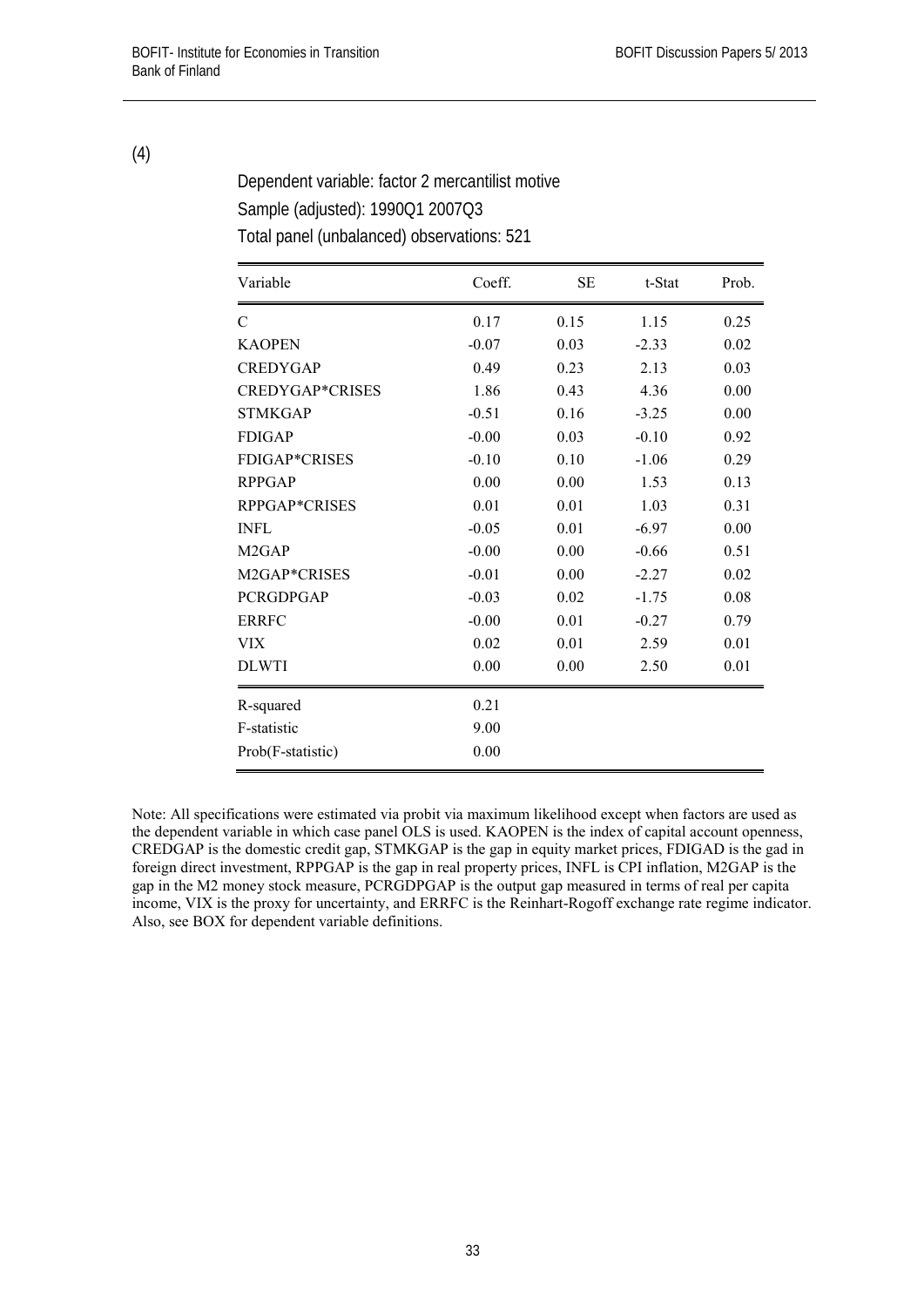### (4)

Dependent variable: factor 2 mercantilist motive Sample (adjusted): 1990Q1 2007Q3 Total panel (unbalanced) observations: 521

| Variable               | Coeff.  | <b>SE</b> | t-Stat  | Prob. |
|------------------------|---------|-----------|---------|-------|
| C                      | 0.17    | 0.15      | 1.15    | 0.25  |
| <b>KAOPEN</b>          | $-0.07$ | 0.03      | $-2.33$ | 0.02  |
| <b>CREDYGAP</b>        | 0.49    | 0.23      | 2.13    | 0.03  |
| <b>CREDYGAP*CRISES</b> | 1.86    | 0.43      | 4.36    | 0.00  |
| <b>STMKGAP</b>         | $-0.51$ | 0.16      | $-3.25$ | 0.00  |
| <b>FDIGAP</b>          | $-0.00$ | 0.03      | $-0.10$ | 0.92  |
| <b>FDIGAP*CRISES</b>   | $-0.10$ | 0.10      | $-1.06$ | 0.29  |
| <b>RPPGAP</b>          | 0.00    | 0.00      | 1.53    | 0.13  |
| RPPGAP*CRISES          | 0.01    | 0.01      | 1.03    | 0.31  |
| <b>INFL</b>            | $-0.05$ | 0.01      | $-6.97$ | 0.00  |
| M <sub>2G</sub> AP     | $-0.00$ | 0.00      | $-0.66$ | 0.51  |
| M2GAP*CRISES           | $-0.01$ | 0.00      | $-2.27$ | 0.02  |
| <b>PCRGDPGAP</b>       | $-0.03$ | 0.02      | $-1.75$ | 0.08  |
| <b>ERRFC</b>           | $-0.00$ | 0.01      | $-0.27$ | 0.79  |
| <b>VIX</b>             | 0.02    | 0.01      | 2.59    | 0.01  |
| <b>DLWTI</b>           | 0.00    | 0.00      | 2.50    | 0.01  |
| R-squared              | 0.21    |           |         |       |
| F-statistic            | 9.00    |           |         |       |
| Prob(F-statistic)      | 0.00    |           |         |       |

Note: All specifications were estimated via probit via maximum likelihood except when factors are used as the dependent variable in which case panel OLS is used. KAOPEN is the index of capital account openness, CREDGAP is the domestic credit gap, STMKGAP is the gap in equity market prices, FDIGAD is the gad in foreign direct investment, RPPGAP is the gap in real property prices, INFL is CPI inflation, M2GAP is the gap in the M2 money stock measure, PCRGDPGAP is the output gap measured in terms of real per capita income, VIX is the proxy for uncertainty, and ERRFC is the Reinhart-Rogoff exchange rate regime indicator. Also, see BOX for dependent variable definitions.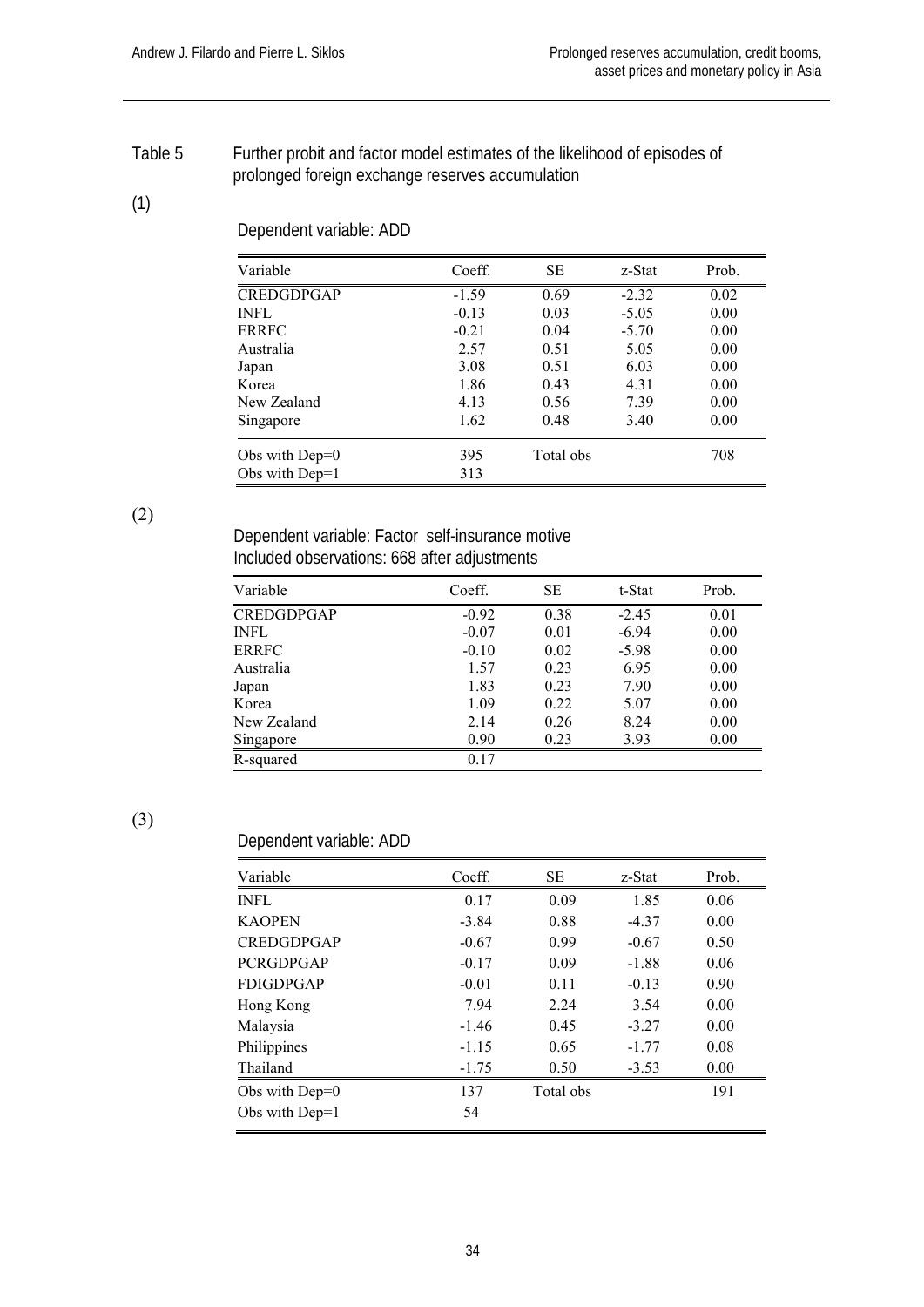### Table 5 Further probit and factor model estimates of the likelihood of episodes of prolonged foreign exchange reserves accumulation

### (1)

Dependent variable: ADD

| Variable          | Coeff.  | <b>SE</b> | z-Stat  | Prob. |
|-------------------|---------|-----------|---------|-------|
| <b>CREDGDPGAP</b> | $-1.59$ | 0.69      | $-2.32$ | 0.02  |
| INFL              | $-0.13$ | 0.03      | $-5.05$ | 0.00  |
| <b>ERRFC</b>      | $-0.21$ | 0.04      | $-5.70$ | 0.00  |
| Australia         | 2.57    | 0.51      | 5.05    | 0.00  |
| Japan             | 3.08    | 0.51      | 6.03    | 0.00  |
| Korea             | 1.86    | 0.43      | 4.31    | 0.00  |
| New Zealand       | 4.13    | 0.56      | 7.39    | 0.00  |
| Singapore         | 1.62    | 0.48      | 3.40    | 0.00  |
| Obs with Dep=0    | 395     | Total obs |         | 708   |
| Obs with Dep=1    | 313     |           |         |       |

(2)

Dependent variable: Factor self-insurance motive Included observations: 668 after adjustments

| Variable          | Coeff.  | <b>SE</b> | t-Stat  | Prob. |
|-------------------|---------|-----------|---------|-------|
| <b>CREDGDPGAP</b> | $-0.92$ | 0.38      | $-2.45$ | 0.01  |
| <b>INFL</b>       | $-0.07$ | 0.01      | $-6.94$ | 0.00  |
| <b>ERRFC</b>      | $-0.10$ | 0.02      | $-5.98$ | 0.00  |
| Australia         | 1.57    | 0.23      | 6.95    | 0.00  |
| Japan             | 1.83    | 0.23      | 7.90    | 0.00  |
| Korea             | 1.09    | 0.22      | 5.07    | 0.00  |
| New Zealand       | 2.14    | 0.26      | 8.24    | 0.00  |
| Singapore         | 0.90    | 0.23      | 3.93    | 0.00  |
| R-squared         | 0.17    |           |         |       |

(3)

#### Dependent variable: ADD

| Variable          | Coeff.  | <b>SE</b> | z-Stat  | Prob. |
|-------------------|---------|-----------|---------|-------|
| <b>INFL</b>       | 0.17    | 0.09      | 1.85    | 0.06  |
| <b>KAOPEN</b>     | $-3.84$ | 0.88      | $-4.37$ | 0.00  |
| <b>CREDGDPGAP</b> | $-0.67$ | 0.99      | $-0.67$ | 0.50  |
| <b>PCRGDPGAP</b>  | $-0.17$ | 0.09      | $-1.88$ | 0.06  |
| <b>FDIGDPGAP</b>  | $-0.01$ | 0.11      | $-0.13$ | 0.90  |
| Hong Kong         | 7.94    | 2.24      | 3.54    | 0.00  |
| Malaysia          | $-1.46$ | 0.45      | $-3.27$ | 0.00  |
| Philippines       | $-1.15$ | 0.65      | $-1.77$ | 0.08  |
| Thailand          | $-1.75$ | 0.50      | $-3.53$ | 0.00  |
| Obs with $Dep=0$  | 137     | Total obs |         | 191   |
| Obs with Dep=1    | 54      |           |         |       |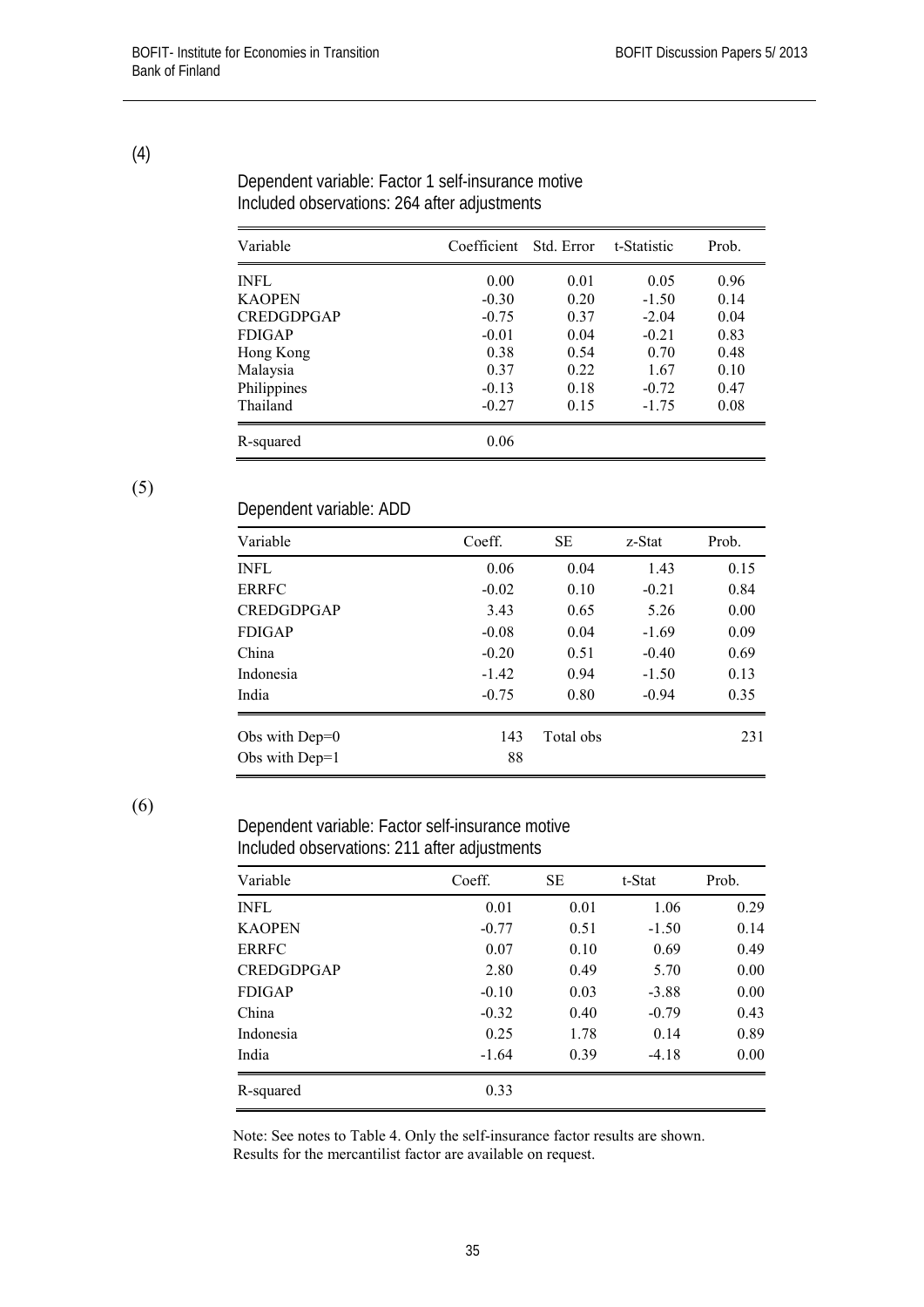### (4)

### Variable Coefficient Std. Error t-Statistic Prob. INFL 0.00 0.01 0.05 0.96 KAOPEN -0.30 0.20 -1.50 0.14 CREDGDPGAP -0.75 0.37 -2.04 0.04<br>FDIGAP -0.01 0.04 -0.21 0.83 FDIGAP -0.01 0.04 -0.21 0.83 Hong Kong 0.38 0.54 0.70 0.48 Malaysia 0.37 0.22 1.67 0.10<br>Philippines -0.13 0.18 -0.72 0.47 Philippines -0.13 0.18 -0.72 0.47<br>Thailand -0.27 0.15 -1.75 0.08 Thailand  $-0.27$  0.15  $-1.75$  0.08 R-squared 0.06

### Dependent variable: Factor 1 self-insurance motive Included observations: 264 after adjustments

(5)

#### Dependent variable: ADD

| Variable          | Coeff.  | <b>SE</b> | z-Stat  | Prob. |
|-------------------|---------|-----------|---------|-------|
| <b>INFL</b>       | 0.06    | 0.04      | 1.43    | 0.15  |
| <b>ERRFC</b>      | $-0.02$ | 0.10      | $-0.21$ | 0.84  |
| <b>CREDGDPGAP</b> | 3.43    | 0.65      | 5.26    | 0.00  |
| <b>FDIGAP</b>     | $-0.08$ | 0.04      | $-1.69$ | 0.09  |
| China             | $-0.20$ | 0.51      | $-0.40$ | 0.69  |
| Indonesia         | $-1.42$ | 0.94      | $-1.50$ | 0.13  |
| India             | $-0.75$ | 0.80      | $-0.94$ | 0.35  |
| Obs with $Dep=0$  | 143     | Total obs |         | 231   |
| Obs with $Dep=1$  | 88      |           |         |       |

(6)

### Dependent variable: Factor self-insurance motive Included observations: 211 after adjustments

| Variable          | Coeff.  | <b>SE</b> | t-Stat  | Prob. |  |
|-------------------|---------|-----------|---------|-------|--|
| <b>INFL</b>       | 0.01    | 0.01      | 1.06    | 0.29  |  |
| <b>KAOPEN</b>     | $-0.77$ | 0.51      | $-1.50$ | 0.14  |  |
| <b>ERRFC</b>      | 0.07    | 0.10      | 0.69    | 0.49  |  |
| <b>CREDGDPGAP</b> | 2.80    | 0.49      | 5.70    | 0.00  |  |
| <b>FDIGAP</b>     | $-0.10$ | 0.03      | $-3.88$ | 0.00  |  |
| China             | $-0.32$ | 0.40      | $-0.79$ | 0.43  |  |
| Indonesia         | 0.25    | 1.78      | 0.14    | 0.89  |  |
| India             | $-1.64$ | 0.39      | $-4.18$ | 0.00  |  |
| R-squared         | 0.33    |           |         |       |  |

Note: See notes to Table 4. Only the self-insurance factor results are shown. Results for the mercantilist factor are available on request.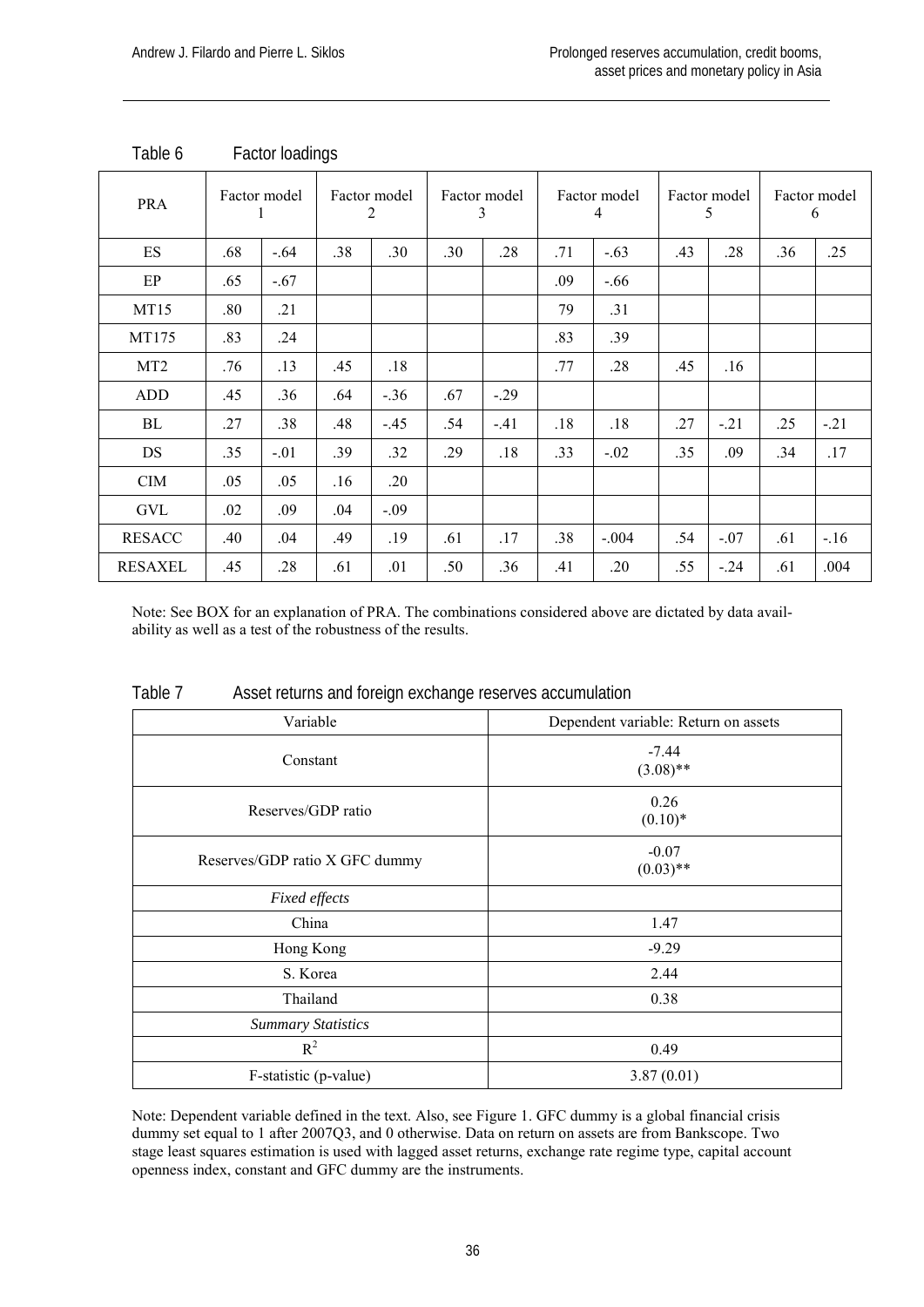| <b>PRA</b>      |     | Factor model<br>1 |     | Factor model<br>$\overline{2}$ |     | Factor model<br>3 |     | Factor model<br>4 |     | Factor model<br>5 |     | Factor model<br>6 |
|-----------------|-----|-------------------|-----|--------------------------------|-----|-------------------|-----|-------------------|-----|-------------------|-----|-------------------|
| ES              | .68 | $-.64$            | .38 | .30                            | .30 | .28               | .71 | $-.63$            | .43 | .28               | .36 | .25               |
| EP              | .65 | $-.67$            |     |                                |     |                   | .09 | $-.66$            |     |                   |     |                   |
| MT15            | .80 | .21               |     |                                |     |                   | 79  | .31               |     |                   |     |                   |
| MT175           | .83 | .24               |     |                                |     |                   | .83 | .39               |     |                   |     |                   |
| MT <sub>2</sub> | .76 | .13               | .45 | .18                            |     |                   | .77 | .28               | .45 | .16               |     |                   |
| <b>ADD</b>      | .45 | .36               | .64 | $-.36$                         | .67 | $-29$             |     |                   |     |                   |     |                   |
| BL              | .27 | .38               | .48 | $-.45$                         | .54 | $-41$             | .18 | .18               | .27 | $-.21$            | .25 | $-21$             |
| DS              | .35 | $-.01$            | .39 | .32                            | .29 | .18               | .33 | $-.02$            | .35 | .09               | .34 | .17               |
| <b>CIM</b>      | .05 | .05               | .16 | .20                            |     |                   |     |                   |     |                   |     |                   |
| GVL             | .02 | .09               | .04 | $-.09$                         |     |                   |     |                   |     |                   |     |                   |
| <b>RESACC</b>   | .40 | .04               | .49 | .19                            | .61 | .17               | .38 | $-.004$           | .54 | $-.07$            | .61 | $-16$             |
| <b>RESAXEL</b>  | .45 | .28               | .61 | .01                            | .50 | .36               | .41 | .20               | .55 | $-0.24$           | .61 | .004              |

Table 6 Factor loadings

Note: See BOX for an explanation of PRA. The combinations considered above are dictated by data availability as well as a test of the robustness of the results.

| Variable                       | Dependent variable: Return on assets |  |  |  |  |
|--------------------------------|--------------------------------------|--|--|--|--|
| Constant                       | $-7.44$<br>$(3.08)$ **               |  |  |  |  |
| Reserves/GDP ratio             | 0.26<br>$(0.10)*$                    |  |  |  |  |
| Reserves/GDP ratio X GFC dummy | $-0.07$<br>$(0.03)$ **               |  |  |  |  |
| Fixed effects                  |                                      |  |  |  |  |
| China                          | 1.47                                 |  |  |  |  |
| Hong Kong                      | $-9.29$                              |  |  |  |  |
| S. Korea                       | 2.44                                 |  |  |  |  |
| Thailand                       | 0.38                                 |  |  |  |  |
| <b>Summary Statistics</b>      |                                      |  |  |  |  |
| $R^2$                          | 0.49                                 |  |  |  |  |
| F-statistic (p-value)          | 3.87(0.01)                           |  |  |  |  |

Table 7 Asset returns and foreign exchange reserves accumulation

Note: Dependent variable defined in the text. Also, see Figure 1. GFC dummy is a global financial crisis dummy set equal to 1 after 2007Q3, and 0 otherwise. Data on return on assets are from Bankscope. Two stage least squares estimation is used with lagged asset returns, exchange rate regime type, capital account openness index, constant and GFC dummy are the instruments.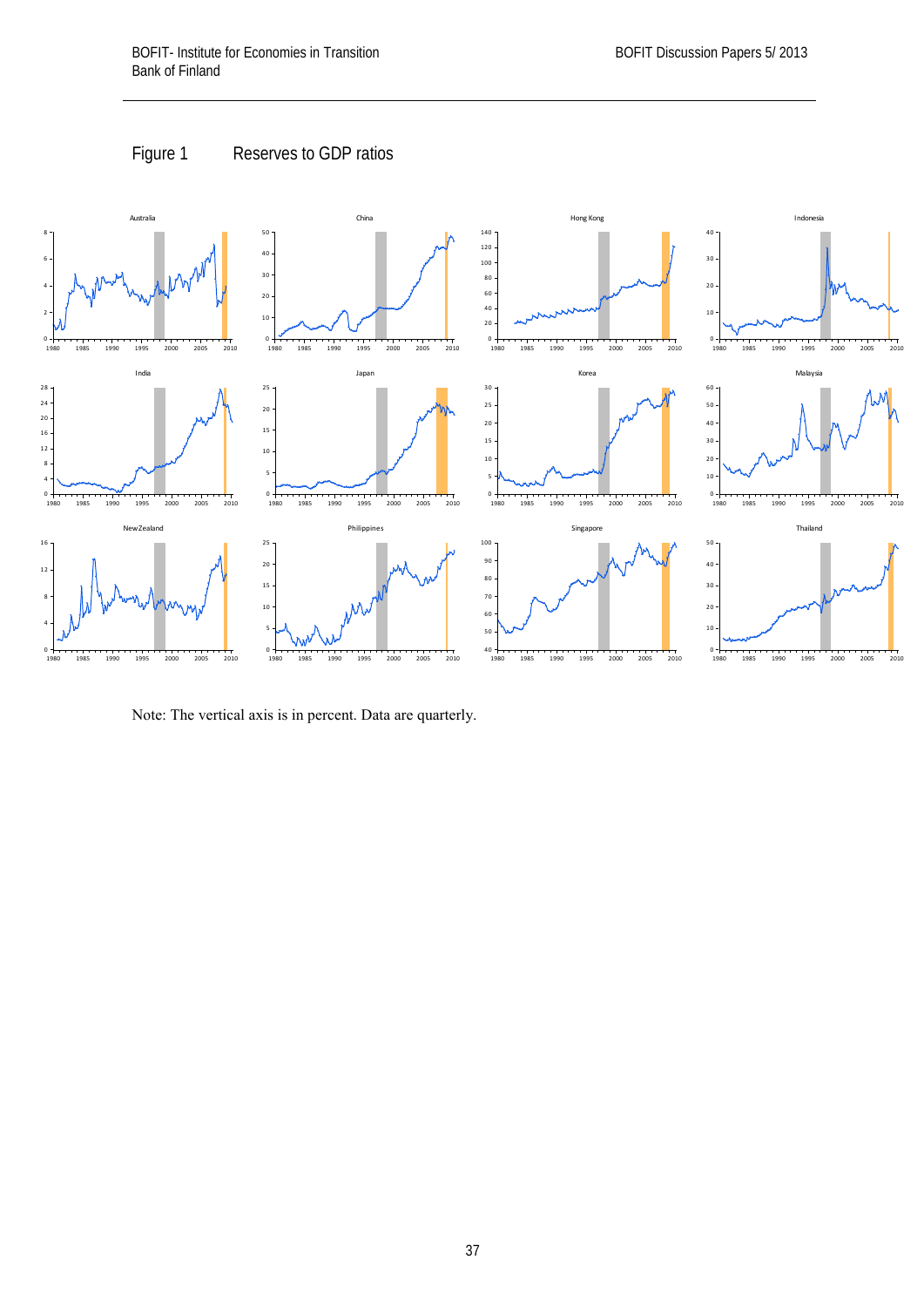

Figure 1 Reserves to GDP ratios



Note: The vertical axis is in percent. Data are quarterly.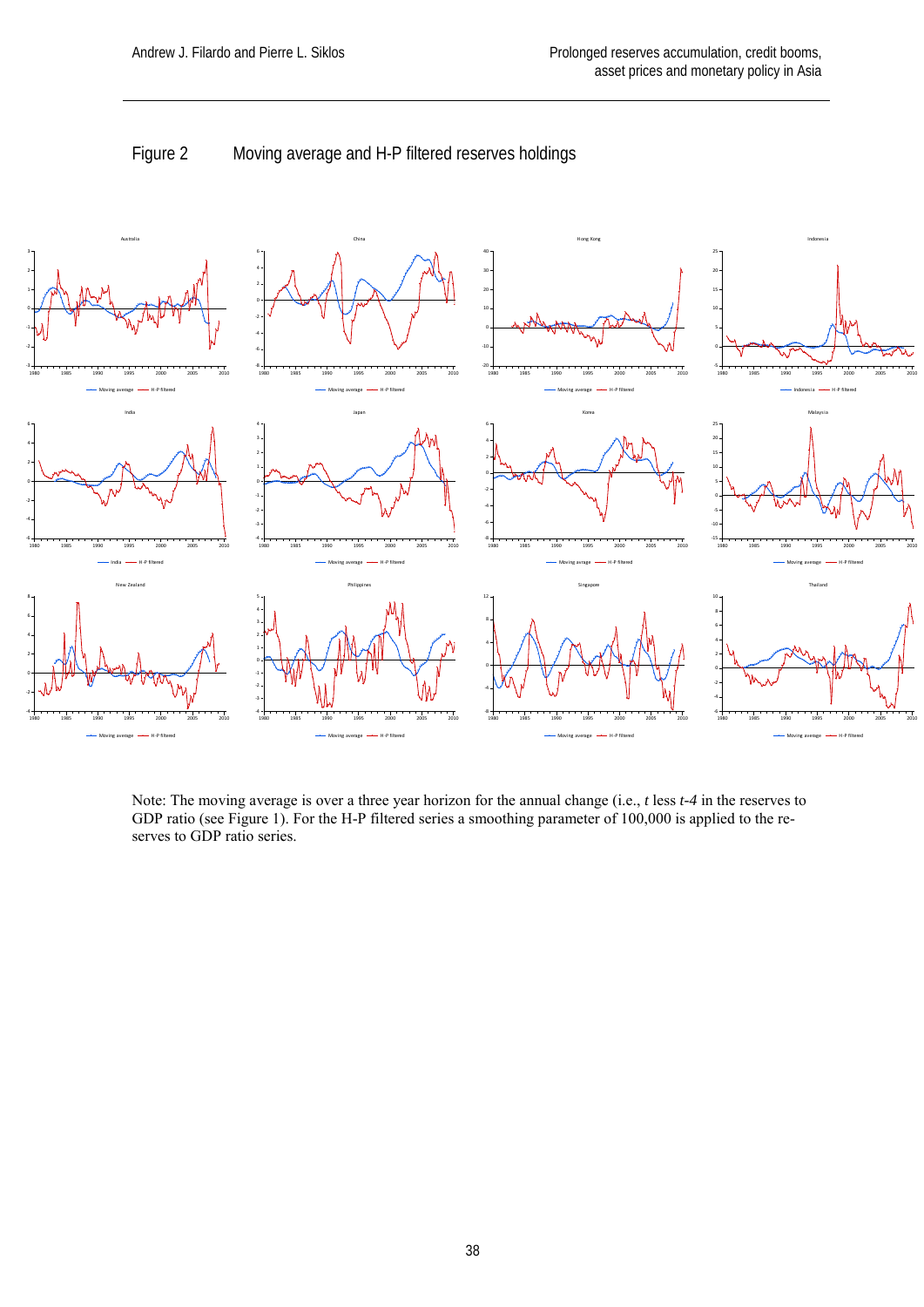## Figure 2 Moving average and H-P filtered reserves holdings



Note: The moving average is over a three year horizon for the annual change (i.e., *t* less *t-4* in the reserves to GDP ratio (see Figure 1). For the H-P filtered series a smoothing parameter of 100,000 is applied to the reserves to GDP ratio series.